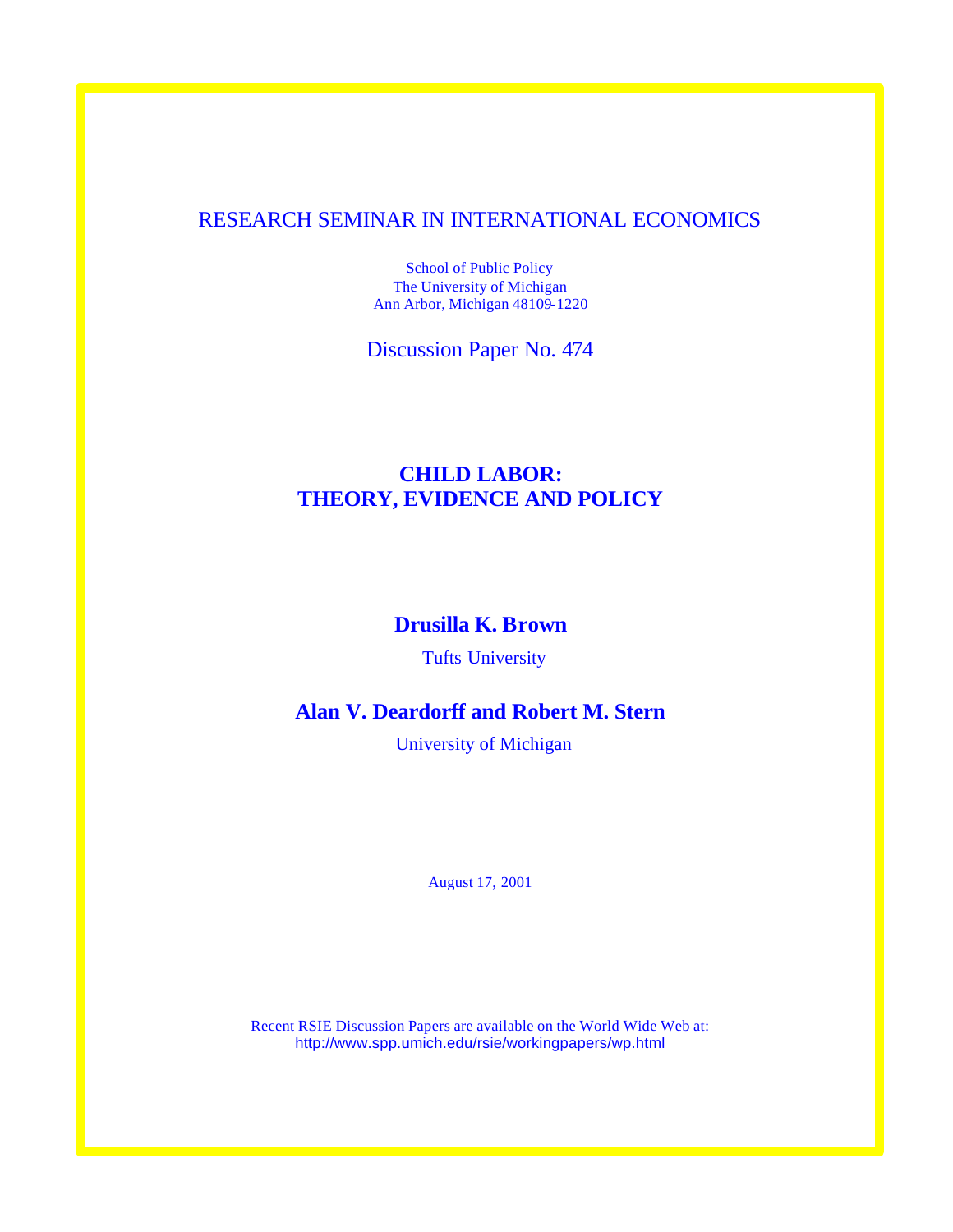## RESEARCH SEMINAR IN INTERNATIONAL ECONOMICS

School of Public Policy The University of Michigan Ann Arbor, Michigan 48109-1220

Discussion Paper No. 474

## **CHILD LABOR: THEORY, EVIDENCE AND POLICY**

## **Drusilla K. Brown**

Tufts University

## **Alan V. Deardorff and Robert M. Stern**

University of Michigan

August 17, 2001

Recent RSIE Discussion Papers are available on the World Wide Web at: http://www.spp.umich.edu/rsie/workingpapers/wp.html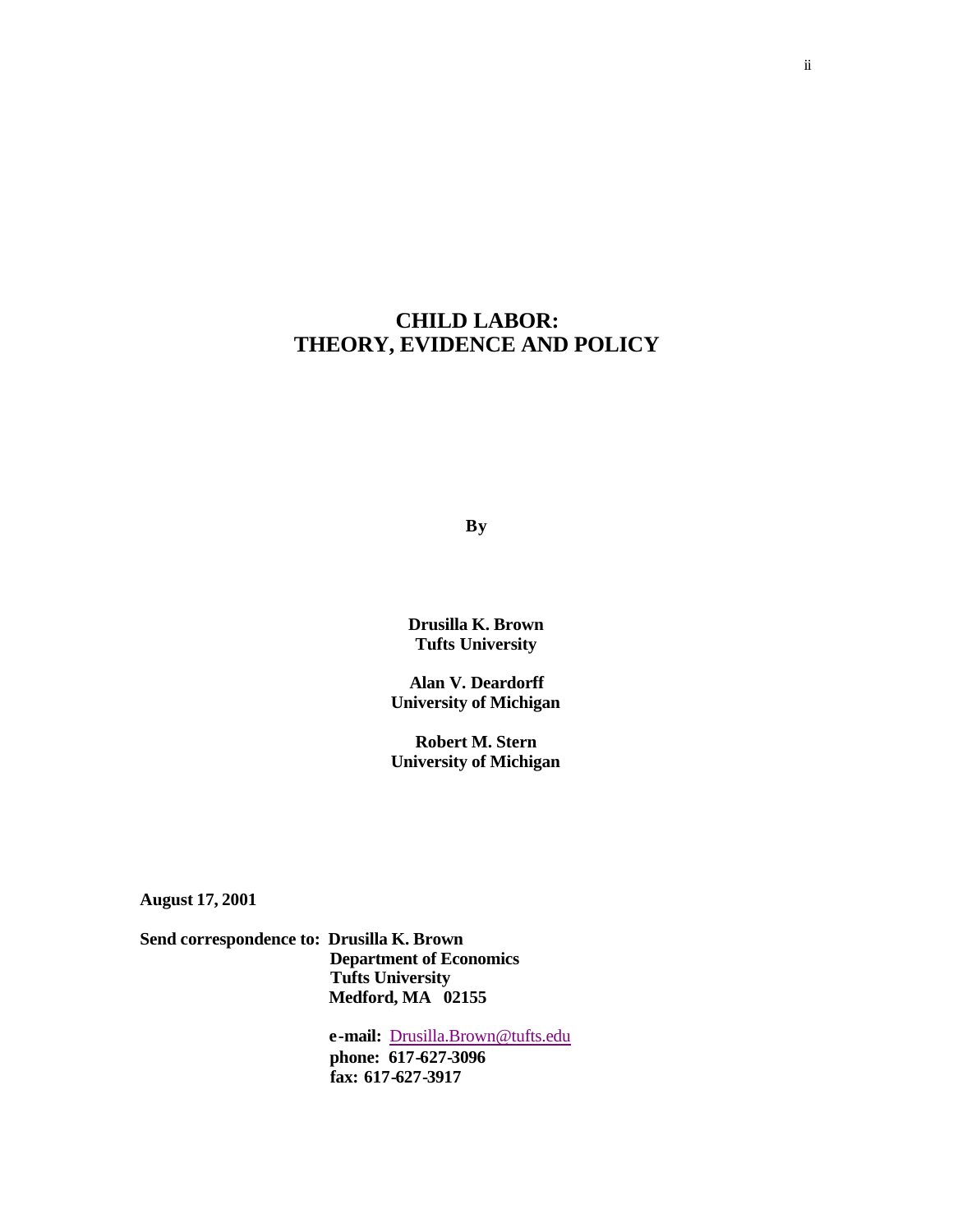## **CHILD LABOR: THEORY, EVIDENCE AND POLICY**

**By**

**Drusilla K. Brown Tufts University**

**Alan V. Deardorff University of Michigan**

**Robert M. Stern University of Michigan**

**August 17, 2001**

**Send correspondence to: Drusilla K. Brown Department of Economics Tufts University Medford, MA 02155**

> **e-mail:** Drusilla.Brown@tufts.edu  **phone: 617-627-3096 fax: 617-627-3917**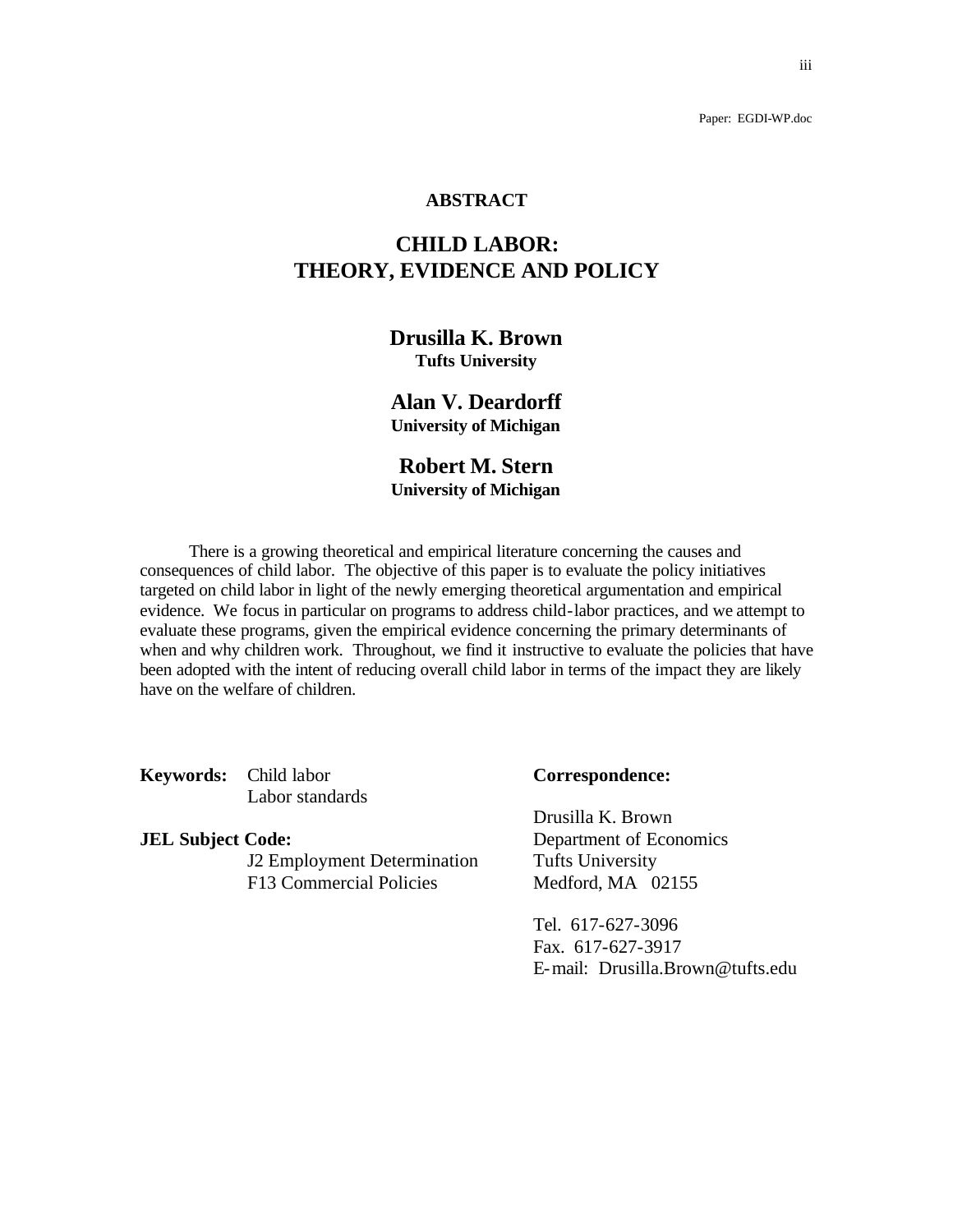Paper: EGDI-WP.doc

## **ABSTRACT**

## **CHILD LABOR: THEORY, EVIDENCE AND POLICY**

### **Drusilla K. Brown Tufts University**

# **Alan V. Deardorff**

**University of Michigan**

## **Robert M. Stern University of Michigan**

There is a growing theoretical and empirical literature concerning the causes and consequences of child labor. The objective of this paper is to evaluate the policy initiatives targeted on child labor in light of the newly emerging theoretical argumentation and empirical evidence. We focus in particular on programs to address child-labor practices, and we attempt to evaluate these programs, given the empirical evidence concerning the primary determinants of when and why children work. Throughout, we find it instructive to evaluate the policies that have been adopted with the intent of reducing overall child labor in terms of the impact they are likely have on the welfare of children.

**Keywords:** Child labor **Correspondence:** Labor standards

J2 Employment Determination Tufts University F13 Commercial Policies Medford, MA 02155

Drusilla K. Brown **JEL Subject Code:** Department of Economics

> Tel. 617-627-3096 Fax. 617-627-3917 E-mail: Drusilla.Brown@tufts.edu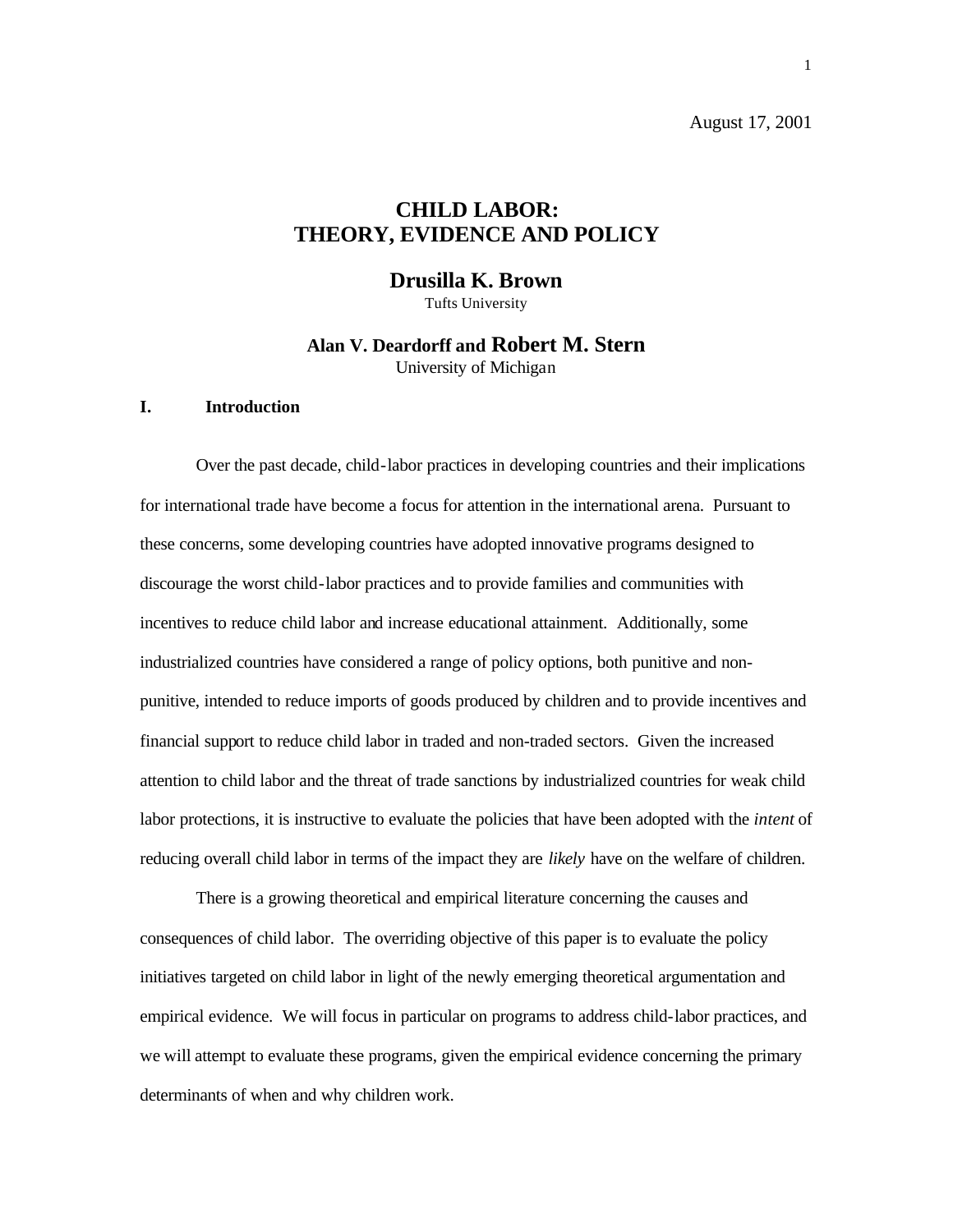August 17, 2001

## **CHILD LABOR: THEORY, EVIDENCE AND POLICY**

#### **Drusilla K. Brown** Tufts University

**Alan V. Deardorff and Robert M. Stern** University of Michigan

#### **I. Introduction**

Over the past decade, child-labor practices in developing countries and their implications for international trade have become a focus for attention in the international arena. Pursuant to these concerns, some developing countries have adopted innovative programs designed to discourage the worst child-labor practices and to provide families and communities with incentives to reduce child labor and increase educational attainment. Additionally, some industrialized countries have considered a range of policy options, both punitive and nonpunitive, intended to reduce imports of goods produced by children and to provide incentives and financial support to reduce child labor in traded and non-traded sectors. Given the increased attention to child labor and the threat of trade sanctions by industrialized countries for weak child labor protections, it is instructive to evaluate the policies that have been adopted with the *intent* of reducing overall child labor in terms of the impact they are *likely* have on the welfare of children.

There is a growing theoretical and empirical literature concerning the causes and consequences of child labor. The overriding objective of this paper is to evaluate the policy initiatives targeted on child labor in light of the newly emerging theoretical argumentation and empirical evidence. We will focus in particular on programs to address child-labor practices, and we will attempt to evaluate these programs, given the empirical evidence concerning the primary determinants of when and why children work.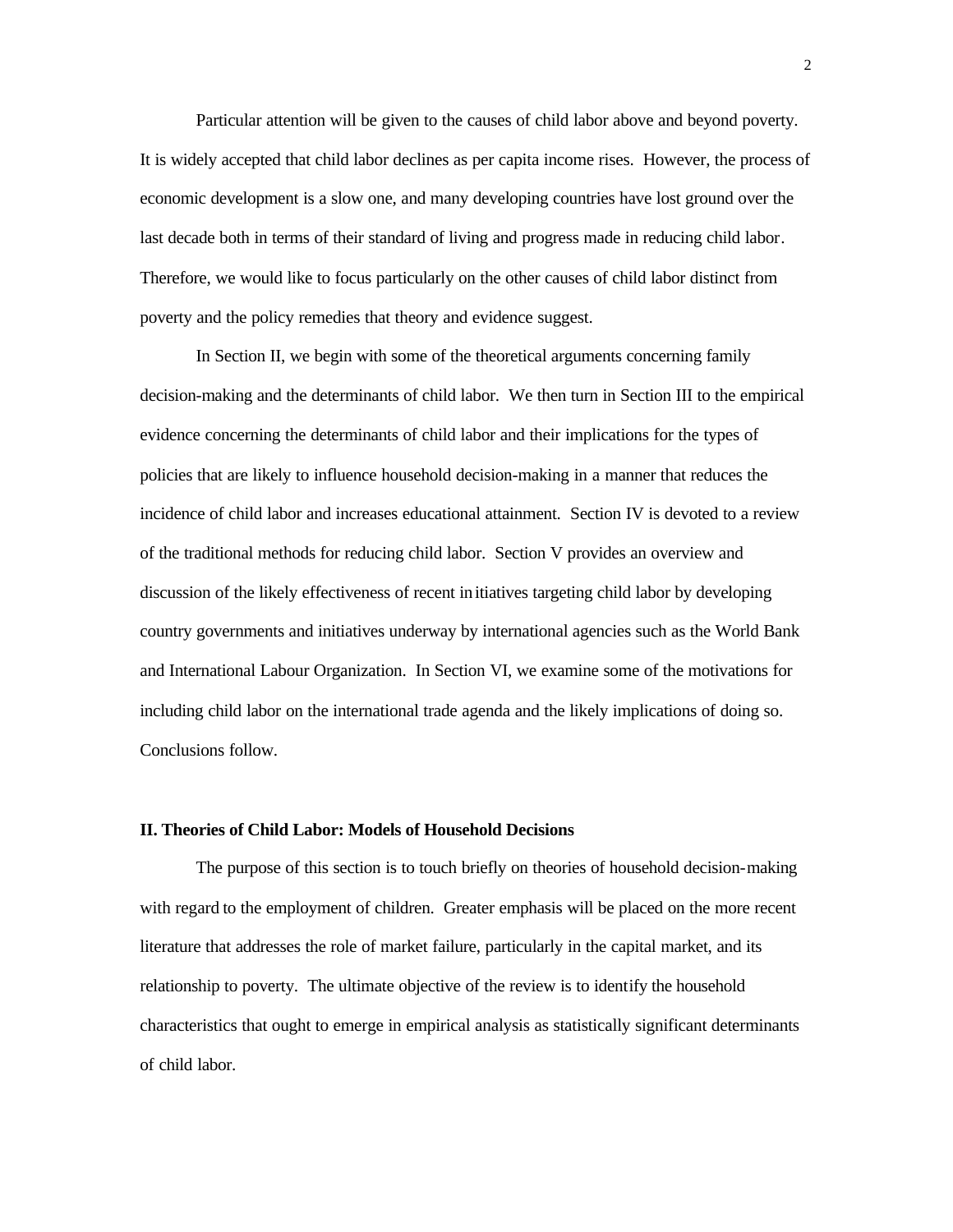Particular attention will be given to the causes of child labor above and beyond poverty. It is widely accepted that child labor declines as per capita income rises. However, the process of economic development is a slow one, and many developing countries have lost ground over the last decade both in terms of their standard of living and progress made in reducing child labor. Therefore, we would like to focus particularly on the other causes of child labor distinct from poverty and the policy remedies that theory and evidence suggest.

In Section II, we begin with some of the theoretical arguments concerning family decision-making and the determinants of child labor. We then turn in Section III to the empirical evidence concerning the determinants of child labor and their implications for the types of policies that are likely to influence household decision-making in a manner that reduces the incidence of child labor and increases educational attainment. Section IV is devoted to a review of the traditional methods for reducing child labor. Section V provides an overview and discussion of the likely effectiveness of recent initiatives targeting child labor by developing country governments and initiatives underway by international agencies such as the World Bank and International Labour Organization. In Section VI, we examine some of the motivations for including child labor on the international trade agenda and the likely implications of doing so. Conclusions follow.

#### **II. Theories of Child Labor: Models of Household Decisions**

The purpose of this section is to touch briefly on theories of household decision-making with regard to the employment of children. Greater emphasis will be placed on the more recent literature that addresses the role of market failure, particularly in the capital market, and its relationship to poverty. The ultimate objective of the review is to identify the household characteristics that ought to emerge in empirical analysis as statistically significant determinants of child labor.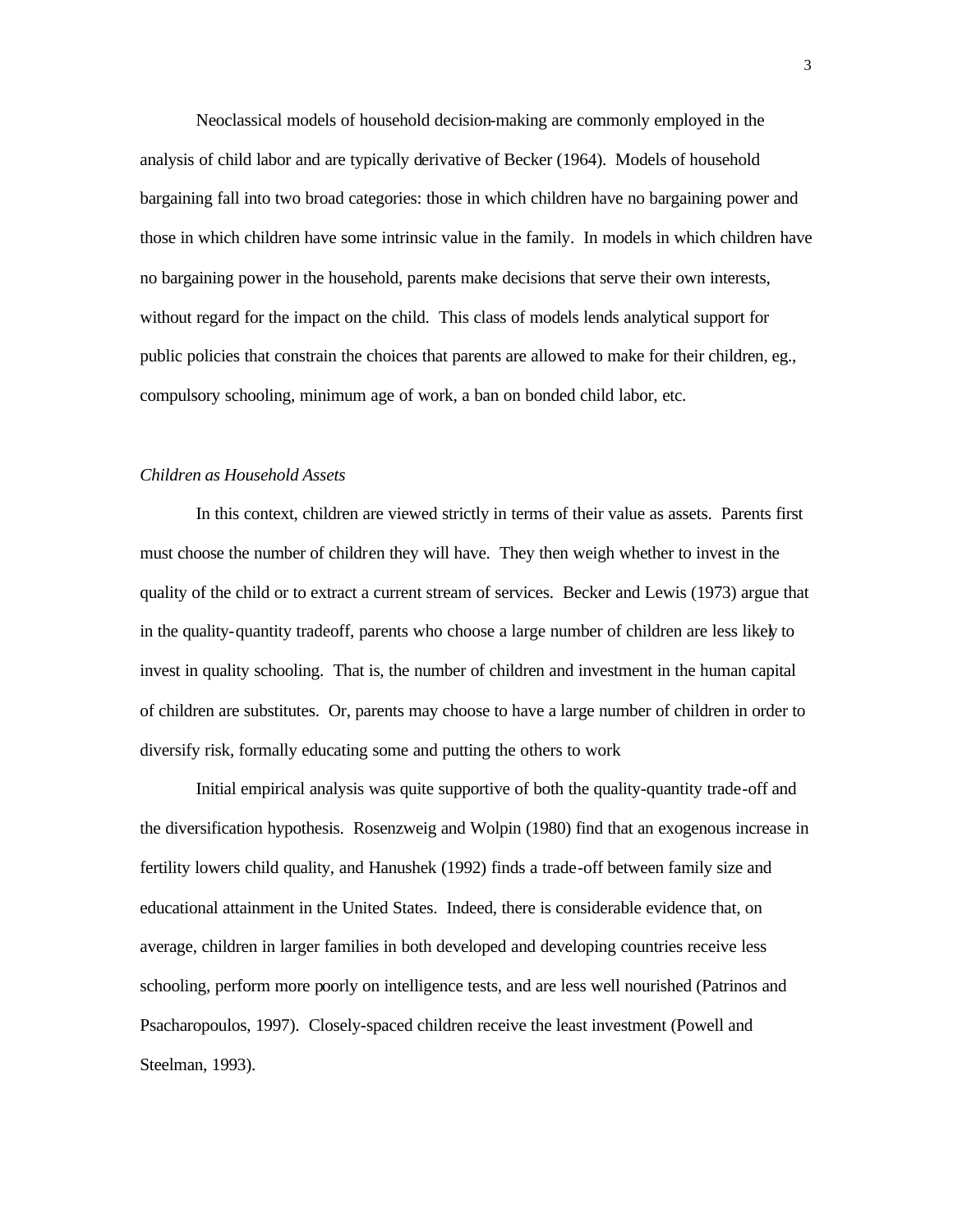Neoclassical models of household decision-making are commonly employed in the analysis of child labor and are typically derivative of Becker (1964). Models of household bargaining fall into two broad categories: those in which children have no bargaining power and those in which children have some intrinsic value in the family. In models in which children have no bargaining power in the household, parents make decisions that serve their own interests, without regard for the impact on the child. This class of models lends analytical support for public policies that constrain the choices that parents are allowed to make for their children, eg., compulsory schooling, minimum age of work, a ban on bonded child labor, etc.

#### *Children as Household Assets*

In this context, children are viewed strictly in terms of their value as assets. Parents first must choose the number of children they will have. They then weigh whether to invest in the quality of the child or to extract a current stream of services. Becker and Lewis (1973) argue that in the quality-quantity tradeoff, parents who choose a large number of children are less likely to invest in quality schooling. That is, the number of children and investment in the human capital of children are substitutes. Or, parents may choose to have a large number of children in order to diversify risk, formally educating some and putting the others to work

Initial empirical analysis was quite supportive of both the quality-quantity trade-off and the diversification hypothesis. Rosenzweig and Wolpin (1980) find that an exogenous increase in fertility lowers child quality, and Hanushek (1992) finds a trade-off between family size and educational attainment in the United States. Indeed, there is considerable evidence that, on average, children in larger families in both developed and developing countries receive less schooling, perform more poorly on intelligence tests, and are less well nourished (Patrinos and Psacharopoulos, 1997). Closely-spaced children receive the least investment (Powell and Steelman, 1993).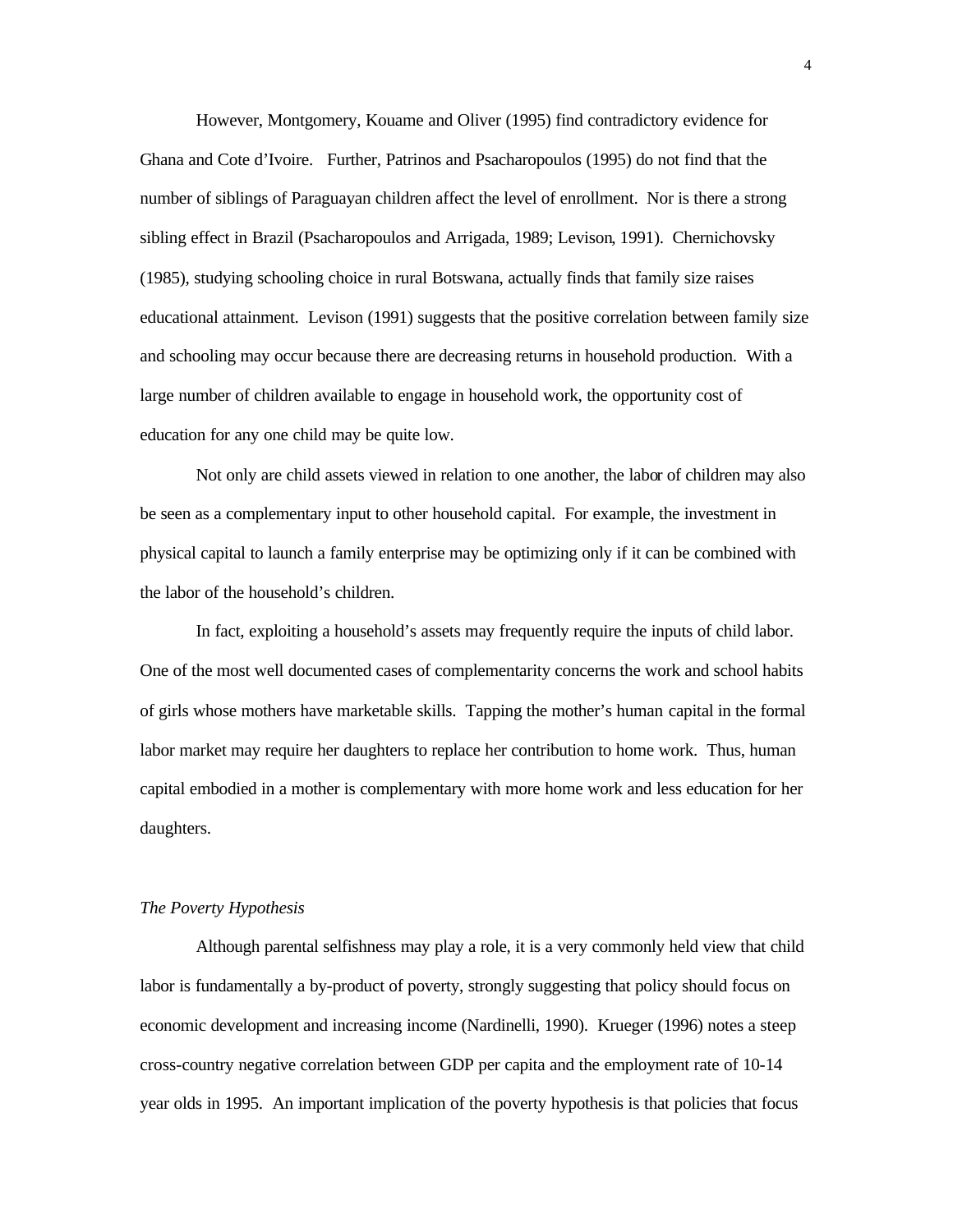However, Montgomery, Kouame and Oliver (1995) find contradictory evidence for Ghana and Cote d'Ivoire. Further, Patrinos and Psacharopoulos (1995) do not find that the number of siblings of Paraguayan children affect the level of enrollment. Nor is there a strong sibling effect in Brazil (Psacharopoulos and Arrigada, 1989; Levison, 1991). Chernichovsky (1985), studying schooling choice in rural Botswana, actually finds that family size raises educational attainment. Levison (1991) suggests that the positive correlation between family size and schooling may occur because there are decreasing returns in household production. With a large number of children available to engage in household work, the opportunity cost of education for any one child may be quite low.

Not only are child assets viewed in relation to one another, the labor of children may also be seen as a complementary input to other household capital. For example, the investment in physical capital to launch a family enterprise may be optimizing only if it can be combined with the labor of the household's children.

In fact, exploiting a household's assets may frequently require the inputs of child labor. One of the most well documented cases of complementarity concerns the work and school habits of girls whose mothers have marketable skills. Tapping the mother's human capital in the formal labor market may require her daughters to replace her contribution to home work. Thus, human capital embodied in a mother is complementary with more home work and less education for her daughters.

#### *The Poverty Hypothesis*

Although parental selfishness may play a role, it is a very commonly held view that child labor is fundamentally a by-product of poverty, strongly suggesting that policy should focus on economic development and increasing income (Nardinelli, 1990). Krueger (1996) notes a steep cross-country negative correlation between GDP per capita and the employment rate of 10-14 year olds in 1995. An important implication of the poverty hypothesis is that policies that focus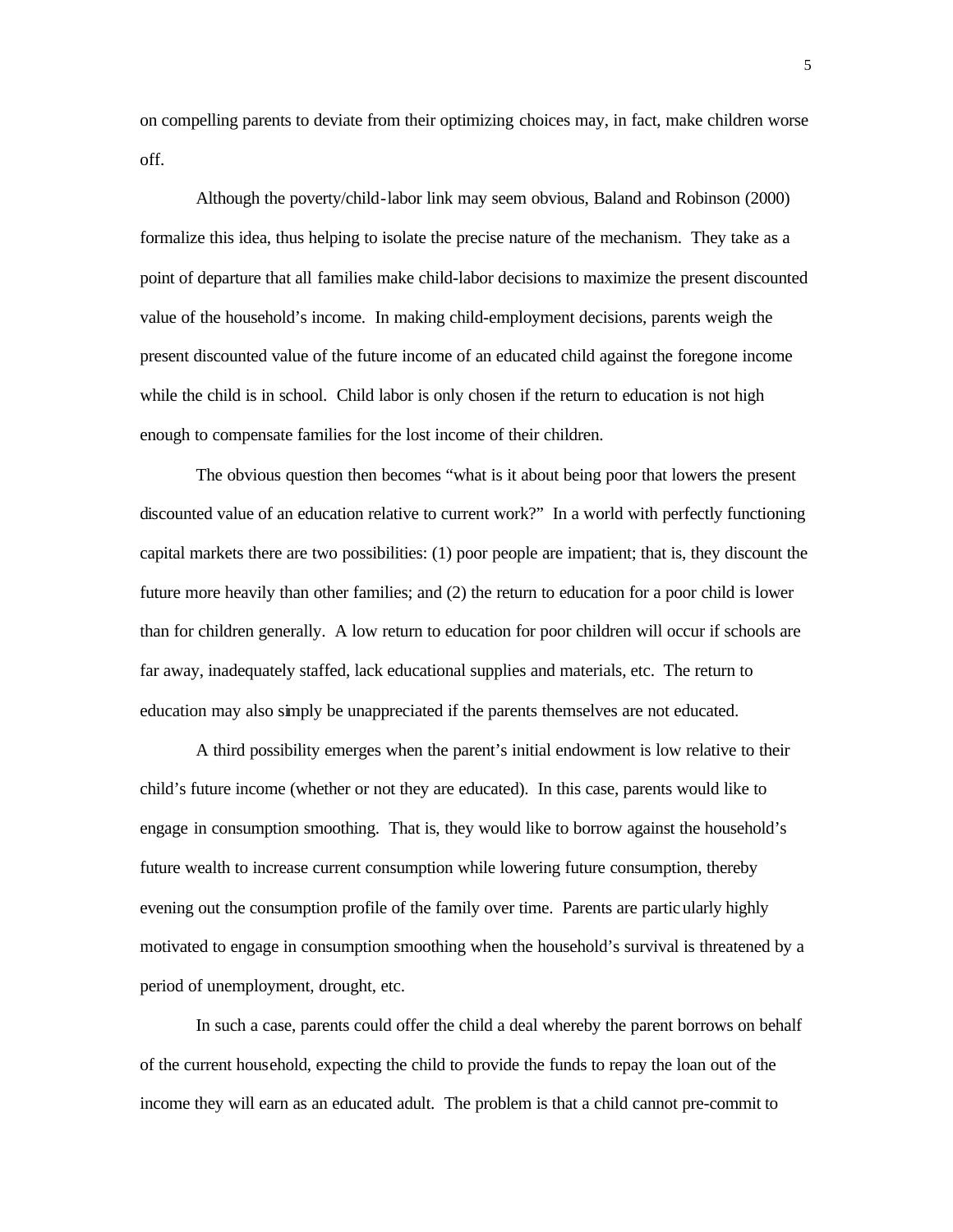on compelling parents to deviate from their optimizing choices may, in fact, make children worse off.

Although the poverty/child-labor link may seem obvious, Baland and Robinson (2000) formalize this idea, thus helping to isolate the precise nature of the mechanism. They take as a point of departure that all families make child-labor decisions to maximize the present discounted value of the household's income. In making child-employment decisions, parents weigh the present discounted value of the future income of an educated child against the foregone income while the child is in school. Child labor is only chosen if the return to education is not high enough to compensate families for the lost income of their children.

The obvious question then becomes "what is it about being poor that lowers the present discounted value of an education relative to current work?" In a world with perfectly functioning capital markets there are two possibilities: (1) poor people are impatient; that is, they discount the future more heavily than other families; and (2) the return to education for a poor child is lower than for children generally. A low return to education for poor children will occur if schools are far away, inadequately staffed, lack educational supplies and materials, etc. The return to education may also simply be unappreciated if the parents themselves are not educated.

A third possibility emerges when the parent's initial endowment is low relative to their child's future income (whether or not they are educated). In this case, parents would like to engage in consumption smoothing. That is, they would like to borrow against the household's future wealth to increase current consumption while lowering future consumption, thereby evening out the consumption profile of the family over time. Parents are particularly highly motivated to engage in consumption smoothing when the household's survival is threatened by a period of unemployment, drought, etc.

In such a case, parents could offer the child a deal whereby the parent borrows on behalf of the current household, expecting the child to provide the funds to repay the loan out of the income they will earn as an educated adult. The problem is that a child cannot pre-commit to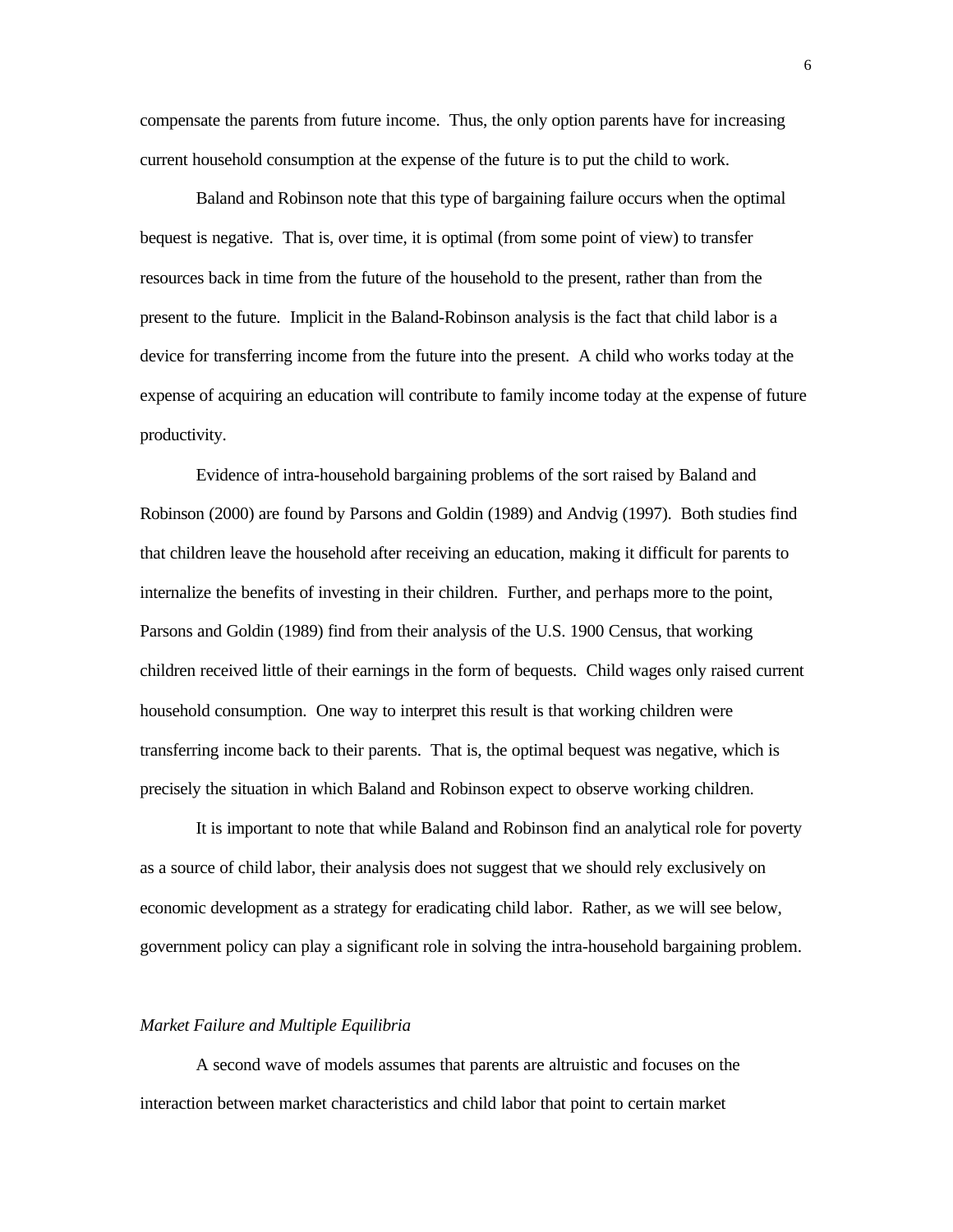compensate the parents from future income. Thus, the only option parents have for increasing current household consumption at the expense of the future is to put the child to work.

Baland and Robinson note that this type of bargaining failure occurs when the optimal bequest is negative. That is, over time, it is optimal (from some point of view) to transfer resources back in time from the future of the household to the present, rather than from the present to the future. Implicit in the Baland-Robinson analysis is the fact that child labor is a device for transferring income from the future into the present. A child who works today at the expense of acquiring an education will contribute to family income today at the expense of future productivity.

Evidence of intra-household bargaining problems of the sort raised by Baland and Robinson (2000) are found by Parsons and Goldin (1989) and Andvig (1997). Both studies find that children leave the household after receiving an education, making it difficult for parents to internalize the benefits of investing in their children. Further, and perhaps more to the point, Parsons and Goldin (1989) find from their analysis of the U.S. 1900 Census, that working children received little of their earnings in the form of bequests. Child wages only raised current household consumption. One way to interpret this result is that working children were transferring income back to their parents. That is, the optimal bequest was negative, which is precisely the situation in which Baland and Robinson expect to observe working children.

It is important to note that while Baland and Robinson find an analytical role for poverty as a source of child labor, their analysis does not suggest that we should rely exclusively on economic development as a strategy for eradicating child labor. Rather, as we will see below, government policy can play a significant role in solving the intra-household bargaining problem.

#### *Market Failure and Multiple Equilibria*

A second wave of models assumes that parents are altruistic and focuses on the interaction between market characteristics and child labor that point to certain market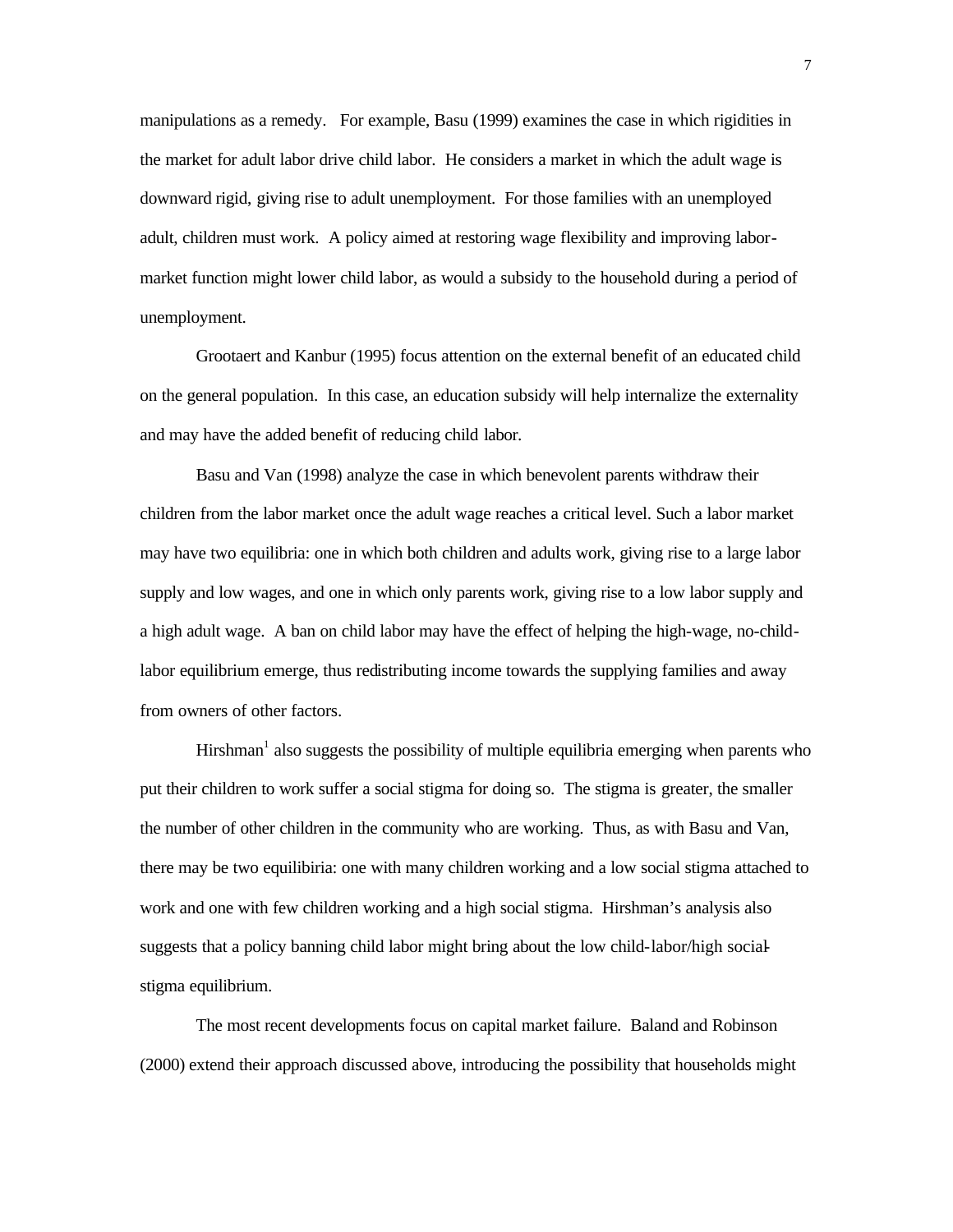manipulations as a remedy. For example, Basu (1999) examines the case in which rigidities in the market for adult labor drive child labor. He considers a market in which the adult wage is downward rigid, giving rise to adult unemployment. For those families with an unemployed adult, children must work. A policy aimed at restoring wage flexibility and improving labormarket function might lower child labor, as would a subsidy to the household during a period of unemployment.

Grootaert and Kanbur (1995) focus attention on the external benefit of an educated child on the general population. In this case, an education subsidy will help internalize the externality and may have the added benefit of reducing child labor.

Basu and Van (1998) analyze the case in which benevolent parents withdraw their children from the labor market once the adult wage reaches a critical level. Such a labor market may have two equilibria: one in which both children and adults work, giving rise to a large labor supply and low wages, and one in which only parents work, giving rise to a low labor supply and a high adult wage. A ban on child labor may have the effect of helping the high-wage, no-childlabor equilibrium emerge, thus redistributing income towards the supplying families and away from owners of other factors.

Hirshman<sup>1</sup> also suggests the possibility of multiple equilibria emerging when parents who put their children to work suffer a social stigma for doing so. The stigma is greater, the smaller the number of other children in the community who are working. Thus, as with Basu and Van, there may be two equilibiria: one with many children working and a low social stigma attached to work and one with few children working and a high social stigma. Hirshman's analysis also suggests that a policy banning child labor might bring about the low child-labor/high socialstigma equilibrium.

The most recent developments focus on capital market failure. Baland and Robinson (2000) extend their approach discussed above, introducing the possibility that households might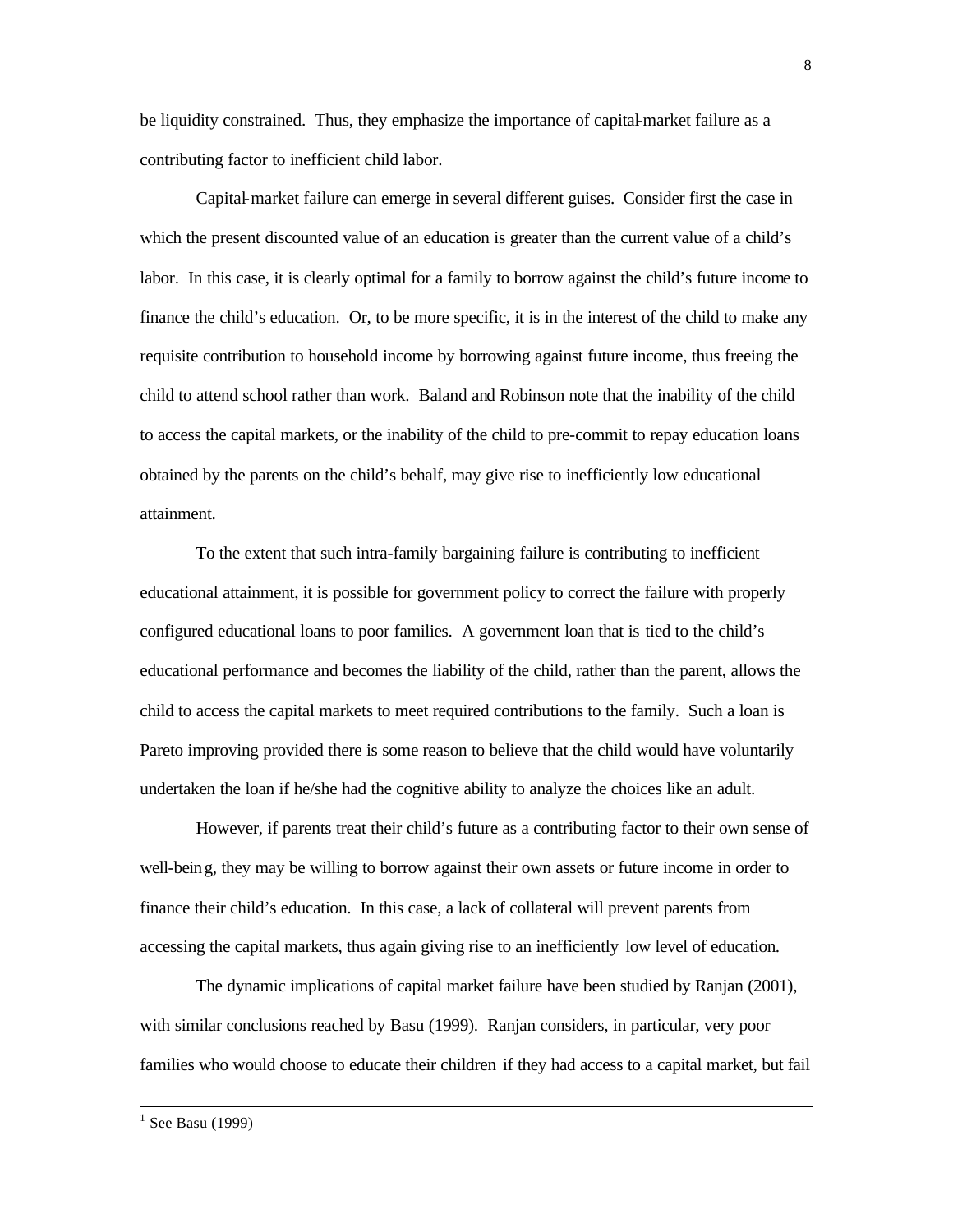be liquidity constrained. Thus, they emphasize the importance of capital-market failure as a contributing factor to inefficient child labor.

Capital-market failure can emerge in several different guises. Consider first the case in which the present discounted value of an education is greater than the current value of a child's labor. In this case, it is clearly optimal for a family to borrow against the child's future income to finance the child's education. Or, to be more specific, it is in the interest of the child to make any requisite contribution to household income by borrowing against future income, thus freeing the child to attend school rather than work. Baland and Robinson note that the inability of the child to access the capital markets, or the inability of the child to pre-commit to repay education loans obtained by the parents on the child's behalf, may give rise to inefficiently low educational attainment.

To the extent that such intra-family bargaining failure is contributing to inefficient educational attainment, it is possible for government policy to correct the failure with properly configured educational loans to poor families. A government loan that is tied to the child's educational performance and becomes the liability of the child, rather than the parent, allows the child to access the capital markets to meet required contributions to the family. Such a loan is Pareto improving provided there is some reason to believe that the child would have voluntarily undertaken the loan if he/she had the cognitive ability to analyze the choices like an adult.

However, if parents treat their child's future as a contributing factor to their own sense of well-being, they may be willing to borrow against their own assets or future income in order to finance their child's education. In this case, a lack of collateral will prevent parents from accessing the capital markets, thus again giving rise to an inefficiently low level of education.

The dynamic implications of capital market failure have been studied by Ranjan (2001), with similar conclusions reached by Basu (1999). Ranjan considers, in particular, very poor families who would choose to educate their children if they had access to a capital market, but fail

8

<sup>&</sup>lt;sup>1</sup> See Basu (1999)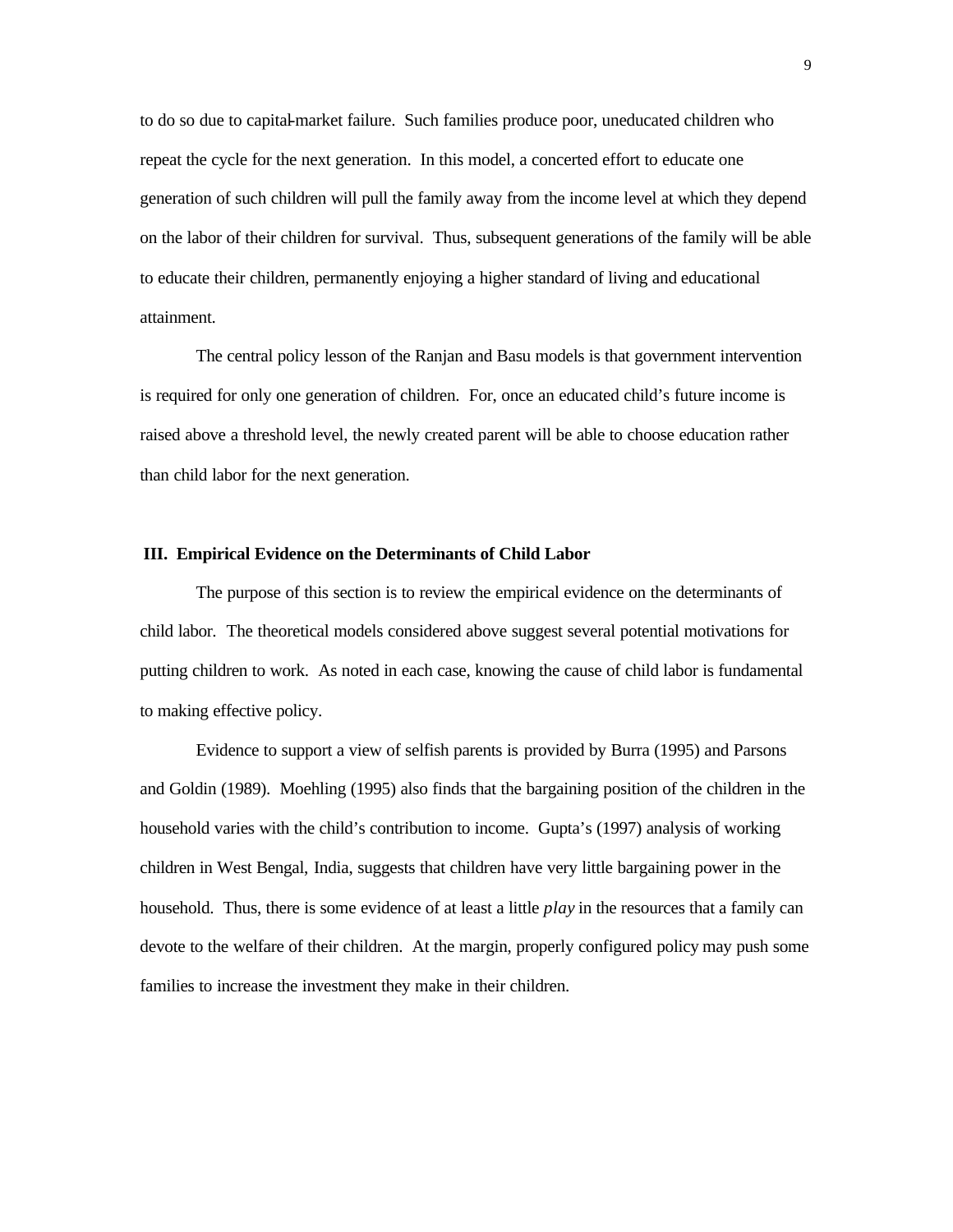to do so due to capital-market failure. Such families produce poor, uneducated children who repeat the cycle for the next generation. In this model, a concerted effort to educate one generation of such children will pull the family away from the income level at which they depend on the labor of their children for survival. Thus, subsequent generations of the family will be able to educate their children, permanently enjoying a higher standard of living and educational attainment.

The central policy lesson of the Ranjan and Basu models is that government intervention is required for only one generation of children. For, once an educated child's future income is raised above a threshold level, the newly created parent will be able to choose education rather than child labor for the next generation.

#### **III. Empirical Evidence on the Determinants of Child Labor**

The purpose of this section is to review the empirical evidence on the determinants of child labor. The theoretical models considered above suggest several potential motivations for putting children to work. As noted in each case, knowing the cause of child labor is fundamental to making effective policy.

Evidence to support a view of selfish parents is provided by Burra (1995) and Parsons and Goldin (1989). Moehling (1995) also finds that the bargaining position of the children in the household varies with the child's contribution to income. Gupta's (1997) analysis of working children in West Bengal, India, suggests that children have very little bargaining power in the household. Thus, there is some evidence of at least a little *play* in the resources that a family can devote to the welfare of their children. At the margin, properly configured policy may push some families to increase the investment they make in their children.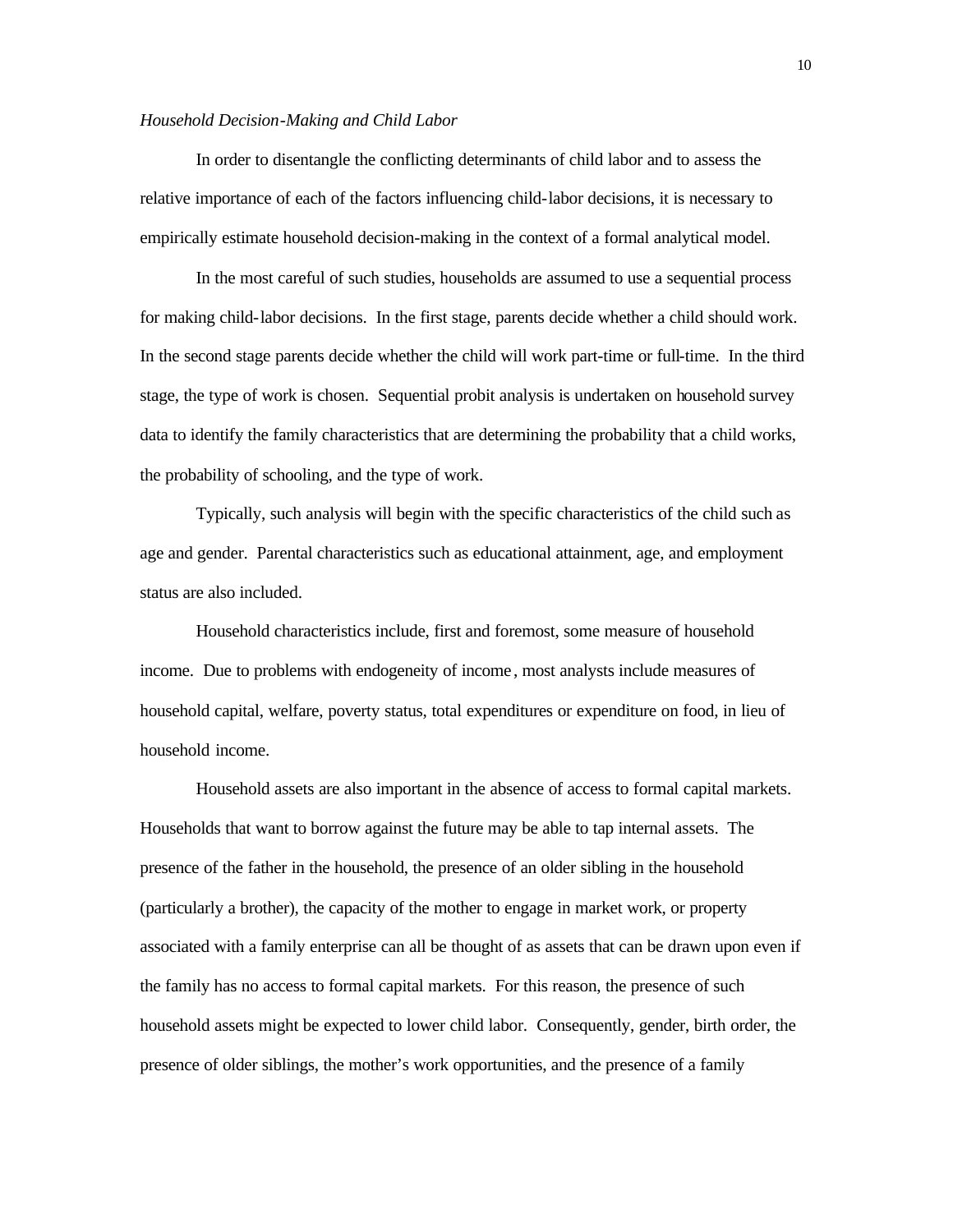#### *Household Decision-Making and Child Labor*

In order to disentangle the conflicting determinants of child labor and to assess the relative importance of each of the factors influencing child-labor decisions, it is necessary to empirically estimate household decision-making in the context of a formal analytical model.

In the most careful of such studies, households are assumed to use a sequential process for making child-labor decisions. In the first stage, parents decide whether a child should work. In the second stage parents decide whether the child will work part-time or full-time. In the third stage, the type of work is chosen. Sequential probit analysis is undertaken on household survey data to identify the family characteristics that are determining the probability that a child works, the probability of schooling, and the type of work.

Typically, such analysis will begin with the specific characteristics of the child such as age and gender. Parental characteristics such as educational attainment, age, and employment status are also included.

Household characteristics include, first and foremost, some measure of household income. Due to problems with endogeneity of income , most analysts include measures of household capital, welfare, poverty status, total expenditures or expenditure on food, in lieu of household income.

Household assets are also important in the absence of access to formal capital markets. Households that want to borrow against the future may be able to tap internal assets. The presence of the father in the household, the presence of an older sibling in the household (particularly a brother), the capacity of the mother to engage in market work, or property associated with a family enterprise can all be thought of as assets that can be drawn upon even if the family has no access to formal capital markets. For this reason, the presence of such household assets might be expected to lower child labor. Consequently, gender, birth order, the presence of older siblings, the mother's work opportunities, and the presence of a family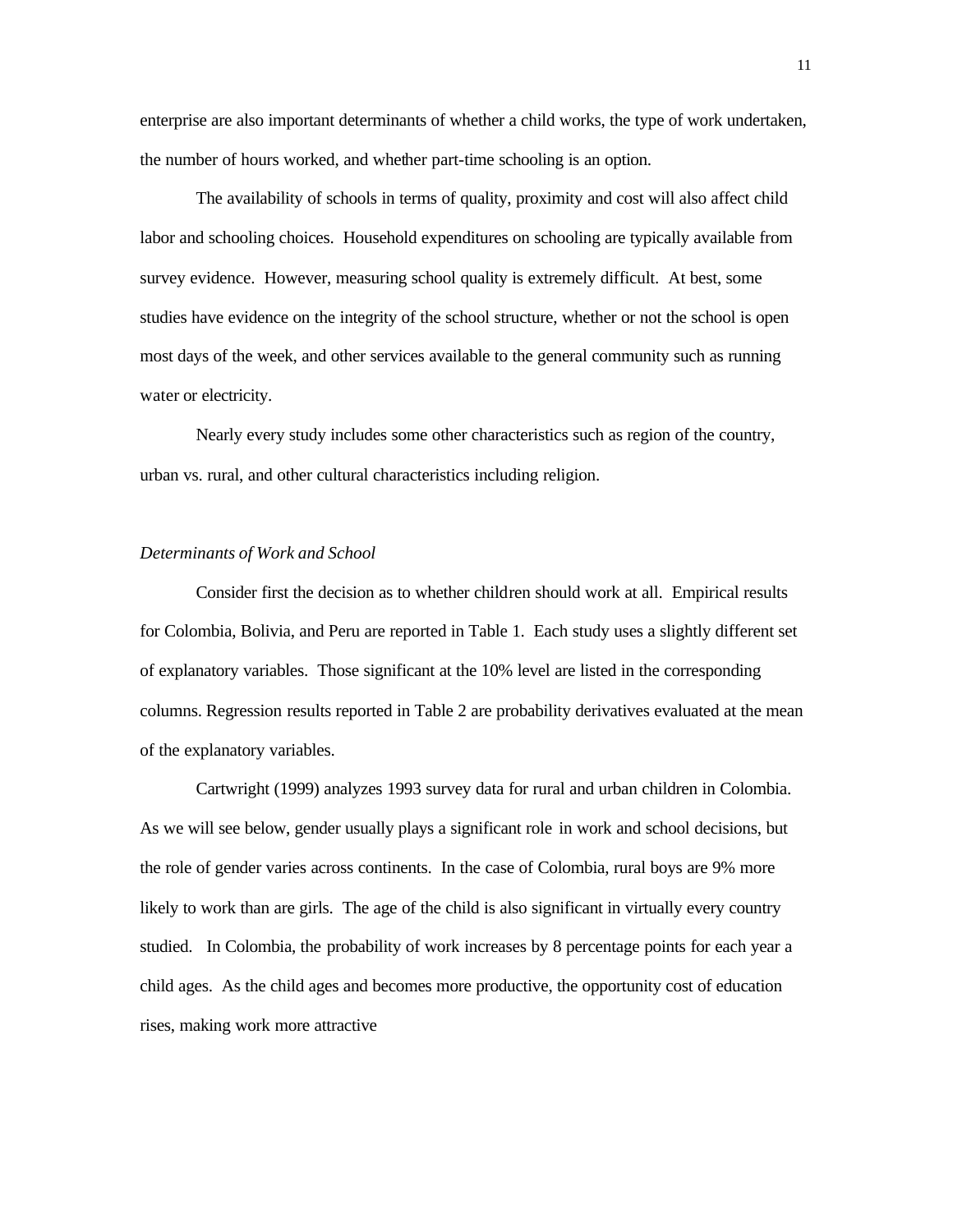enterprise are also important determinants of whether a child works, the type of work undertaken, the number of hours worked, and whether part-time schooling is an option.

The availability of schools in terms of quality, proximity and cost will also affect child labor and schooling choices. Household expenditures on schooling are typically available from survey evidence. However, measuring school quality is extremely difficult. At best, some studies have evidence on the integrity of the school structure, whether or not the school is open most days of the week, and other services available to the general community such as running water or electricity.

Nearly every study includes some other characteristics such as region of the country, urban vs. rural, and other cultural characteristics including religion.

#### *Determinants of Work and School*

Consider first the decision as to whether children should work at all. Empirical results for Colombia, Bolivia, and Peru are reported in Table 1. Each study uses a slightly different set of explanatory variables. Those significant at the 10% level are listed in the corresponding columns. Regression results reported in Table 2 are probability derivatives evaluated at the mean of the explanatory variables.

Cartwright (1999) analyzes 1993 survey data for rural and urban children in Colombia. As we will see below, gender usually plays a significant role in work and school decisions, but the role of gender varies across continents. In the case of Colombia, rural boys are 9% more likely to work than are girls. The age of the child is also significant in virtually every country studied. In Colombia, the probability of work increases by 8 percentage points for each year a child ages. As the child ages and becomes more productive, the opportunity cost of education rises, making work more attractive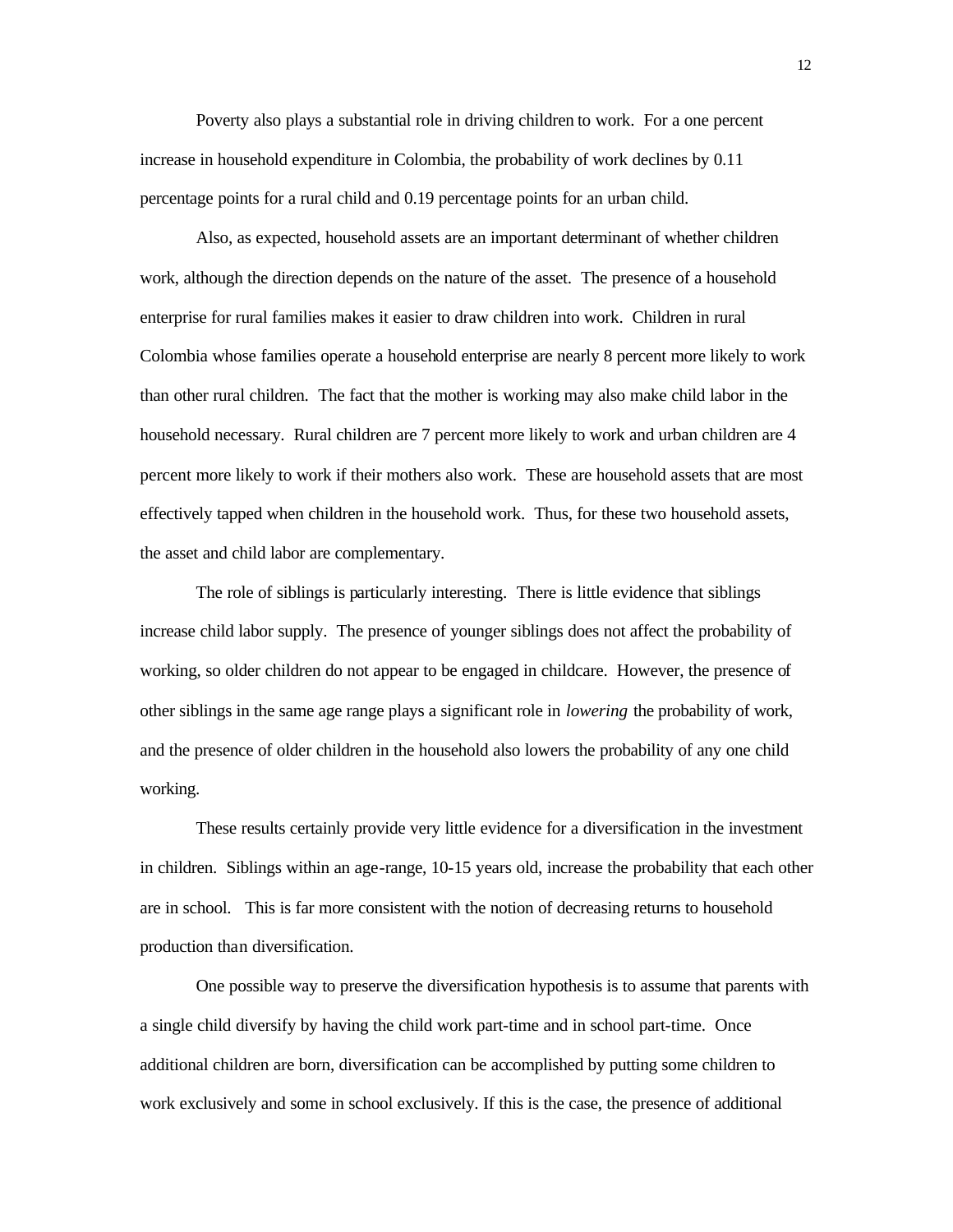Poverty also plays a substantial role in driving children to work. For a one percent increase in household expenditure in Colombia, the probability of work declines by 0.11 percentage points for a rural child and 0.19 percentage points for an urban child.

Also, as expected, household assets are an important determinant of whether children work, although the direction depends on the nature of the asset. The presence of a household enterprise for rural families makes it easier to draw children into work. Children in rural Colombia whose families operate a household enterprise are nearly 8 percent more likely to work than other rural children. The fact that the mother is working may also make child labor in the household necessary. Rural children are 7 percent more likely to work and urban children are 4 percent more likely to work if their mothers also work. These are household assets that are most effectively tapped when children in the household work. Thus, for these two household assets, the asset and child labor are complementary.

The role of siblings is particularly interesting. There is little evidence that siblings increase child labor supply. The presence of younger siblings does not affect the probability of working, so older children do not appear to be engaged in childcare. However, the presence of other siblings in the same age range plays a significant role in *lowering* the probability of work, and the presence of older children in the household also lowers the probability of any one child working.

These results certainly provide very little evidence for a diversification in the investment in children. Siblings within an age-range, 10-15 years old, increase the probability that each other are in school. This is far more consistent with the notion of decreasing returns to household production than diversification.

One possible way to preserve the diversification hypothesis is to assume that parents with a single child diversify by having the child work part-time and in school part-time. Once additional children are born, diversification can be accomplished by putting some children to work exclusively and some in school exclusively. If this is the case, the presence of additional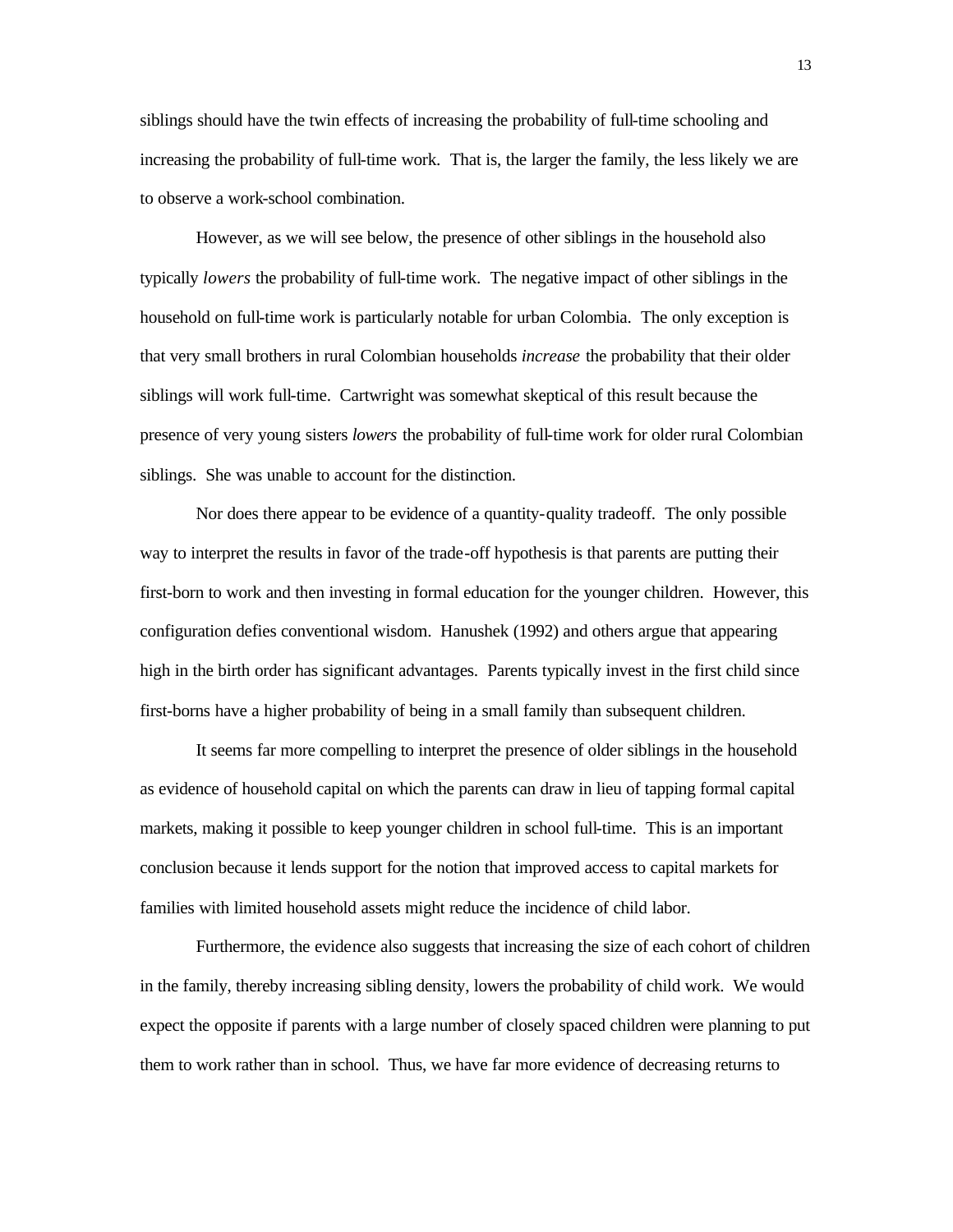siblings should have the twin effects of increasing the probability of full-time schooling and increasing the probability of full-time work. That is, the larger the family, the less likely we are to observe a work-school combination.

However, as we will see below, the presence of other siblings in the household also typically *lowers* the probability of full-time work. The negative impact of other siblings in the household on full-time work is particularly notable for urban Colombia. The only exception is that very small brothers in rural Colombian households *increase* the probability that their older siblings will work full-time. Cartwright was somewhat skeptical of this result because the presence of very young sisters *lowers* the probability of full-time work for older rural Colombian siblings. She was unable to account for the distinction.

Nor does there appear to be evidence of a quantity-quality tradeoff. The only possible way to interpret the results in favor of the trade-off hypothesis is that parents are putting their first-born to work and then investing in formal education for the younger children. However, this configuration defies conventional wisdom. Hanushek (1992) and others argue that appearing high in the birth order has significant advantages. Parents typically invest in the first child since first-borns have a higher probability of being in a small family than subsequent children.

It seems far more compelling to interpret the presence of older siblings in the household as evidence of household capital on which the parents can draw in lieu of tapping formal capital markets, making it possible to keep younger children in school full-time. This is an important conclusion because it lends support for the notion that improved access to capital markets for families with limited household assets might reduce the incidence of child labor.

Furthermore, the evidence also suggests that increasing the size of each cohort of children in the family, thereby increasing sibling density, lowers the probability of child work. We would expect the opposite if parents with a large number of closely spaced children were planning to put them to work rather than in school. Thus, we have far more evidence of decreasing returns to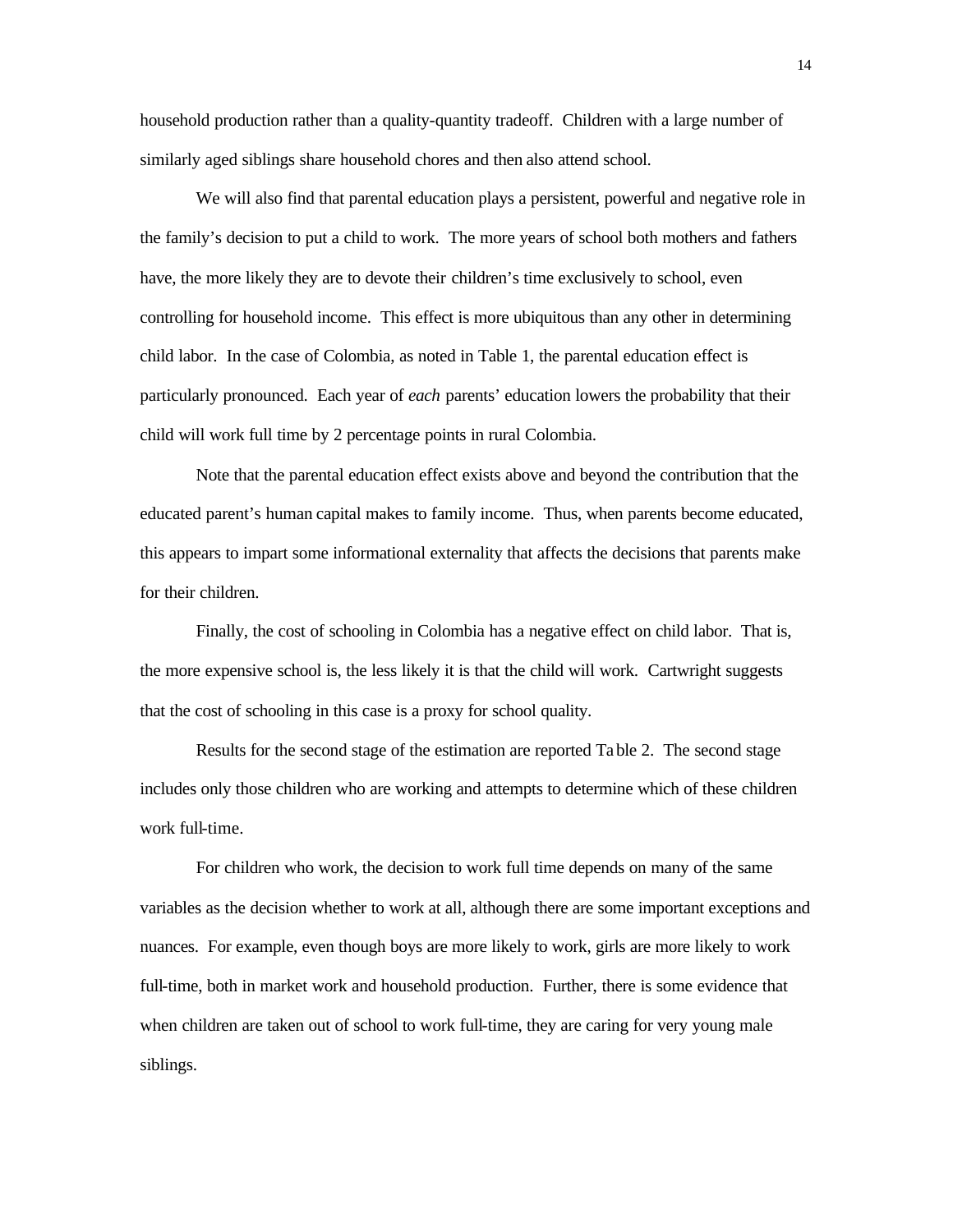household production rather than a quality-quantity tradeoff. Children with a large number of similarly aged siblings share household chores and then also attend school.

We will also find that parental education plays a persistent, powerful and negative role in the family's decision to put a child to work. The more years of school both mothers and fathers have, the more likely they are to devote their children's time exclusively to school, even controlling for household income. This effect is more ubiquitous than any other in determining child labor. In the case of Colombia, as noted in Table 1, the parental education effect is particularly pronounced. Each year of *each* parents' education lowers the probability that their child will work full time by 2 percentage points in rural Colombia.

Note that the parental education effect exists above and beyond the contribution that the educated parent's human capital makes to family income. Thus, when parents become educated, this appears to impart some informational externality that affects the decisions that parents make for their children.

Finally, the cost of schooling in Colombia has a negative effect on child labor. That is, the more expensive school is, the less likely it is that the child will work. Cartwright suggests that the cost of schooling in this case is a proxy for school quality.

Results for the second stage of the estimation are reported Table 2. The second stage includes only those children who are working and attempts to determine which of these children work full-time.

For children who work, the decision to work full time depends on many of the same variables as the decision whether to work at all, although there are some important exceptions and nuances. For example, even though boys are more likely to work, girls are more likely to work full-time, both in market work and household production. Further, there is some evidence that when children are taken out of school to work full-time, they are caring for very young male siblings.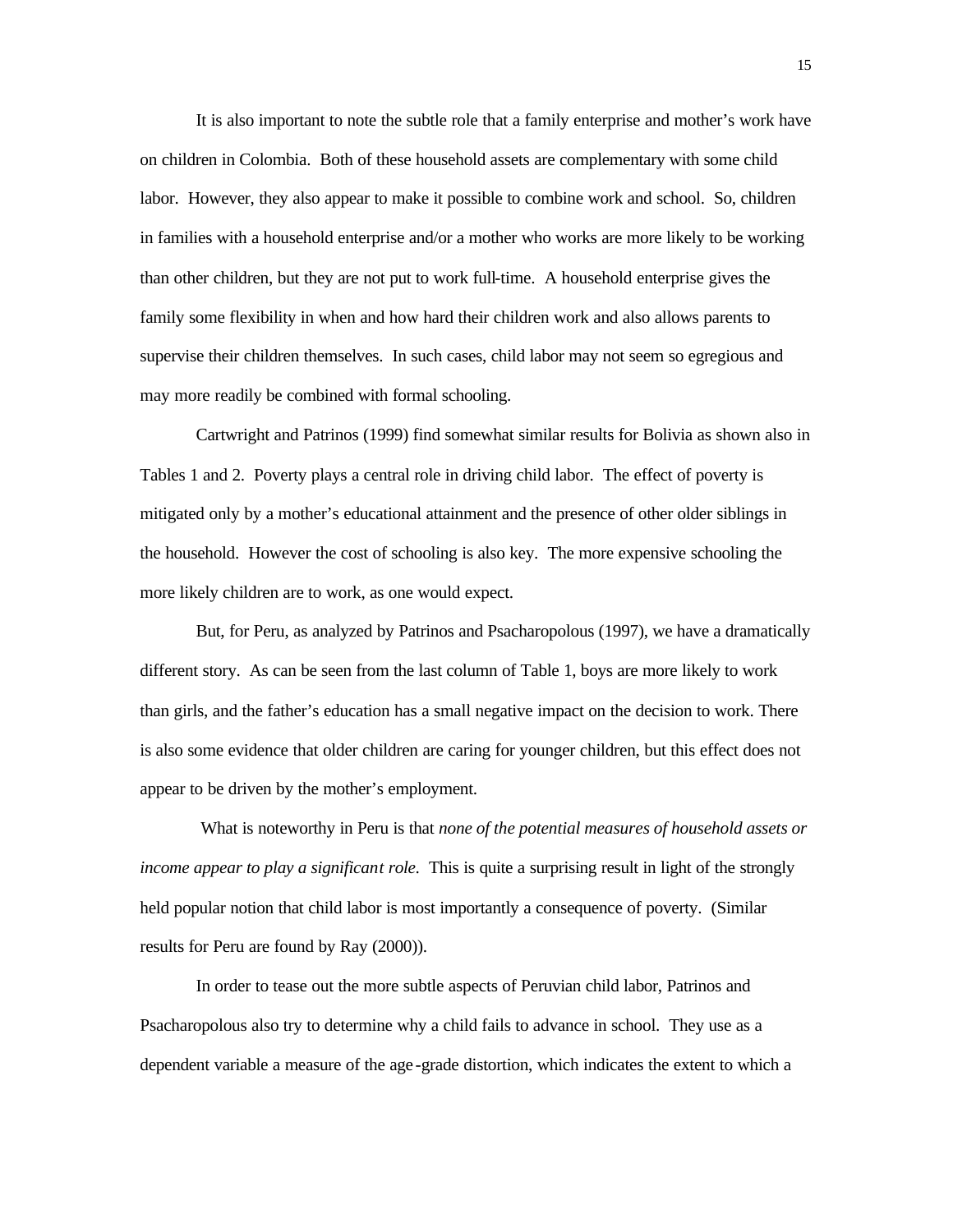It is also important to note the subtle role that a family enterprise and mother's work have on children in Colombia. Both of these household assets are complementary with some child labor. However, they also appear to make it possible to combine work and school. So, children in families with a household enterprise and/or a mother who works are more likely to be working than other children, but they are not put to work full-time. A household enterprise gives the family some flexibility in when and how hard their children work and also allows parents to supervise their children themselves. In such cases, child labor may not seem so egregious and may more readily be combined with formal schooling.

Cartwright and Patrinos (1999) find somewhat similar results for Bolivia as shown also in Tables 1 and 2. Poverty plays a central role in driving child labor. The effect of poverty is mitigated only by a mother's educational attainment and the presence of other older siblings in the household. However the cost of schooling is also key. The more expensive schooling the more likely children are to work, as one would expect.

But, for Peru, as analyzed by Patrinos and Psacharopolous (1997), we have a dramatically different story. As can be seen from the last column of Table 1, boys are more likely to work than girls, and the father's education has a small negative impact on the decision to work. There is also some evidence that older children are caring for younger children, but this effect does not appear to be driven by the mother's employment.

 What is noteworthy in Peru is that *none of the potential measures of household assets or income appear to play a significant role*. This is quite a surprising result in light of the strongly held popular notion that child labor is most importantly a consequence of poverty. (Similar results for Peru are found by Ray (2000)).

In order to tease out the more subtle aspects of Peruvian child labor, Patrinos and Psacharopolous also try to determine why a child fails to advance in school. They use as a dependent variable a measure of the age -grade distortion, which indicates the extent to which a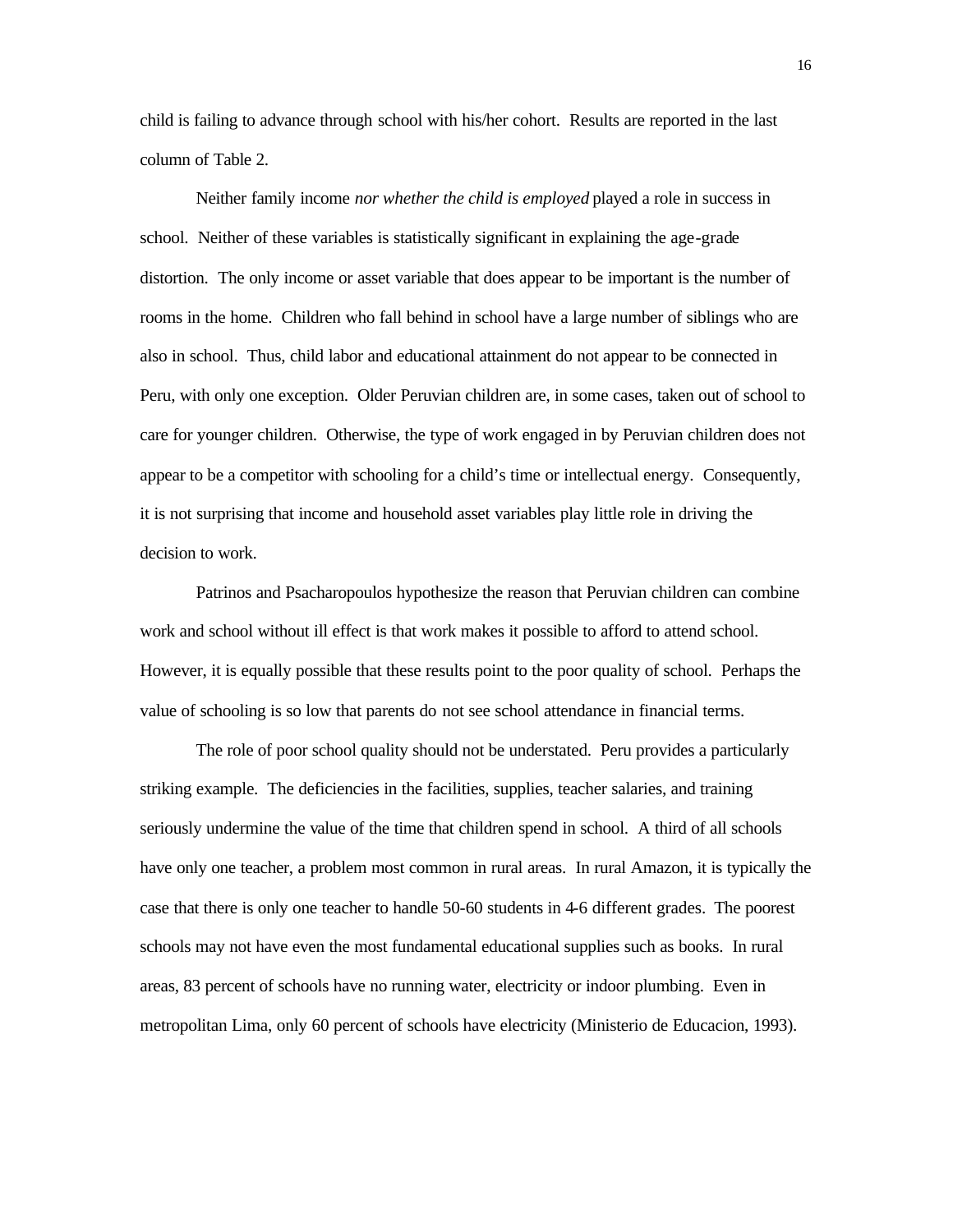child is failing to advance through school with his/her cohort. Results are reported in the last column of Table 2.

Neither family income *nor whether the child is employed* played a role in success in school. Neither of these variables is statistically significant in explaining the age-grade distortion. The only income or asset variable that does appear to be important is the number of rooms in the home. Children who fall behind in school have a large number of siblings who are also in school. Thus, child labor and educational attainment do not appear to be connected in Peru, with only one exception. Older Peruvian children are, in some cases, taken out of school to care for younger children. Otherwise, the type of work engaged in by Peruvian children does not appear to be a competitor with schooling for a child's time or intellectual energy. Consequently, it is not surprising that income and household asset variables play little role in driving the decision to work.

Patrinos and Psacharopoulos hypothesize the reason that Peruvian children can combine work and school without ill effect is that work makes it possible to afford to attend school. However, it is equally possible that these results point to the poor quality of school. Perhaps the value of schooling is so low that parents do not see school attendance in financial terms.

The role of poor school quality should not be understated. Peru provides a particularly striking example. The deficiencies in the facilities, supplies, teacher salaries, and training seriously undermine the value of the time that children spend in school. A third of all schools have only one teacher, a problem most common in rural areas. In rural Amazon, it is typically the case that there is only one teacher to handle 50-60 students in 4-6 different grades. The poorest schools may not have even the most fundamental educational supplies such as books. In rural areas, 83 percent of schools have no running water, electricity or indoor plumbing. Even in metropolitan Lima, only 60 percent of schools have electricity (Ministerio de Educacion, 1993).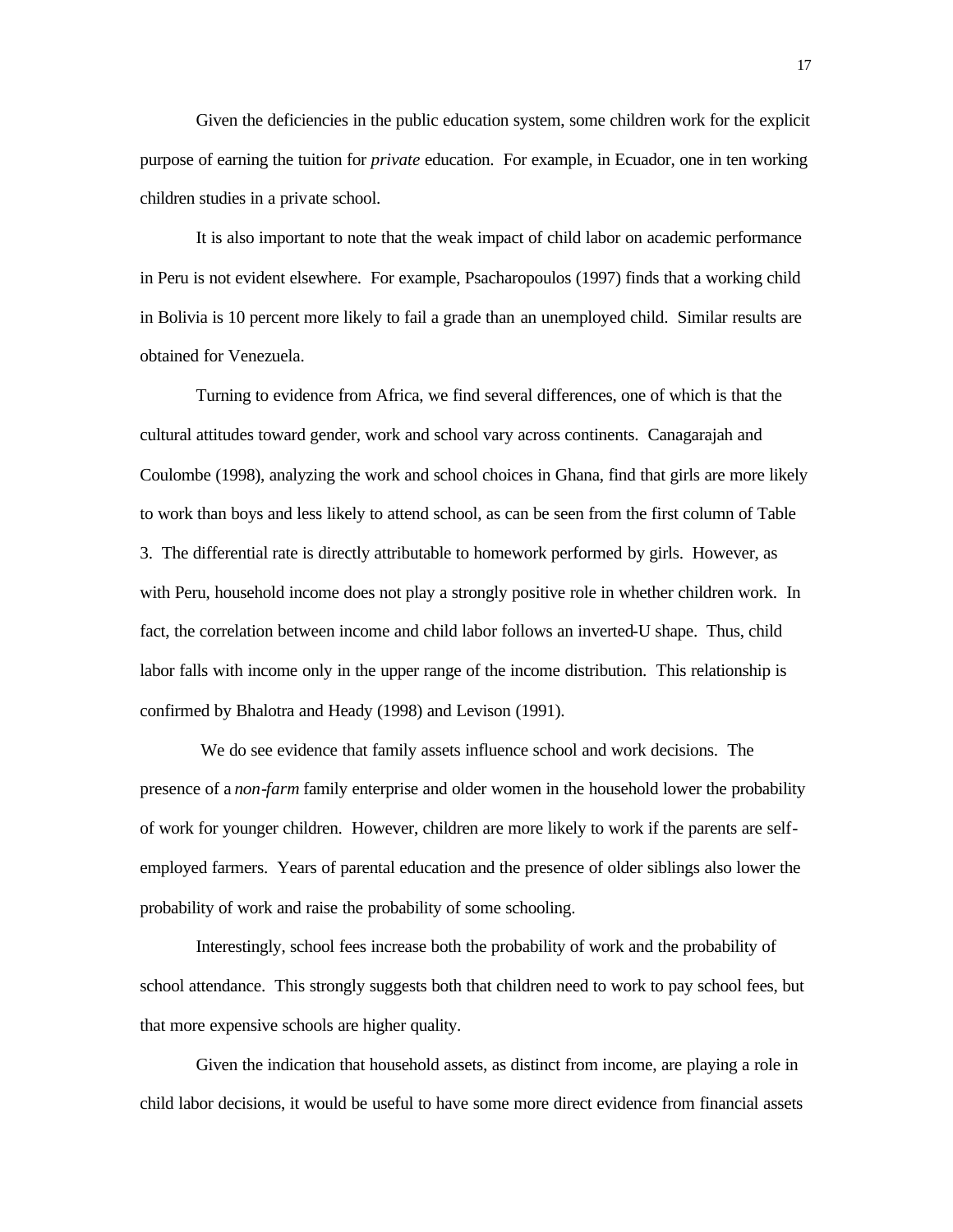Given the deficiencies in the public education system, some children work for the explicit purpose of earning the tuition for *private* education. For example, in Ecuador, one in ten working children studies in a private school.

It is also important to note that the weak impact of child labor on academic performance in Peru is not evident elsewhere. For example, Psacharopoulos (1997) finds that a working child in Bolivia is 10 percent more likely to fail a grade than an unemployed child. Similar results are obtained for Venezuela.

Turning to evidence from Africa, we find several differences, one of which is that the cultural attitudes toward gender, work and school vary across continents. Canagarajah and Coulombe (1998), analyzing the work and school choices in Ghana, find that girls are more likely to work than boys and less likely to attend school, as can be seen from the first column of Table 3. The differential rate is directly attributable to homework performed by girls. However, as with Peru, household income does not play a strongly positive role in whether children work. In fact, the correlation between income and child labor follows an inverted-U shape. Thus, child labor falls with income only in the upper range of the income distribution. This relationship is confirmed by Bhalotra and Heady (1998) and Levison (1991).

 We do see evidence that family assets influence school and work decisions. The presence of a *non-farm* family enterprise and older women in the household lower the probability of work for younger children. However, children are more likely to work if the parents are selfemployed farmers. Years of parental education and the presence of older siblings also lower the probability of work and raise the probability of some schooling.

Interestingly, school fees increase both the probability of work and the probability of school attendance. This strongly suggests both that children need to work to pay school fees, but that more expensive schools are higher quality.

Given the indication that household assets, as distinct from income, are playing a role in child labor decisions, it would be useful to have some more direct evidence from financial assets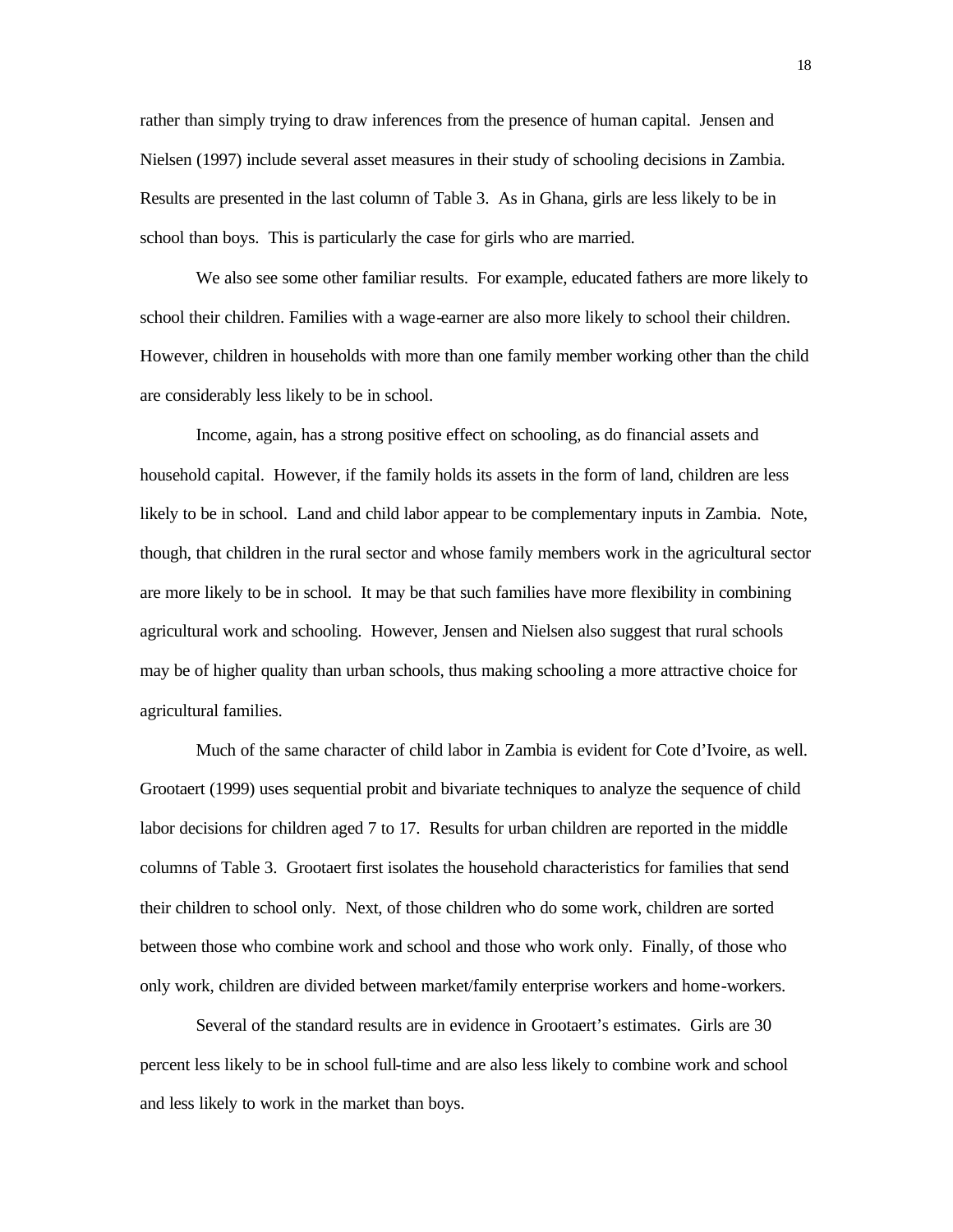rather than simply trying to draw inferences from the presence of human capital. Jensen and Nielsen (1997) include several asset measures in their study of schooling decisions in Zambia. Results are presented in the last column of Table 3. As in Ghana, girls are less likely to be in school than boys. This is particularly the case for girls who are married.

We also see some other familiar results. For example, educated fathers are more likely to school their children. Families with a wage-earner are also more likely to school their children. However, children in households with more than one family member working other than the child are considerably less likely to be in school.

Income, again, has a strong positive effect on schooling, as do financial assets and household capital. However, if the family holds its assets in the form of land, children are less likely to be in school. Land and child labor appear to be complementary inputs in Zambia. Note, though, that children in the rural sector and whose family members work in the agricultural sector are more likely to be in school. It may be that such families have more flexibility in combining agricultural work and schooling. However, Jensen and Nielsen also suggest that rural schools may be of higher quality than urban schools, thus making schooling a more attractive choice for agricultural families.

Much of the same character of child labor in Zambia is evident for Cote d'Ivoire, as well. Grootaert (1999) uses sequential probit and bivariate techniques to analyze the sequence of child labor decisions for children aged 7 to 17. Results for urban children are reported in the middle columns of Table 3. Grootaert first isolates the household characteristics for families that send their children to school only. Next, of those children who do some work, children are sorted between those who combine work and school and those who work only. Finally, of those who only work, children are divided between market/family enterprise workers and home-workers.

Several of the standard results are in evidence in Grootaert's estimates. Girls are 30 percent less likely to be in school full-time and are also less likely to combine work and school and less likely to work in the market than boys.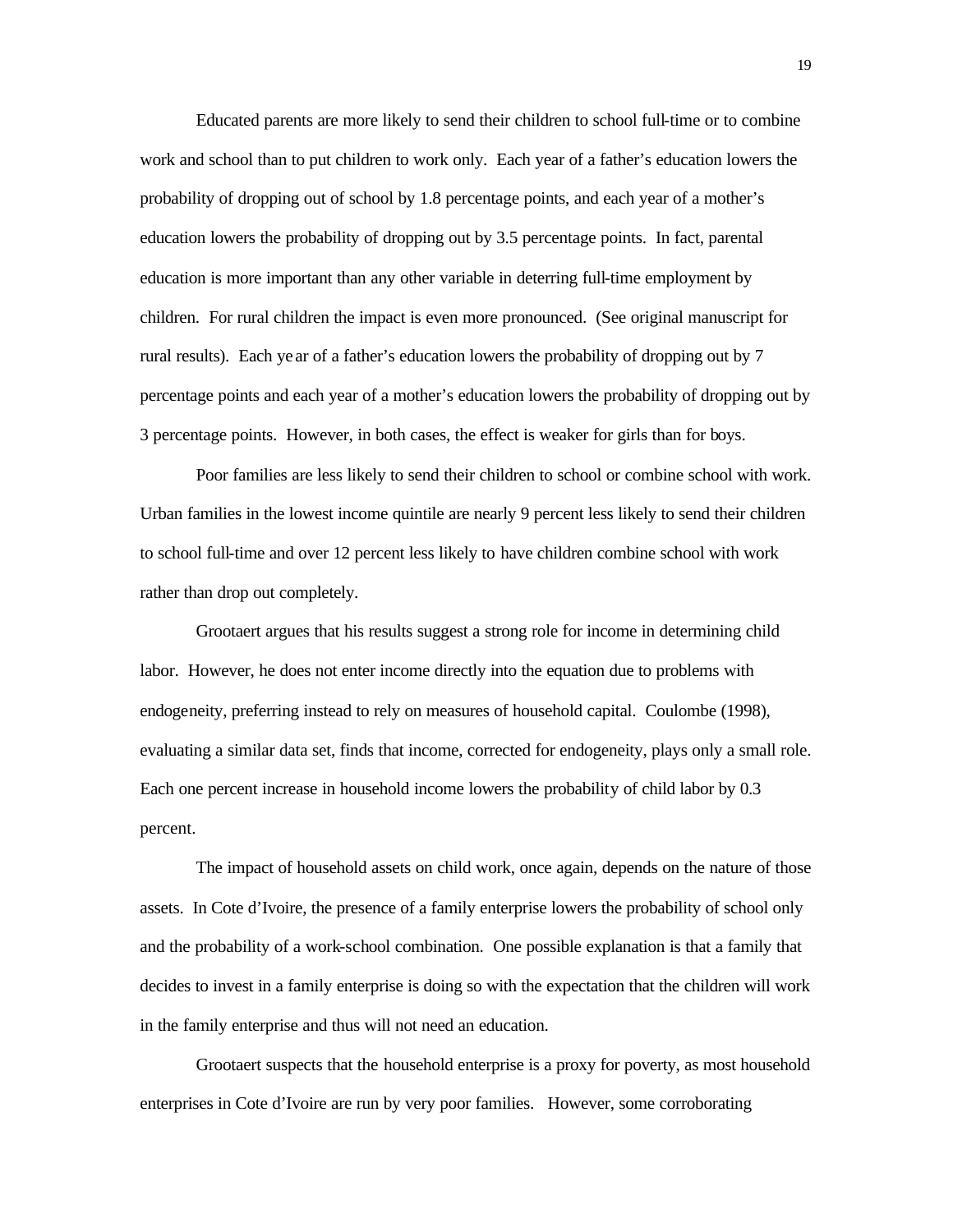Educated parents are more likely to send their children to school full-time or to combine work and school than to put children to work only. Each year of a father's education lowers the probability of dropping out of school by 1.8 percentage points, and each year of a mother's education lowers the probability of dropping out by 3.5 percentage points. In fact, parental education is more important than any other variable in deterring full-time employment by children. For rural children the impact is even more pronounced. (See original manuscript for rural results). Each ye ar of a father's education lowers the probability of dropping out by 7 percentage points and each year of a mother's education lowers the probability of dropping out by 3 percentage points. However, in both cases, the effect is weaker for girls than for boys.

Poor families are less likely to send their children to school or combine school with work. Urban families in the lowest income quintile are nearly 9 percent less likely to send their children to school full-time and over 12 percent less likely to have children combine school with work rather than drop out completely.

Grootaert argues that his results suggest a strong role for income in determining child labor. However, he does not enter income directly into the equation due to problems with endogeneity, preferring instead to rely on measures of household capital. Coulombe (1998), evaluating a similar data set, finds that income, corrected for endogeneity, plays only a small role. Each one percent increase in household income lowers the probability of child labor by 0.3 percent.

The impact of household assets on child work, once again, depends on the nature of those assets. In Cote d'Ivoire, the presence of a family enterprise lowers the probability of school only and the probability of a work-school combination. One possible explanation is that a family that decides to invest in a family enterprise is doing so with the expectation that the children will work in the family enterprise and thus will not need an education.

Grootaert suspects that the household enterprise is a proxy for poverty, as most household enterprises in Cote d'Ivoire are run by very poor families. However, some corroborating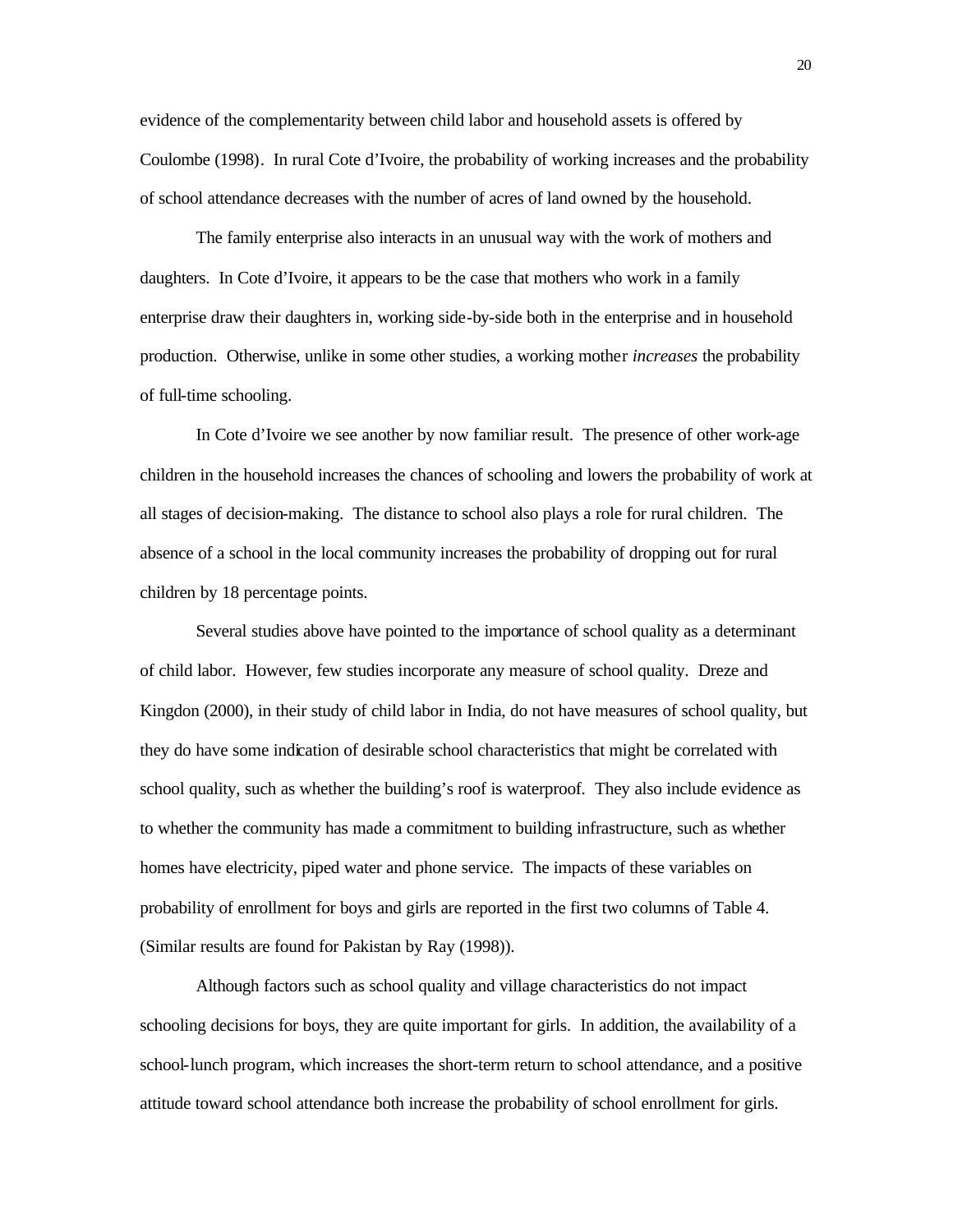evidence of the complementarity between child labor and household assets is offered by Coulombe (1998). In rural Cote d'Ivoire, the probability of working increases and the probability of school attendance decreases with the number of acres of land owned by the household.

The family enterprise also interacts in an unusual way with the work of mothers and daughters. In Cote d'Ivoire, it appears to be the case that mothers who work in a family enterprise draw their daughters in, working side-by-side both in the enterprise and in household production. Otherwise, unlike in some other studies, a working mother *increases* the probability of full-time schooling.

In Cote d'Ivoire we see another by now familiar result. The presence of other work-age children in the household increases the chances of schooling and lowers the probability of work at all stages of decision-making. The distance to school also plays a role for rural children. The absence of a school in the local community increases the probability of dropping out for rural children by 18 percentage points.

Several studies above have pointed to the importance of school quality as a determinant of child labor. However, few studies incorporate any measure of school quality. Dreze and Kingdon (2000), in their study of child labor in India, do not have measures of school quality, but they do have some indication of desirable school characteristics that might be correlated with school quality, such as whether the building's roof is waterproof. They also include evidence as to whether the community has made a commitment to building infrastructure, such as whether homes have electricity, piped water and phone service. The impacts of these variables on probability of enrollment for boys and girls are reported in the first two columns of Table 4. (Similar results are found for Pakistan by Ray (1998)).

Although factors such as school quality and village characteristics do not impact schooling decisions for boys, they are quite important for girls. In addition, the availability of a school-lunch program, which increases the short-term return to school attendance, and a positive attitude toward school attendance both increase the probability of school enrollment for girls.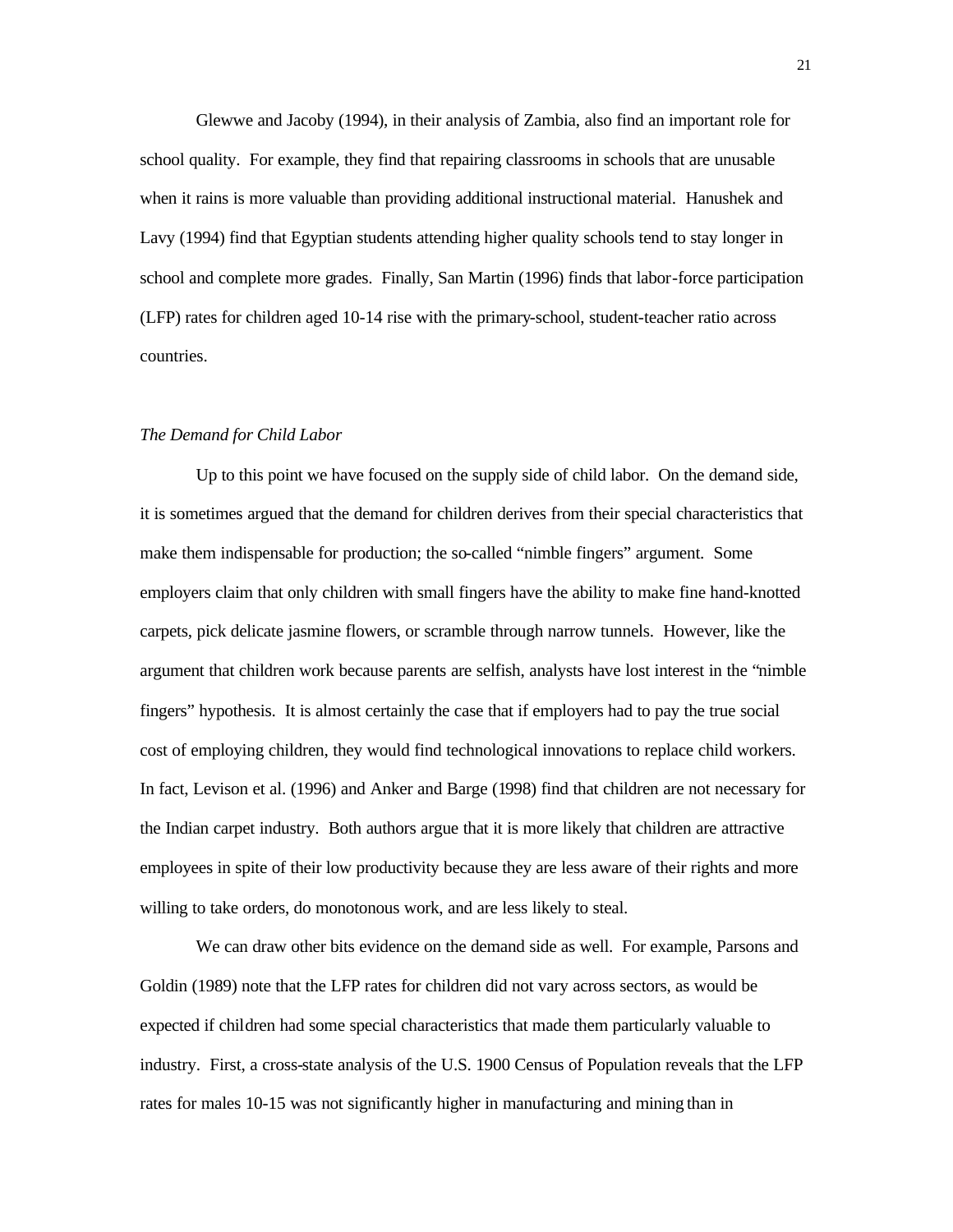Glewwe and Jacoby (1994), in their analysis of Zambia, also find an important role for school quality. For example, they find that repairing classrooms in schools that are unusable when it rains is more valuable than providing additional instructional material. Hanushek and Lavy (1994) find that Egyptian students attending higher quality schools tend to stay longer in school and complete more grades. Finally, San Martin (1996) finds that labor-force participation (LFP) rates for children aged 10-14 rise with the primary-school, student-teacher ratio across countries.

#### *The Demand for Child Labor*

Up to this point we have focused on the supply side of child labor. On the demand side, it is sometimes argued that the demand for children derives from their special characteristics that make them indispensable for production; the so-called "nimble fingers" argument. Some employers claim that only children with small fingers have the ability to make fine hand-knotted carpets, pick delicate jasmine flowers, or scramble through narrow tunnels. However, like the argument that children work because parents are selfish, analysts have lost interest in the "nimble fingers" hypothesis. It is almost certainly the case that if employers had to pay the true social cost of employing children, they would find technological innovations to replace child workers. In fact, Levison et al. (1996) and Anker and Barge (1998) find that children are not necessary for the Indian carpet industry. Both authors argue that it is more likely that children are attractive employees in spite of their low productivity because they are less aware of their rights and more willing to take orders, do monotonous work, and are less likely to steal.

We can draw other bits evidence on the demand side as well. For example, Parsons and Goldin (1989) note that the LFP rates for children did not vary across sectors, as would be expected if children had some special characteristics that made them particularly valuable to industry. First, a cross-state analysis of the U.S. 1900 Census of Population reveals that the LFP rates for males 10-15 was not significantly higher in manufacturing and mining than in

21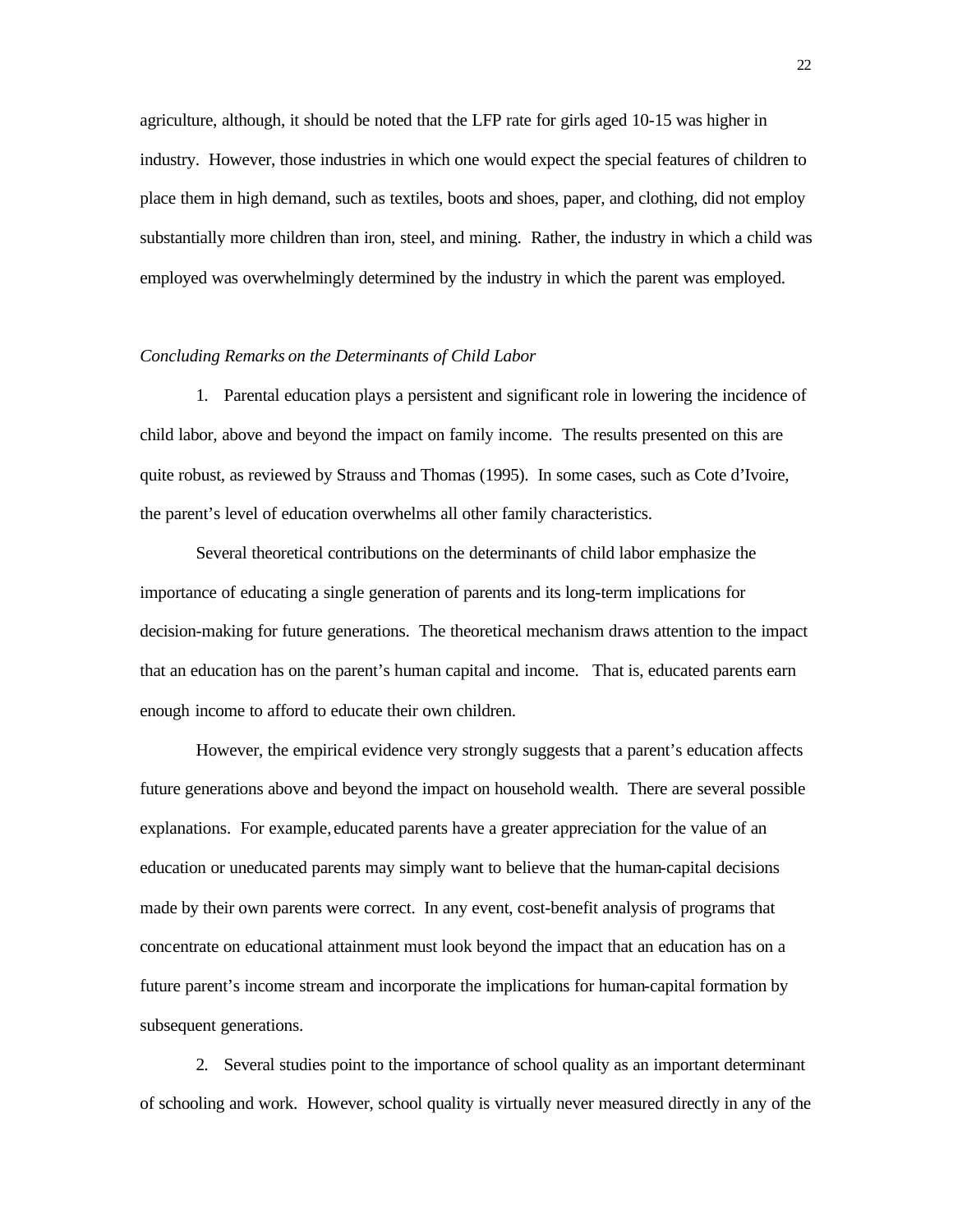agriculture, although, it should be noted that the LFP rate for girls aged 10-15 was higher in industry. However, those industries in which one would expect the special features of children to place them in high demand, such as textiles, boots and shoes, paper, and clothing, did not employ substantially more children than iron, steel, and mining. Rather, the industry in which a child was employed was overwhelmingly determined by the industry in which the parent was employed.

#### *Concluding Remarks on the Determinants of Child Labor*

1. Parental education plays a persistent and significant role in lowering the incidence of child labor, above and beyond the impact on family income. The results presented on this are quite robust, as reviewed by Strauss and Thomas (1995). In some cases, such as Cote d'Ivoire, the parent's level of education overwhelms all other family characteristics.

Several theoretical contributions on the determinants of child labor emphasize the importance of educating a single generation of parents and its long-term implications for decision-making for future generations. The theoretical mechanism draws attention to the impact that an education has on the parent's human capital and income. That is, educated parents earn enough income to afford to educate their own children.

However, the empirical evidence very strongly suggests that a parent's education affects future generations above and beyond the impact on household wealth. There are several possible explanations. For example, educated parents have a greater appreciation for the value of an education or uneducated parents may simply want to believe that the human-capital decisions made by their own parents were correct. In any event, cost-benefit analysis of programs that concentrate on educational attainment must look beyond the impact that an education has on a future parent's income stream and incorporate the implications for human-capital formation by subsequent generations.

2. Several studies point to the importance of school quality as an important determinant of schooling and work. However, school quality is virtually never measured directly in any of the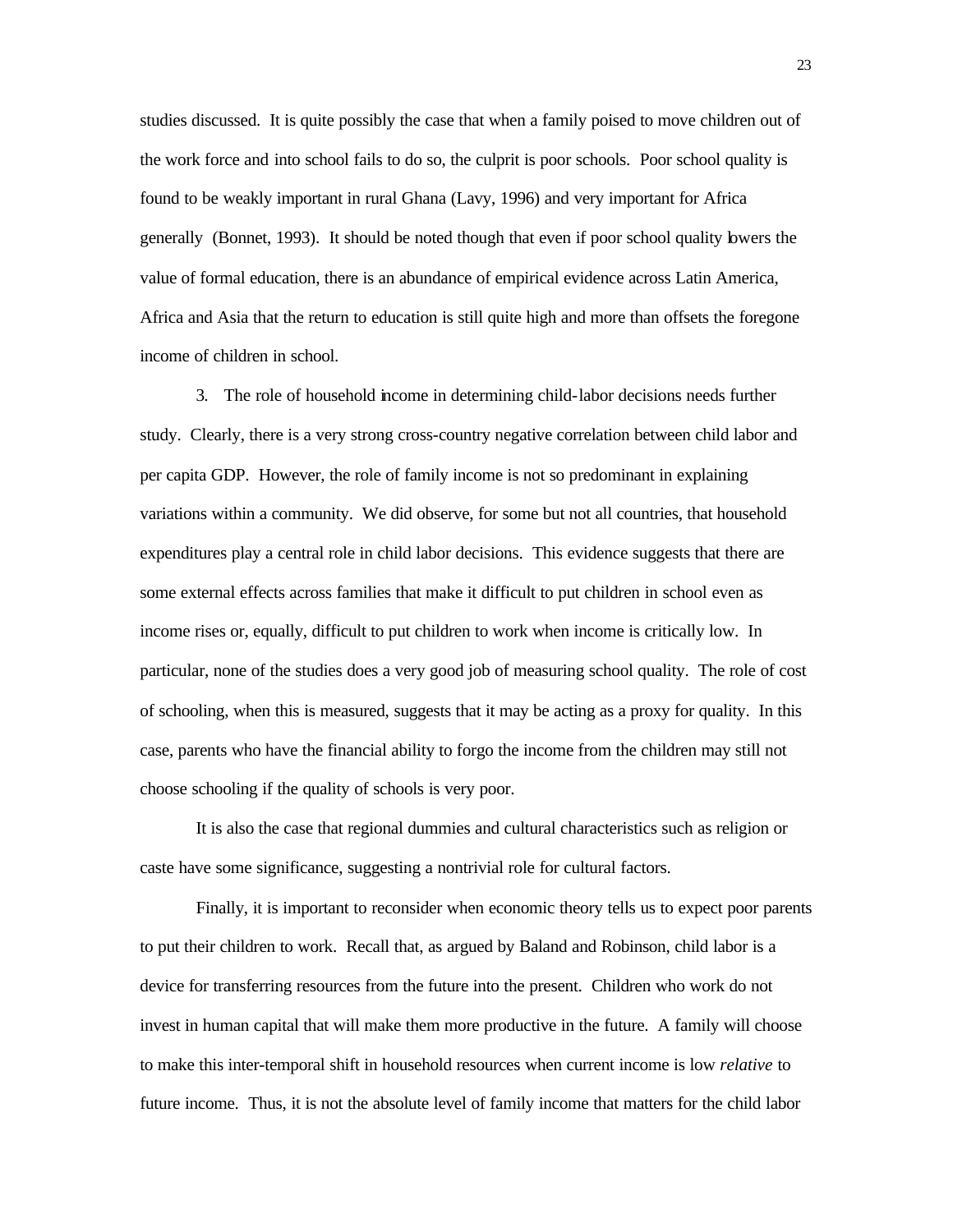studies discussed. It is quite possibly the case that when a family poised to move children out of the work force and into school fails to do so, the culprit is poor schools. Poor school quality is found to be weakly important in rural Ghana (Lavy, 1996) and very important for Africa generally (Bonnet, 1993). It should be noted though that even if poor school quality lowers the value of formal education, there is an abundance of empirical evidence across Latin America, Africa and Asia that the return to education is still quite high and more than offsets the foregone income of children in school.

3. The role of household income in determining child-labor decisions needs further study. Clearly, there is a very strong cross-country negative correlation between child labor and per capita GDP. However, the role of family income is not so predominant in explaining variations within a community. We did observe, for some but not all countries, that household expenditures play a central role in child labor decisions. This evidence suggests that there are some external effects across families that make it difficult to put children in school even as income rises or, equally, difficult to put children to work when income is critically low. In particular, none of the studies does a very good job of measuring school quality. The role of cost of schooling, when this is measured, suggests that it may be acting as a proxy for quality. In this case, parents who have the financial ability to forgo the income from the children may still not choose schooling if the quality of schools is very poor.

It is also the case that regional dummies and cultural characteristics such as religion or caste have some significance, suggesting a nontrivial role for cultural factors.

Finally, it is important to reconsider when economic theory tells us to expect poor parents to put their children to work. Recall that, as argued by Baland and Robinson, child labor is a device for transferring resources from the future into the present. Children who work do not invest in human capital that will make them more productive in the future. A family will choose to make this inter-temporal shift in household resources when current income is low *relative* to future income. Thus, it is not the absolute level of family income that matters for the child labor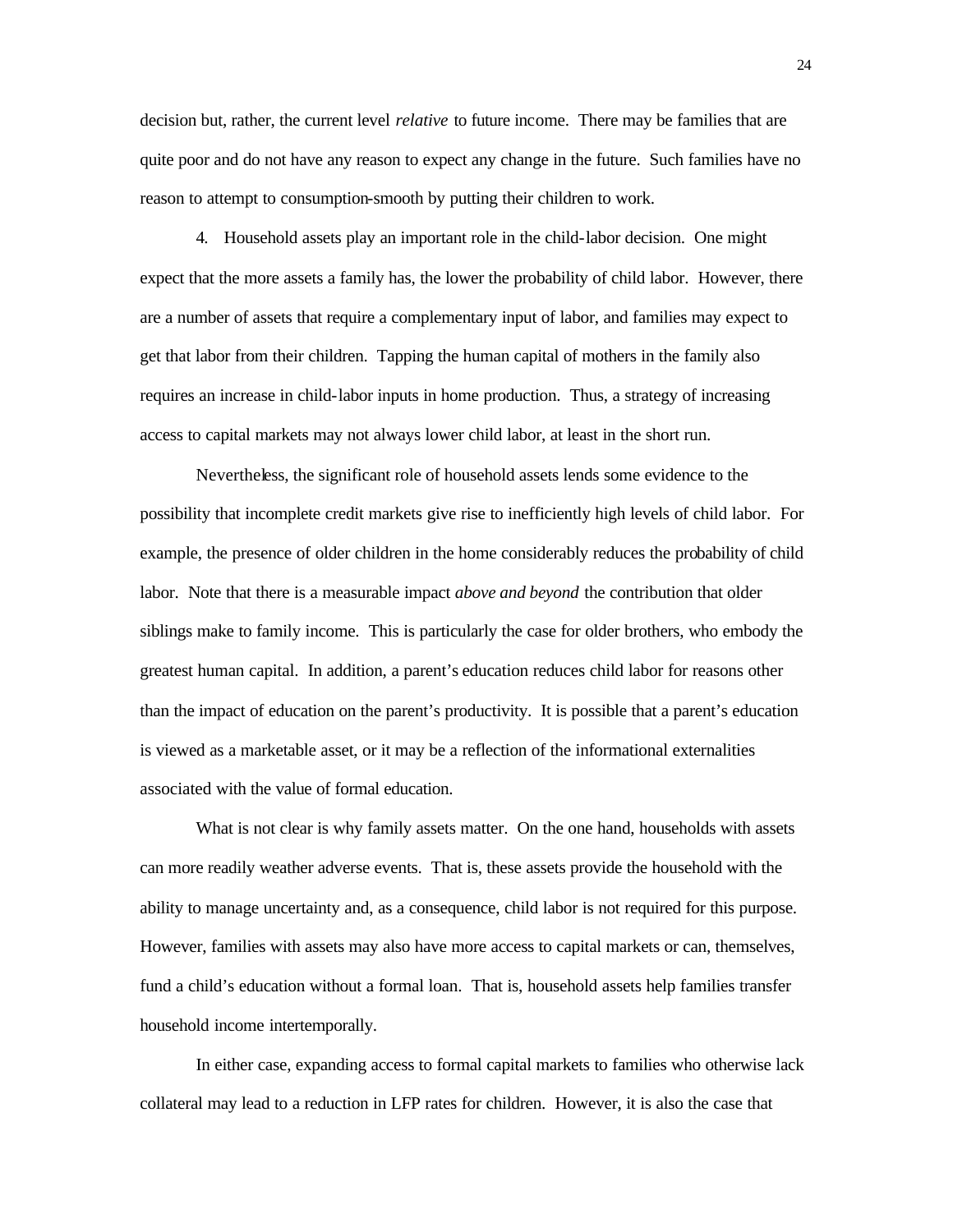decision but, rather, the current level *relative* to future income. There may be families that are quite poor and do not have any reason to expect any change in the future. Such families have no reason to attempt to consumption-smooth by putting their children to work.

4. Household assets play an important role in the child-labor decision. One might expect that the more assets a family has, the lower the probability of child labor. However, there are a number of assets that require a complementary input of labor, and families may expect to get that labor from their children. Tapping the human capital of mothers in the family also requires an increase in child-labor inputs in home production. Thus, a strategy of increasing access to capital markets may not always lower child labor, at least in the short run.

Nevertheless, the significant role of household assets lends some evidence to the possibility that incomplete credit markets give rise to inefficiently high levels of child labor. For example, the presence of older children in the home considerably reduces the probability of child labor. Note that there is a measurable impact *above and beyond* the contribution that older siblings make to family income. This is particularly the case for older brothers, who embody the greatest human capital. In addition, a parent's education reduces child labor for reasons other than the impact of education on the parent's productivity. It is possible that a parent's education is viewed as a marketable asset, or it may be a reflection of the informational externalities associated with the value of formal education.

What is not clear is why family assets matter. On the one hand, households with assets can more readily weather adverse events. That is, these assets provide the household with the ability to manage uncertainty and, as a consequence, child labor is not required for this purpose. However, families with assets may also have more access to capital markets or can, themselves, fund a child's education without a formal loan. That is, household assets help families transfer household income intertemporally.

In either case, expanding access to formal capital markets to families who otherwise lack collateral may lead to a reduction in LFP rates for children. However, it is also the case that

24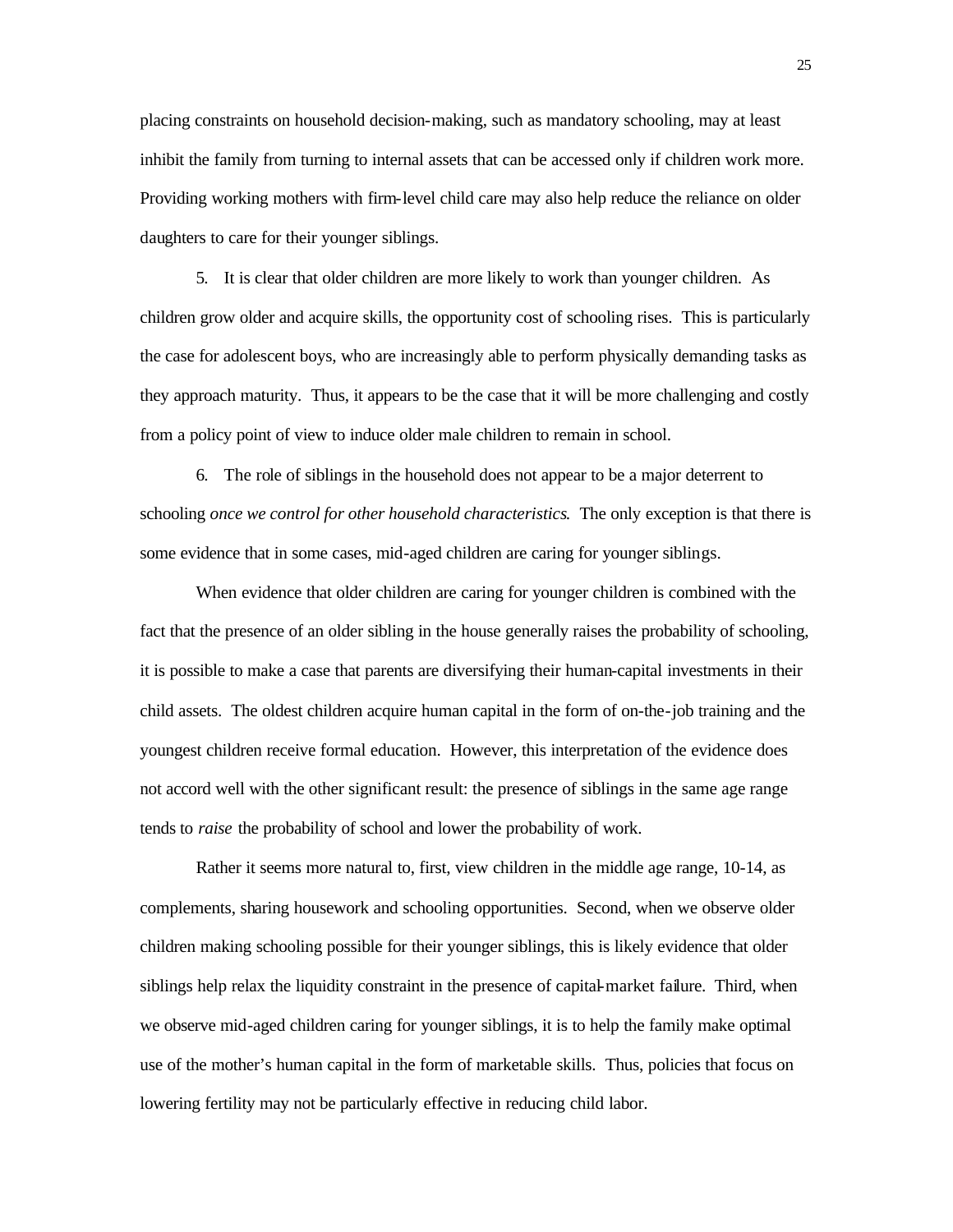placing constraints on household decision-making, such as mandatory schooling, may at least inhibit the family from turning to internal assets that can be accessed only if children work more. Providing working mothers with firm-level child care may also help reduce the reliance on older daughters to care for their younger siblings.

5. It is clear that older children are more likely to work than younger children. As children grow older and acquire skills, the opportunity cost of schooling rises. This is particularly the case for adolescent boys, who are increasingly able to perform physically demanding tasks as they approach maturity. Thus, it appears to be the case that it will be more challenging and costly from a policy point of view to induce older male children to remain in school.

6. The role of siblings in the household does not appear to be a major deterrent to schooling *once we control for other household characteristics*. The only exception is that there is some evidence that in some cases, mid-aged children are caring for younger siblings.

When evidence that older children are caring for younger children is combined with the fact that the presence of an older sibling in the house generally raises the probability of schooling, it is possible to make a case that parents are diversifying their human-capital investments in their child assets. The oldest children acquire human capital in the form of on-the-job training and the youngest children receive formal education. However, this interpretation of the evidence does not accord well with the other significant result: the presence of siblings in the same age range tends to *raise* the probability of school and lower the probability of work.

Rather it seems more natural to, first, view children in the middle age range, 10-14, as complements, sharing housework and schooling opportunities. Second, when we observe older children making schooling possible for their younger siblings, this is likely evidence that older siblings help relax the liquidity constraint in the presence of capital-market failure. Third, when we observe mid-aged children caring for younger siblings, it is to help the family make optimal use of the mother's human capital in the form of marketable skills. Thus, policies that focus on lowering fertility may not be particularly effective in reducing child labor.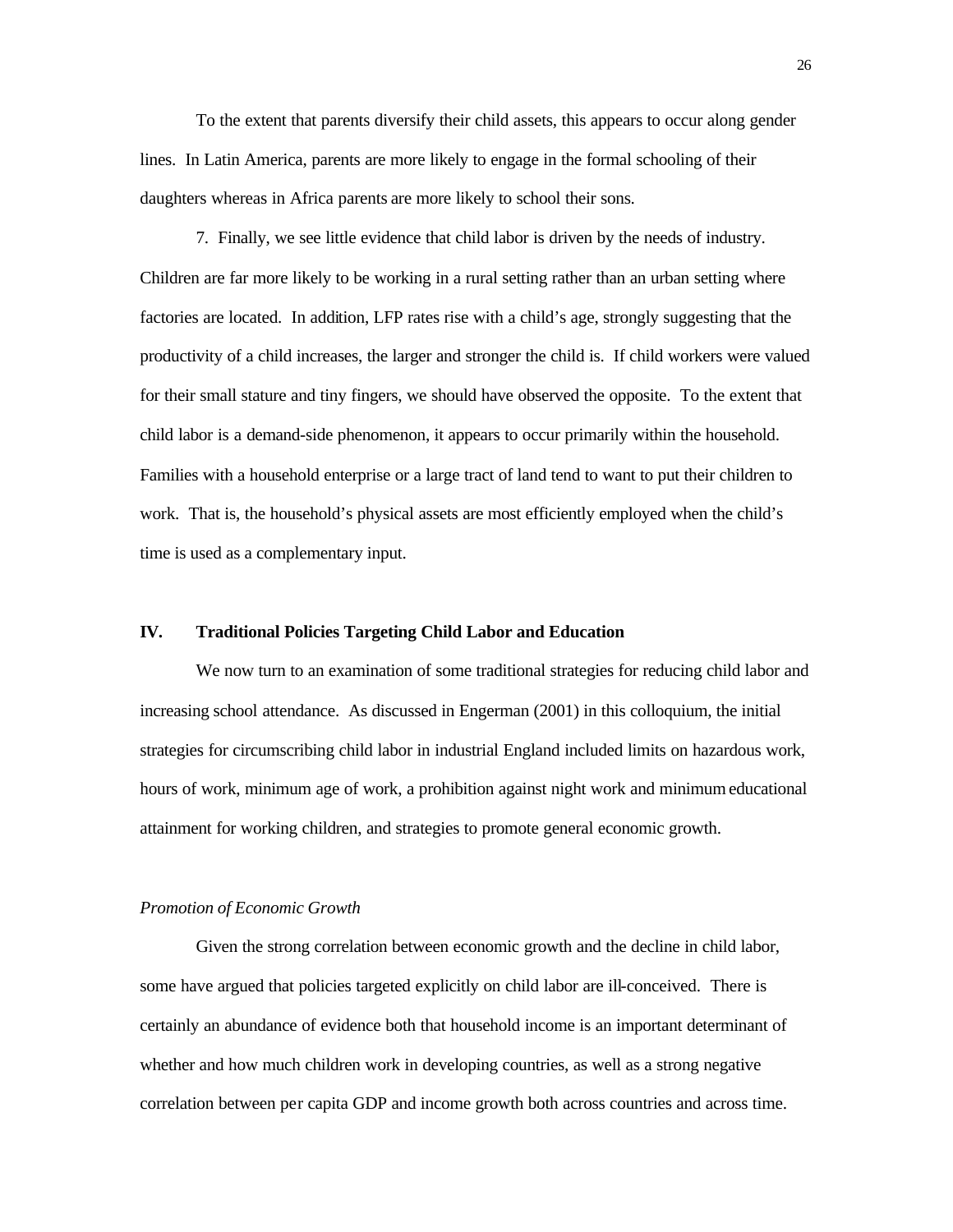To the extent that parents diversify their child assets, this appears to occur along gender lines. In Latin America, parents are more likely to engage in the formal schooling of their daughters whereas in Africa parents are more likely to school their sons.

7. Finally, we see little evidence that child labor is driven by the needs of industry. Children are far more likely to be working in a rural setting rather than an urban setting where factories are located. In addition, LFP rates rise with a child's age, strongly suggesting that the productivity of a child increases, the larger and stronger the child is. If child workers were valued for their small stature and tiny fingers, we should have observed the opposite. To the extent that child labor is a demand-side phenomenon, it appears to occur primarily within the household. Families with a household enterprise or a large tract of land tend to want to put their children to work. That is, the household's physical assets are most efficiently employed when the child's time is used as a complementary input.

#### **IV. Traditional Policies Targeting Child Labor and Education**

We now turn to an examination of some traditional strategies for reducing child labor and increasing school attendance. As discussed in Engerman (2001) in this colloquium, the initial strategies for circumscribing child labor in industrial England included limits on hazardous work, hours of work, minimum age of work, a prohibition against night work and minimum educational attainment for working children, and strategies to promote general economic growth.

#### *Promotion of Economic Growth*

Given the strong correlation between economic growth and the decline in child labor, some have argued that policies targeted explicitly on child labor are ill-conceived. There is certainly an abundance of evidence both that household income is an important determinant of whether and how much children work in developing countries, as well as a strong negative correlation between per capita GDP and income growth both across countries and across time.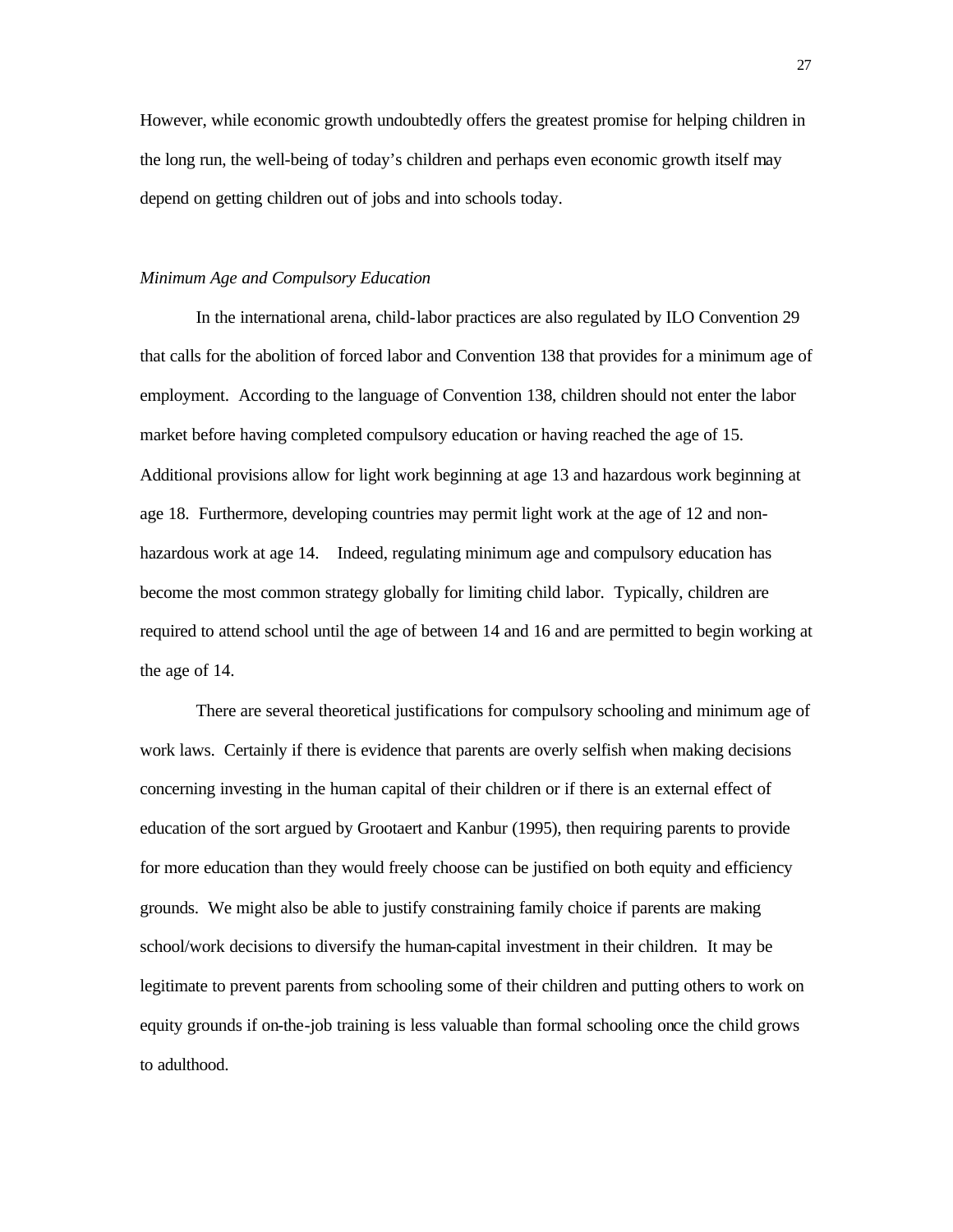However, while economic growth undoubtedly offers the greatest promise for helping children in the long run, the well-being of today's children and perhaps even economic growth itself may depend on getting children out of jobs and into schools today.

#### *Minimum Age and Compulsory Education*

In the international arena, child-labor practices are also regulated by ILO Convention 29 that calls for the abolition of forced labor and Convention 138 that provides for a minimum age of employment. According to the language of Convention 138, children should not enter the labor market before having completed compulsory education or having reached the age of 15. Additional provisions allow for light work beginning at age 13 and hazardous work beginning at age 18. Furthermore, developing countries may permit light work at the age of 12 and nonhazardous work at age 14. Indeed, regulating minimum age and compulsory education has become the most common strategy globally for limiting child labor. Typically, children are required to attend school until the age of between 14 and 16 and are permitted to begin working at the age of 14.

There are several theoretical justifications for compulsory schooling and minimum age of work laws. Certainly if there is evidence that parents are overly selfish when making decisions concerning investing in the human capital of their children or if there is an external effect of education of the sort argued by Grootaert and Kanbur (1995), then requiring parents to provide for more education than they would freely choose can be justified on both equity and efficiency grounds. We might also be able to justify constraining family choice if parents are making school/work decisions to diversify the human-capital investment in their children. It may be legitimate to prevent parents from schooling some of their children and putting others to work on equity grounds if on-the-job training is less valuable than formal schooling once the child grows to adulthood.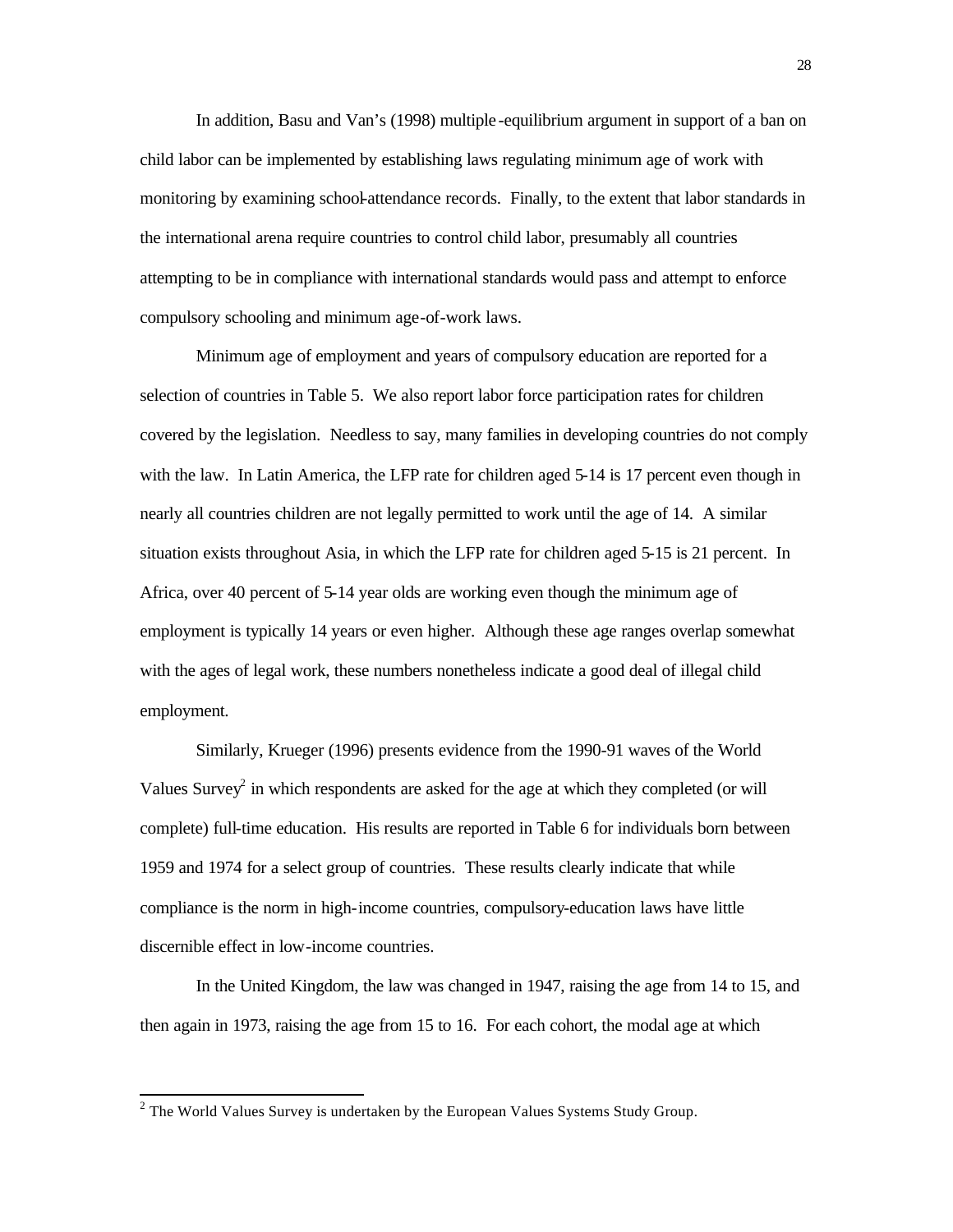In addition, Basu and Van's (1998) multiple -equilibrium argument in support of a ban on child labor can be implemented by establishing laws regulating minimum age of work with monitoring by examining school-attendance records. Finally, to the extent that labor standards in the international arena require countries to control child labor, presumably all countries attempting to be in compliance with international standards would pass and attempt to enforce compulsory schooling and minimum age-of-work laws.

Minimum age of employment and years of compulsory education are reported for a selection of countries in Table 5. We also report labor force participation rates for children covered by the legislation. Needless to say, many families in developing countries do not comply with the law. In Latin America, the LFP rate for children aged 5-14 is 17 percent even though in nearly all countries children are not legally permitted to work until the age of 14. A similar situation exists throughout Asia, in which the LFP rate for children aged 5-15 is 21 percent. In Africa, over 40 percent of 5-14 year olds are working even though the minimum age of employment is typically 14 years or even higher. Although these age ranges overlap somewhat with the ages of legal work, these numbers nonetheless indicate a good deal of illegal child employment.

Similarly, Krueger (1996) presents evidence from the 1990-91 waves of the World Values Survey<sup>2</sup> in which respondents are asked for the age at which they completed (or will complete) full-time education. His results are reported in Table 6 for individuals born between 1959 and 1974 for a select group of countries. These results clearly indicate that while compliance is the norm in high-income countries, compulsory-education laws have little discernible effect in low-income countries.

In the United Kingdom, the law was changed in 1947, raising the age from 14 to 15, and then again in 1973, raising the age from 15 to 16. For each cohort, the modal age at which

l

 $2$  The World Values Survey is undertaken by the European Values Systems Study Group.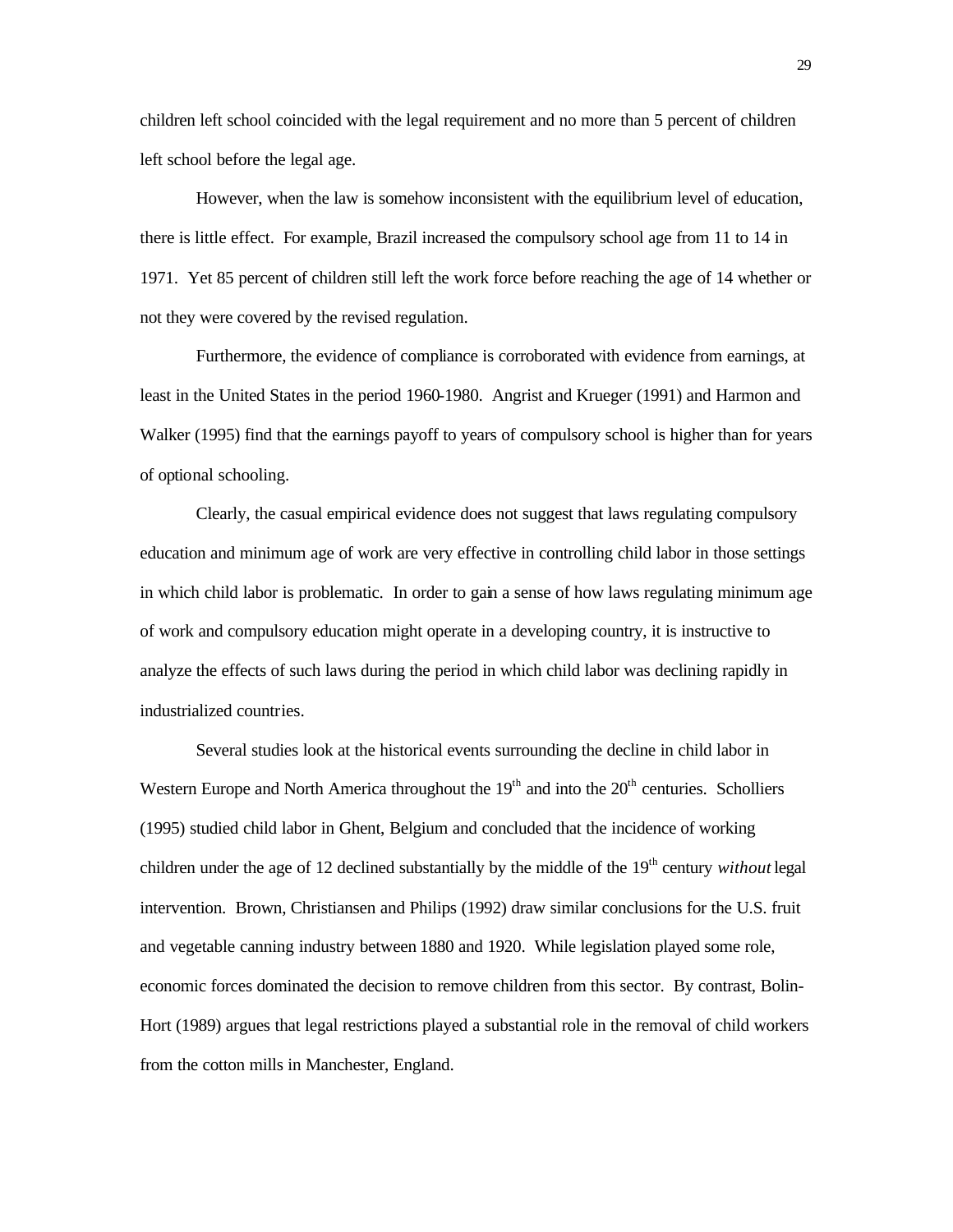children left school coincided with the legal requirement and no more than 5 percent of children left school before the legal age.

However, when the law is somehow inconsistent with the equilibrium level of education, there is little effect. For example, Brazil increased the compulsory school age from 11 to 14 in 1971. Yet 85 percent of children still left the work force before reaching the age of 14 whether or not they were covered by the revised regulation.

Furthermore, the evidence of compliance is corroborated with evidence from earnings, at least in the United States in the period 1960-1980. Angrist and Krueger (1991) and Harmon and Walker (1995) find that the earnings payoff to years of compulsory school is higher than for years of optional schooling.

Clearly, the casual empirical evidence does not suggest that laws regulating compulsory education and minimum age of work are very effective in controlling child labor in those settings in which child labor is problematic. In order to gain a sense of how laws regulating minimum age of work and compulsory education might operate in a developing country, it is instructive to analyze the effects of such laws during the period in which child labor was declining rapidly in industrialized countries.

Several studies look at the historical events surrounding the decline in child labor in Western Europe and North America throughout the  $19<sup>th</sup>$  and into the  $20<sup>th</sup>$  centuries. Scholliers (1995) studied child labor in Ghent, Belgium and concluded that the incidence of working children under the age of 12 declined substantially by the middle of the 19<sup>th</sup> century *without* legal intervention. Brown, Christiansen and Philips (1992) draw similar conclusions for the U.S. fruit and vegetable canning industry between 1880 and 1920. While legislation played some role, economic forces dominated the decision to remove children from this sector. By contrast, Bolin-Hort (1989) argues that legal restrictions played a substantial role in the removal of child workers from the cotton mills in Manchester, England.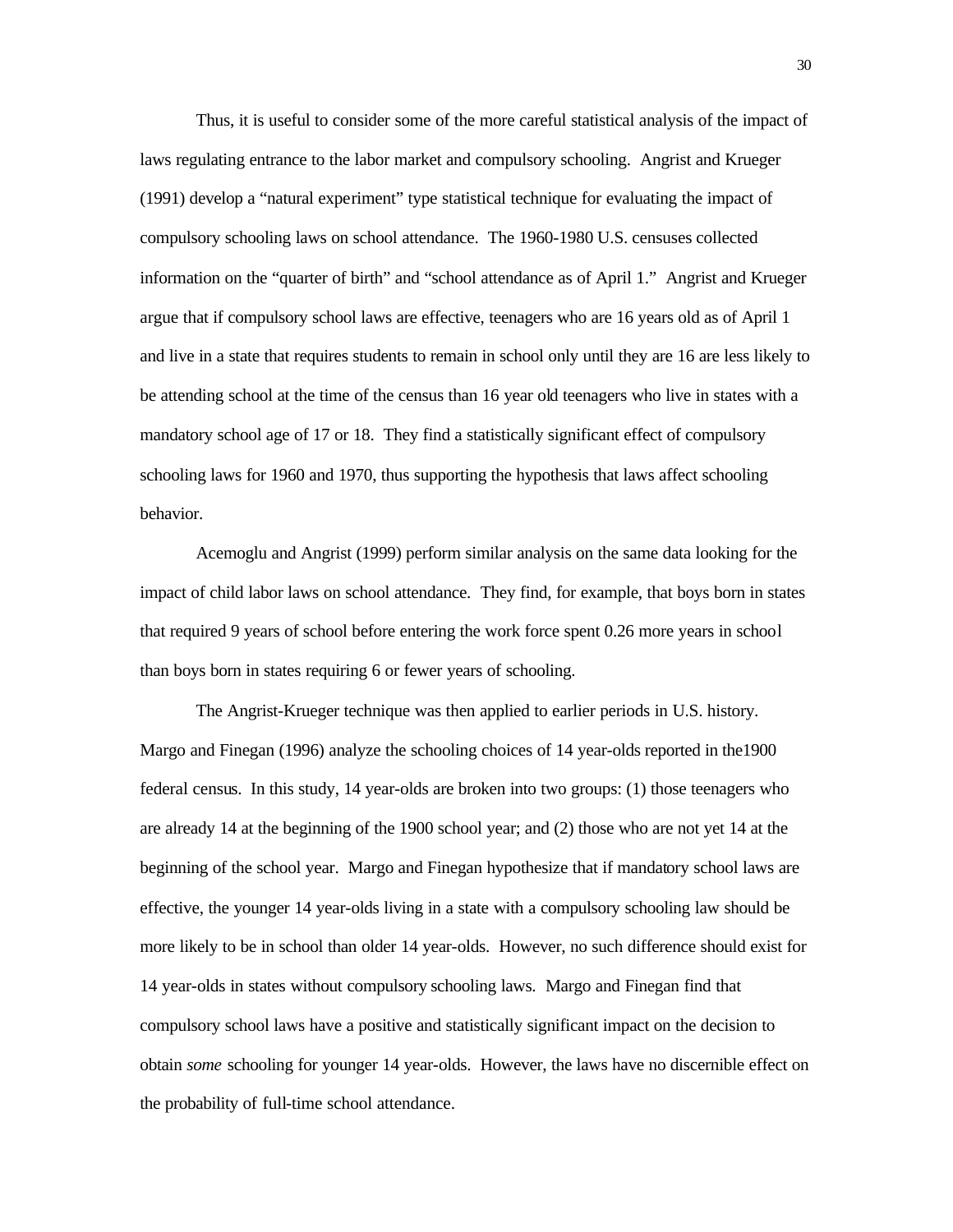Thus, it is useful to consider some of the more careful statistical analysis of the impact of laws regulating entrance to the labor market and compulsory schooling. Angrist and Krueger (1991) develop a "natural experiment" type statistical technique for evaluating the impact of compulsory schooling laws on school attendance. The 1960-1980 U.S. censuses collected information on the "quarter of birth" and "school attendance as of April 1." Angrist and Krueger argue that if compulsory school laws are effective, teenagers who are 16 years old as of April 1 and live in a state that requires students to remain in school only until they are 16 are less likely to be attending school at the time of the census than 16 year old teenagers who live in states with a mandatory school age of 17 or 18. They find a statistically significant effect of compulsory schooling laws for 1960 and 1970, thus supporting the hypothesis that laws affect schooling behavior.

Acemoglu and Angrist (1999) perform similar analysis on the same data looking for the impact of child labor laws on school attendance. They find, for example, that boys born in states that required 9 years of school before entering the work force spent 0.26 more years in school than boys born in states requiring 6 or fewer years of schooling.

The Angrist-Krueger technique was then applied to earlier periods in U.S. history. Margo and Finegan (1996) analyze the schooling choices of 14 year-olds reported in the1900 federal census. In this study, 14 year-olds are broken into two groups: (1) those teenagers who are already 14 at the beginning of the 1900 school year; and (2) those who are not yet 14 at the beginning of the school year. Margo and Finegan hypothesize that if mandatory school laws are effective, the younger 14 year-olds living in a state with a compulsory schooling law should be more likely to be in school than older 14 year-olds. However, no such difference should exist for 14 year-olds in states without compulsory schooling laws. Margo and Finegan find that compulsory school laws have a positive and statistically significant impact on the decision to obtain *some* schooling for younger 14 year-olds. However, the laws have no discernible effect on the probability of full-time school attendance.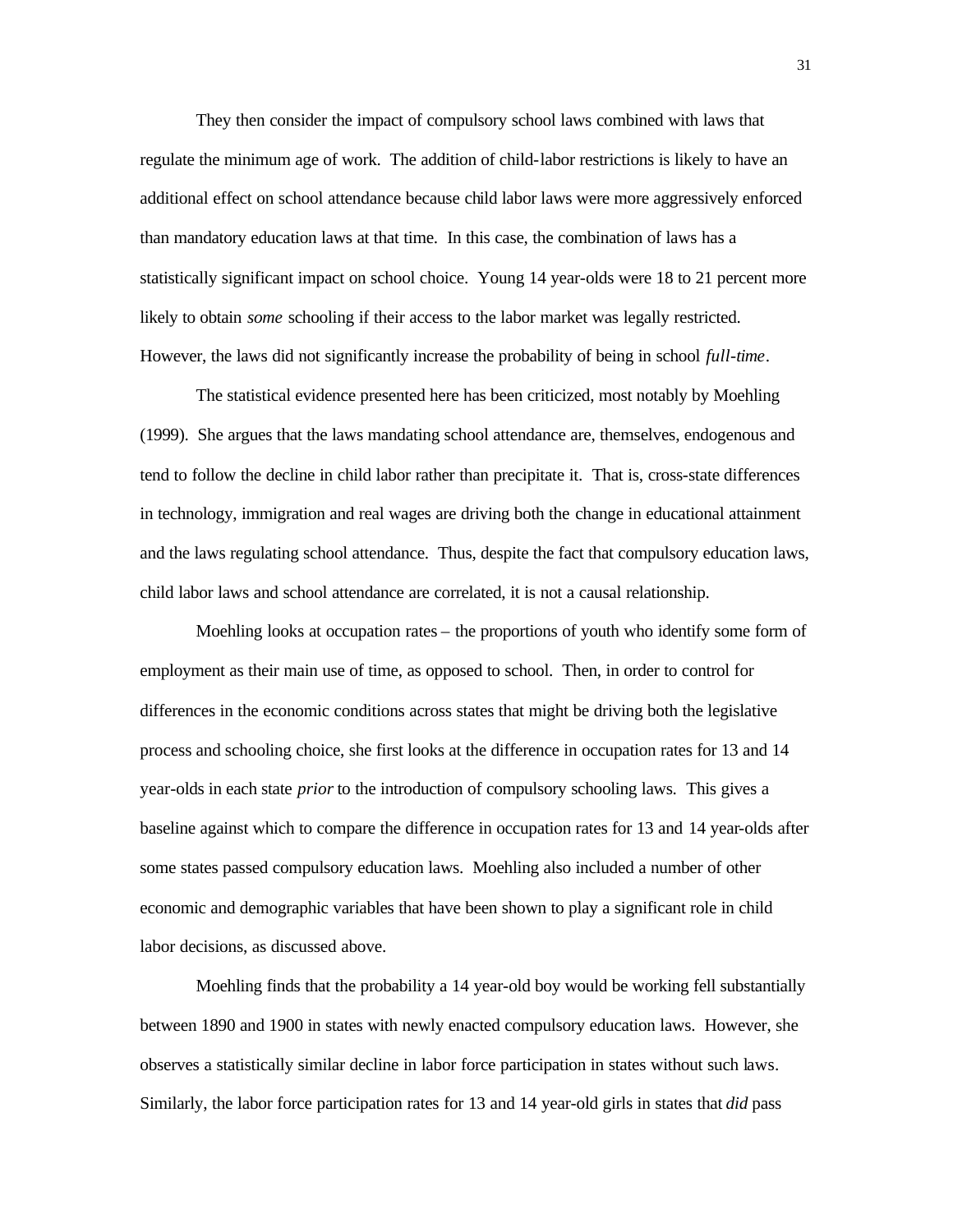They then consider the impact of compulsory school laws combined with laws that regulate the minimum age of work. The addition of child-labor restrictions is likely to have an additional effect on school attendance because child labor laws were more aggressively enforced than mandatory education laws at that time. In this case, the combination of laws has a statistically significant impact on school choice. Young 14 year-olds were 18 to 21 percent more likely to obtain *some* schooling if their access to the labor market was legally restricted. However, the laws did not significantly increase the probability of being in school *full-time*.

The statistical evidence presented here has been criticized, most notably by Moehling (1999). She argues that the laws mandating school attendance are, themselves, endogenous and tend to follow the decline in child labor rather than precipitate it. That is, cross-state differences in technology, immigration and real wages are driving both the change in educational attainment and the laws regulating school attendance. Thus, despite the fact that compulsory education laws, child labor laws and school attendance are correlated, it is not a causal relationship.

Moehling looks at occupation rates – the proportions of youth who identify some form of employment as their main use of time, as opposed to school. Then, in order to control for differences in the economic conditions across states that might be driving both the legislative process and schooling choice, she first looks at the difference in occupation rates for 13 and 14 year-olds in each state *prior* to the introduction of compulsory schooling laws. This gives a baseline against which to compare the difference in occupation rates for 13 and 14 year-olds after some states passed compulsory education laws. Moehling also included a number of other economic and demographic variables that have been shown to play a significant role in child labor decisions, as discussed above.

Moehling finds that the probability a 14 year-old boy would be working fell substantially between 1890 and 1900 in states with newly enacted compulsory education laws. However, she observes a statistically similar decline in labor force participation in states without such laws. Similarly, the labor force participation rates for 13 and 14 year-old girls in states that *did* pass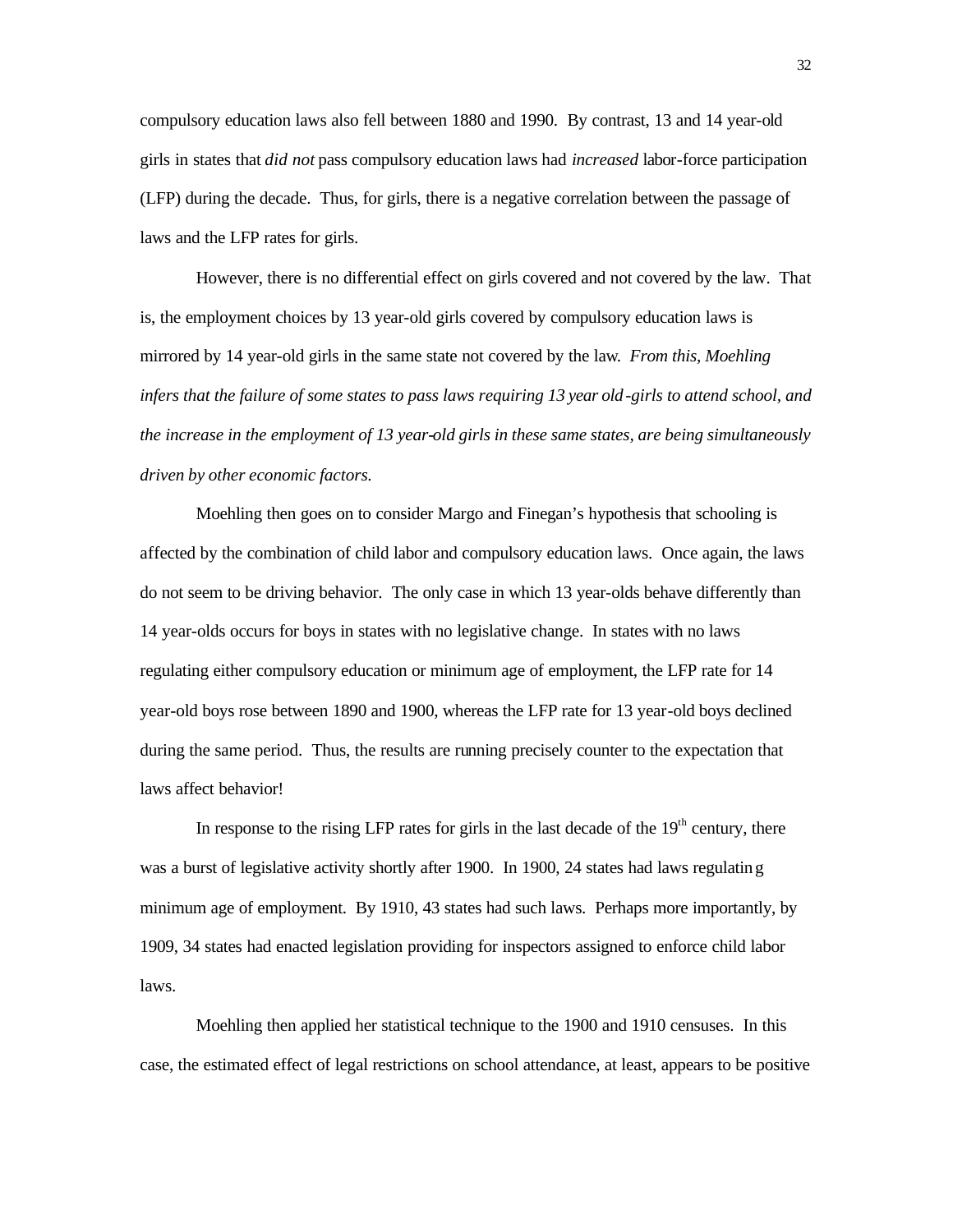compulsory education laws also fell between 1880 and 1990. By contrast, 13 and 14 year-old girls in states that *did not* pass compulsory education laws had *increased* labor-force participation (LFP) during the decade. Thus, for girls, there is a negative correlation between the passage of laws and the LFP rates for girls.

However, there is no differential effect on girls covered and not covered by the law. That is, the employment choices by 13 year-old girls covered by compulsory education laws is mirrored by 14 year-old girls in the same state not covered by the law*. From this, Moehling infers that the failure of some states to pass laws requiring 13 year old-girls to attend school, and the increase in the employment of 13 year-old girls in these same states, are being simultaneously driven by other economic factors.*

Moehling then goes on to consider Margo and Finegan's hypothesis that schooling is affected by the combination of child labor and compulsory education laws. Once again, the laws do not seem to be driving behavior. The only case in which 13 year-olds behave differently than 14 year-olds occurs for boys in states with no legislative change. In states with no laws regulating either compulsory education or minimum age of employment, the LFP rate for 14 year-old boys rose between 1890 and 1900, whereas the LFP rate for 13 year-old boys declined during the same period. Thus, the results are running precisely counter to the expectation that laws affect behavior!

In response to the rising LFP rates for girls in the last decade of the  $19<sup>th</sup>$  century, there was a burst of legislative activity shortly after 1900. In 1900, 24 states had laws regulating minimum age of employment. By 1910, 43 states had such laws. Perhaps more importantly, by 1909, 34 states had enacted legislation providing for inspectors assigned to enforce child labor laws.

Moehling then applied her statistical technique to the 1900 and 1910 censuses. In this case, the estimated effect of legal restrictions on school attendance, at least, appears to be positive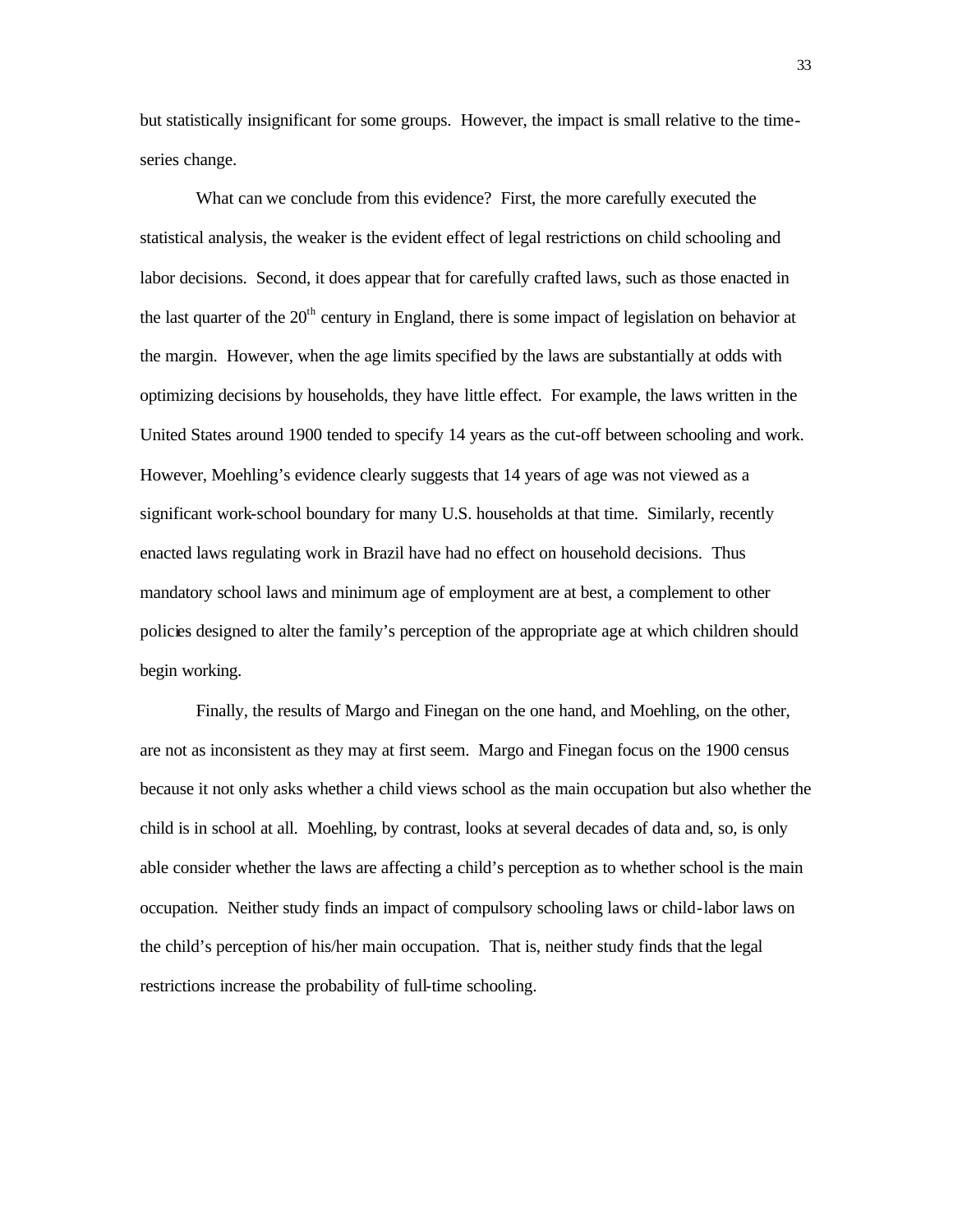but statistically insignificant for some groups. However, the impact is small relative to the timeseries change.

What can we conclude from this evidence? First, the more carefully executed the statistical analysis, the weaker is the evident effect of legal restrictions on child schooling and labor decisions. Second, it does appear that for carefully crafted laws, such as those enacted in the last quarter of the  $20<sup>th</sup>$  century in England, there is some impact of legislation on behavior at the margin. However, when the age limits specified by the laws are substantially at odds with optimizing decisions by households, they have little effect. For example, the laws written in the United States around 1900 tended to specify 14 years as the cut-off between schooling and work. However, Moehling's evidence clearly suggests that 14 years of age was not viewed as a significant work-school boundary for many U.S. households at that time. Similarly, recently enacted laws regulating work in Brazil have had no effect on household decisions. Thus mandatory school laws and minimum age of employment are at best, a complement to other policies designed to alter the family's perception of the appropriate age at which children should begin working.

Finally, the results of Margo and Finegan on the one hand, and Moehling, on the other, are not as inconsistent as they may at first seem. Margo and Finegan focus on the 1900 census because it not only asks whether a child views school as the main occupation but also whether the child is in school at all. Moehling, by contrast, looks at several decades of data and, so, is only able consider whether the laws are affecting a child's perception as to whether school is the main occupation. Neither study finds an impact of compulsory schooling laws or child-labor laws on the child's perception of his/her main occupation. That is, neither study finds that the legal restrictions increase the probability of full-time schooling.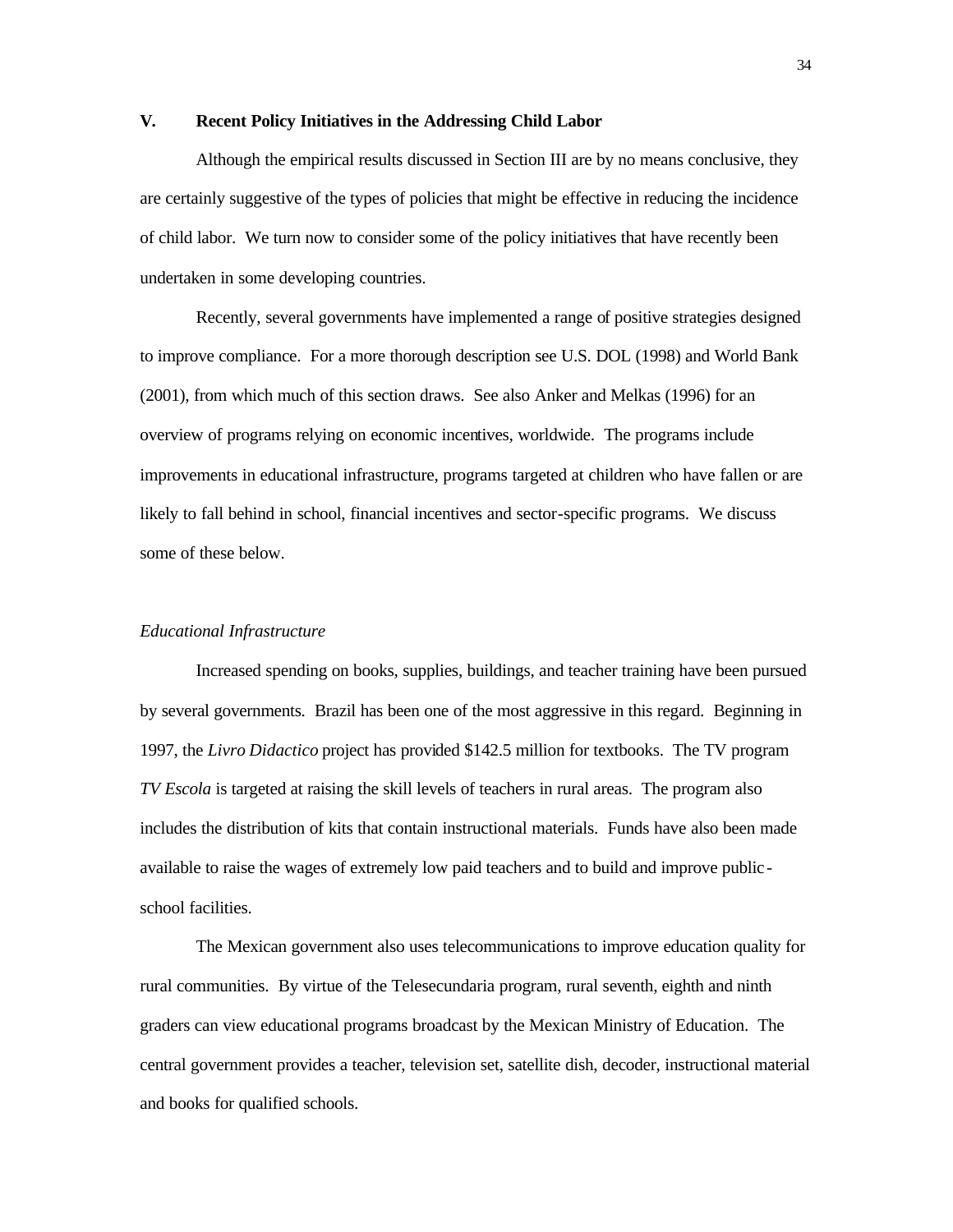## **V. Recent Policy Initiatives in the Addressing Child Labor**

Although the empirical results discussed in Section III are by no means conclusive, they are certainly suggestive of the types of policies that might be effective in reducing the incidence of child labor. We turn now to consider some of the policy initiatives that have recently been undertaken in some developing countries.

Recently, several governments have implemented a range of positive strategies designed to improve compliance. For a more thorough description see U.S. DOL (1998) and World Bank (2001), from which much of this section draws. See also Anker and Melkas (1996) for an overview of programs relying on economic incentives, worldwide. The programs include improvements in educational infrastructure, programs targeted at children who have fallen or are likely to fall behind in school, financial incentives and sector-specific programs. We discuss some of these below.

## *Educational Infrastructure*

Increased spending on books, supplies, buildings, and teacher training have been pursued by several governments. Brazil has been one of the most aggressive in this regard. Beginning in 1997, the *Livro Didactico* project has provided \$142.5 million for textbooks. The TV program *TV Escola* is targeted at raising the skill levels of teachers in rural areas. The program also includes the distribution of kits that contain instructional materials. Funds have also been made available to raise the wages of extremely low paid teachers and to build and improve public school facilities.

The Mexican government also uses telecommunications to improve education quality for rural communities. By virtue of the Telesecundaria program, rural seventh, eighth and ninth graders can view educational programs broadcast by the Mexican Ministry of Education. The central government provides a teacher, television set, satellite dish, decoder, instructional material and books for qualified schools.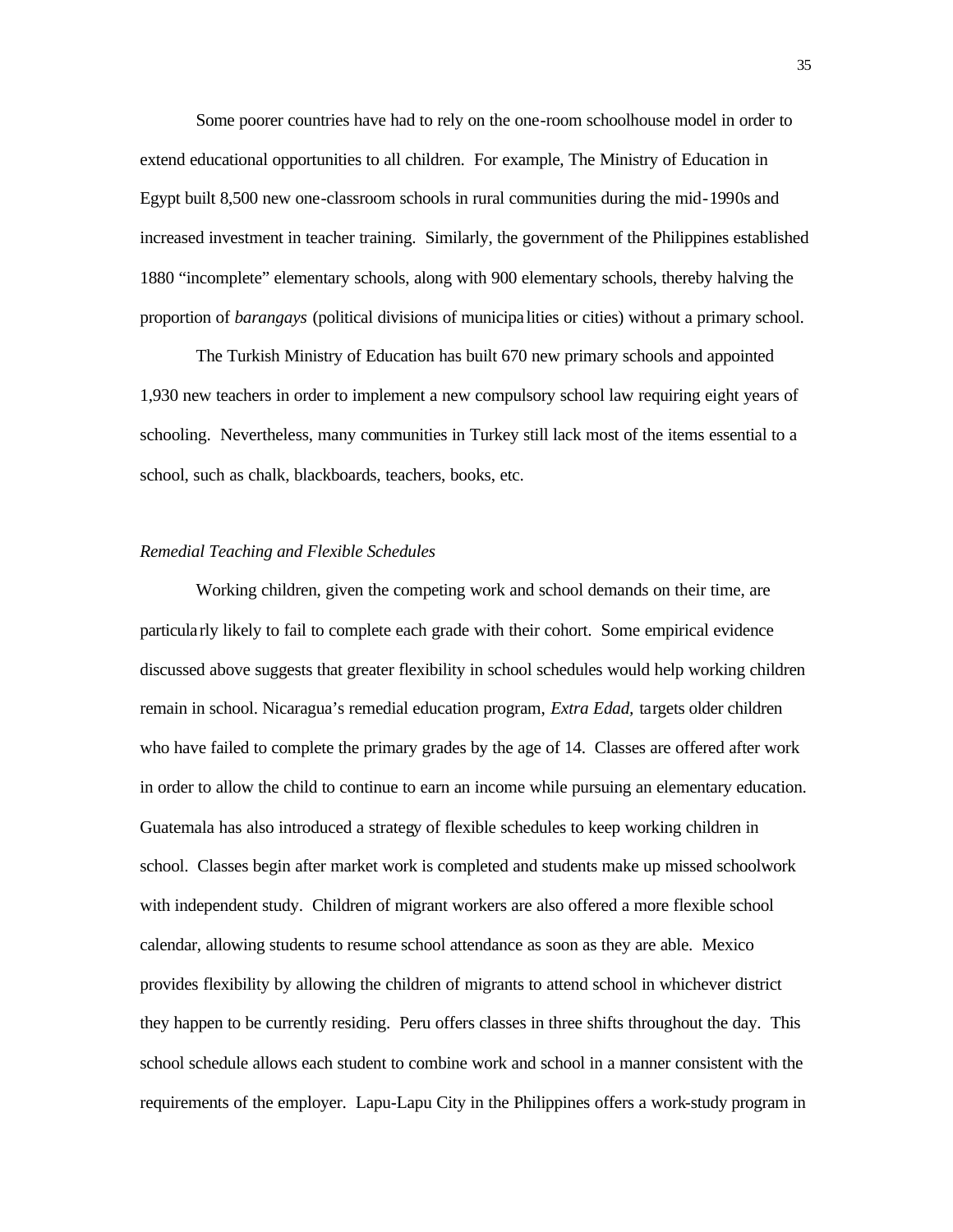Some poorer countries have had to rely on the one-room schoolhouse model in order to extend educational opportunities to all children. For example, The Ministry of Education in Egypt built 8,500 new one-classroom schools in rural communities during the mid-1990s and increased investment in teacher training. Similarly, the government of the Philippines established 1880 "incomplete" elementary schools, along with 900 elementary schools, thereby halving the proportion of *barangays* (political divisions of municipa lities or cities) without a primary school.

The Turkish Ministry of Education has built 670 new primary schools and appointed 1,930 new teachers in order to implement a new compulsory school law requiring eight years of schooling. Nevertheless, many communities in Turkey still lack most of the items essential to a school, such as chalk, blackboards, teachers, books, etc.

### *Remedial Teaching and Flexible Schedules*

Working children, given the competing work and school demands on their time, are particularly likely to fail to complete each grade with their cohort. Some empirical evidence discussed above suggests that greater flexibility in school schedules would help working children remain in school. Nicaragua's remedial education program, *Extra Edad,* targets older children who have failed to complete the primary grades by the age of 14. Classes are offered after work in order to allow the child to continue to earn an income while pursuing an elementary education. Guatemala has also introduced a strategy of flexible schedules to keep working children in school. Classes begin after market work is completed and students make up missed schoolwork with independent study. Children of migrant workers are also offered a more flexible school calendar, allowing students to resume school attendance as soon as they are able. Mexico provides flexibility by allowing the children of migrants to attend school in whichever district they happen to be currently residing. Peru offers classes in three shifts throughout the day. This school schedule allows each student to combine work and school in a manner consistent with the requirements of the employer. Lapu-Lapu City in the Philippines offers a work-study program in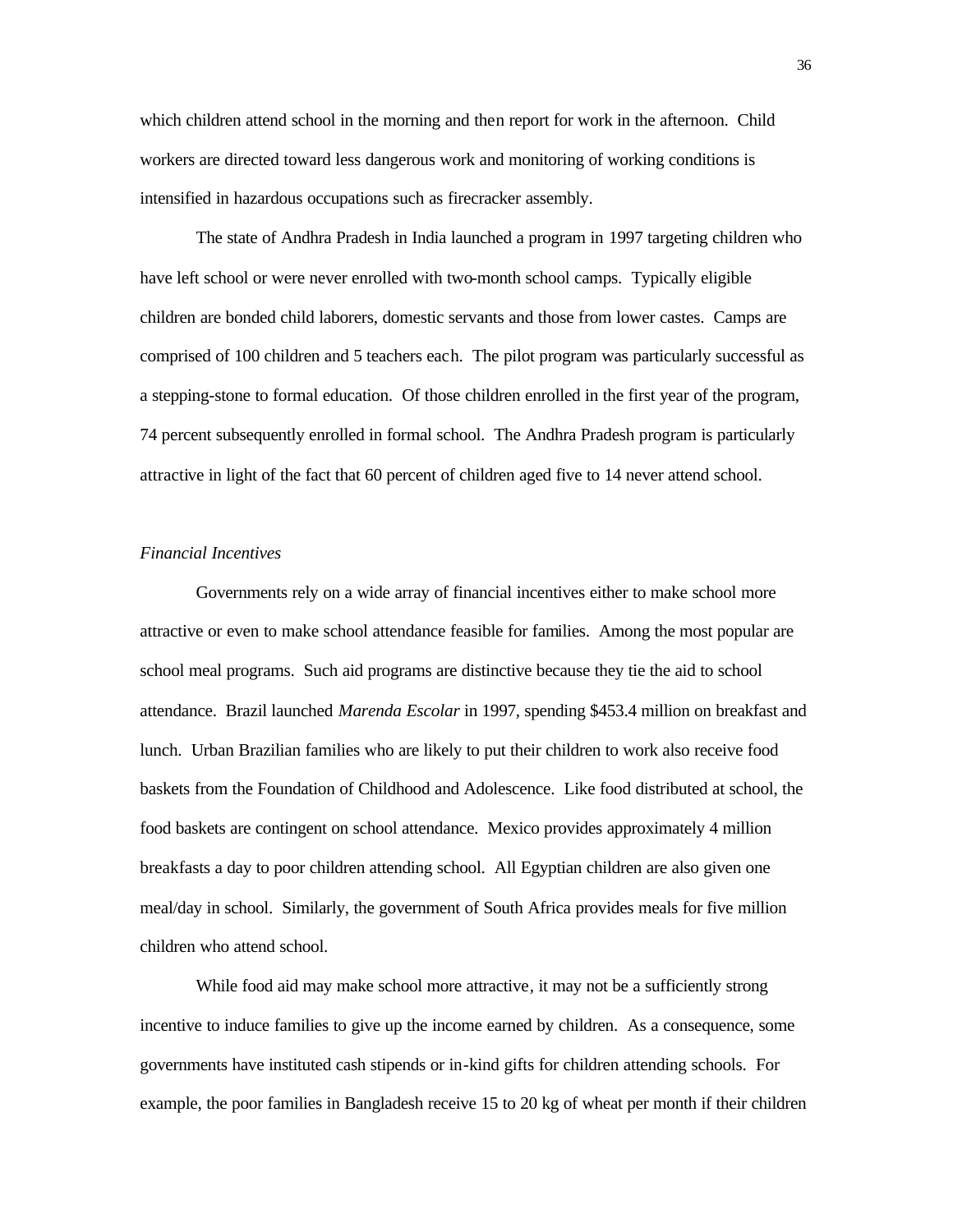which children attend school in the morning and then report for work in the afternoon. Child workers are directed toward less dangerous work and monitoring of working conditions is intensified in hazardous occupations such as firecracker assembly.

The state of Andhra Pradesh in India launched a program in 1997 targeting children who have left school or were never enrolled with two-month school camps. Typically eligible children are bonded child laborers, domestic servants and those from lower castes. Camps are comprised of 100 children and 5 teachers each. The pilot program was particularly successful as a stepping-stone to formal education. Of those children enrolled in the first year of the program, 74 percent subsequently enrolled in formal school. The Andhra Pradesh program is particularly attractive in light of the fact that 60 percent of children aged five to 14 never attend school.

## *Financial Incentives*

Governments rely on a wide array of financial incentives either to make school more attractive or even to make school attendance feasible for families. Among the most popular are school meal programs. Such aid programs are distinctive because they tie the aid to school attendance. Brazil launched *Marenda Escolar* in 1997, spending \$453.4 million on breakfast and lunch. Urban Brazilian families who are likely to put their children to work also receive food baskets from the Foundation of Childhood and Adolescence. Like food distributed at school, the food baskets are contingent on school attendance. Mexico provides approximately 4 million breakfasts a day to poor children attending school. All Egyptian children are also given one meal/day in school. Similarly, the government of South Africa provides meals for five million children who attend school.

While food aid may make school more attractive, it may not be a sufficiently strong incentive to induce families to give up the income earned by children. As a consequence, some governments have instituted cash stipends or in-kind gifts for children attending schools. For example, the poor families in Bangladesh receive 15 to 20 kg of wheat per month if their children

36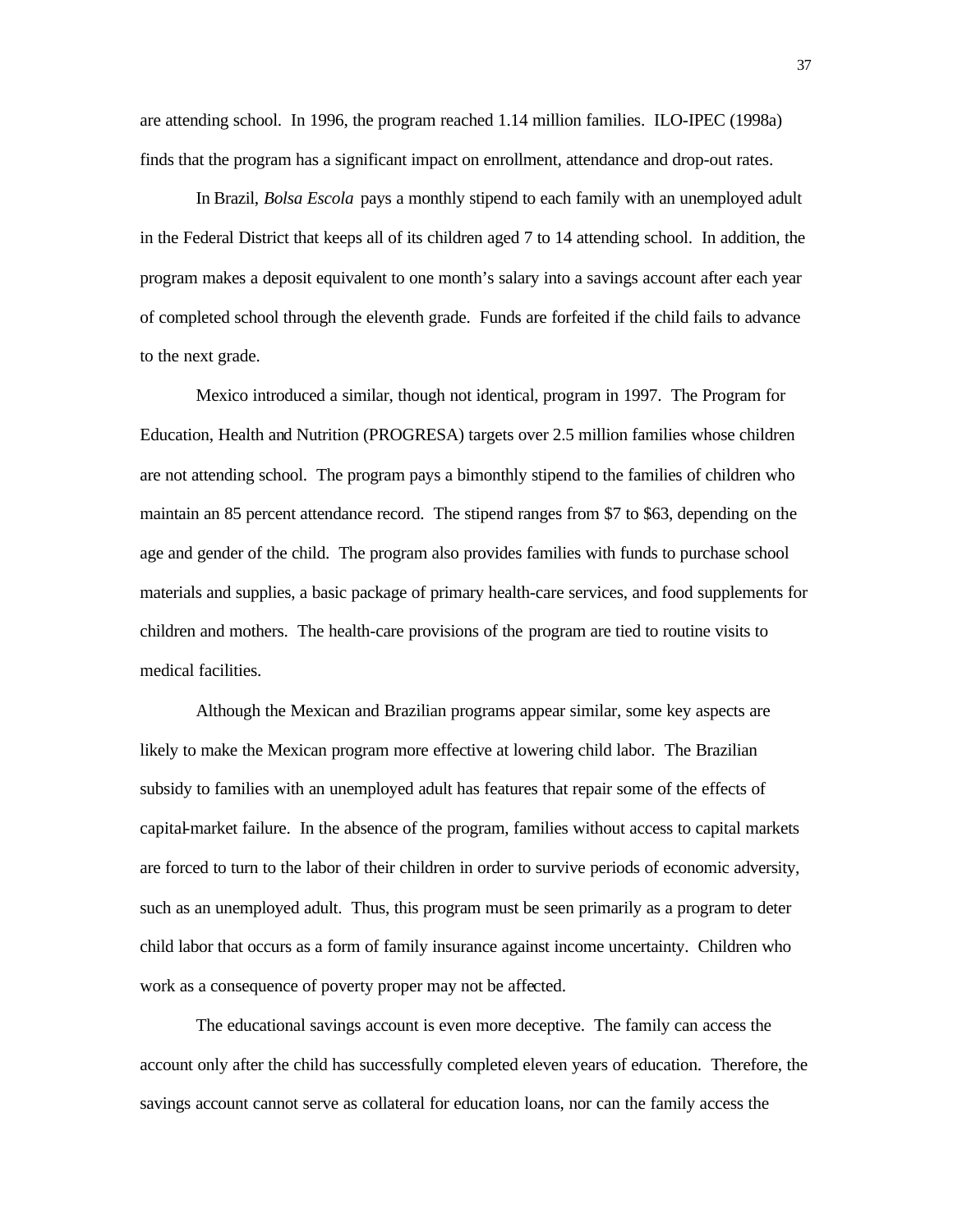are attending school. In 1996, the program reached 1.14 million families. ILO-IPEC (1998a) finds that the program has a significant impact on enrollment, attendance and drop-out rates.

In Brazil, *Bolsa Escola* pays a monthly stipend to each family with an unemployed adult in the Federal District that keeps all of its children aged 7 to 14 attending school. In addition, the program makes a deposit equivalent to one month's salary into a savings account after each year of completed school through the eleventh grade. Funds are forfeited if the child fails to advance to the next grade.

Mexico introduced a similar, though not identical, program in 1997. The Program for Education, Health and Nutrition (PROGRESA) targets over 2.5 million families whose children are not attending school. The program pays a bimonthly stipend to the families of children who maintain an 85 percent attendance record. The stipend ranges from \$7 to \$63, depending on the age and gender of the child. The program also provides families with funds to purchase school materials and supplies, a basic package of primary health-care services, and food supplements for children and mothers. The health-care provisions of the program are tied to routine visits to medical facilities.

Although the Mexican and Brazilian programs appear similar, some key aspects are likely to make the Mexican program more effective at lowering child labor. The Brazilian subsidy to families with an unemployed adult has features that repair some of the effects of capital-market failure. In the absence of the program, families without access to capital markets are forced to turn to the labor of their children in order to survive periods of economic adversity, such as an unemployed adult. Thus, this program must be seen primarily as a program to deter child labor that occurs as a form of family insurance against income uncertainty. Children who work as a consequence of poverty proper may not be affected.

The educational savings account is even more deceptive. The family can access the account only after the child has successfully completed eleven years of education. Therefore, the savings account cannot serve as collateral for education loans, nor can the family access the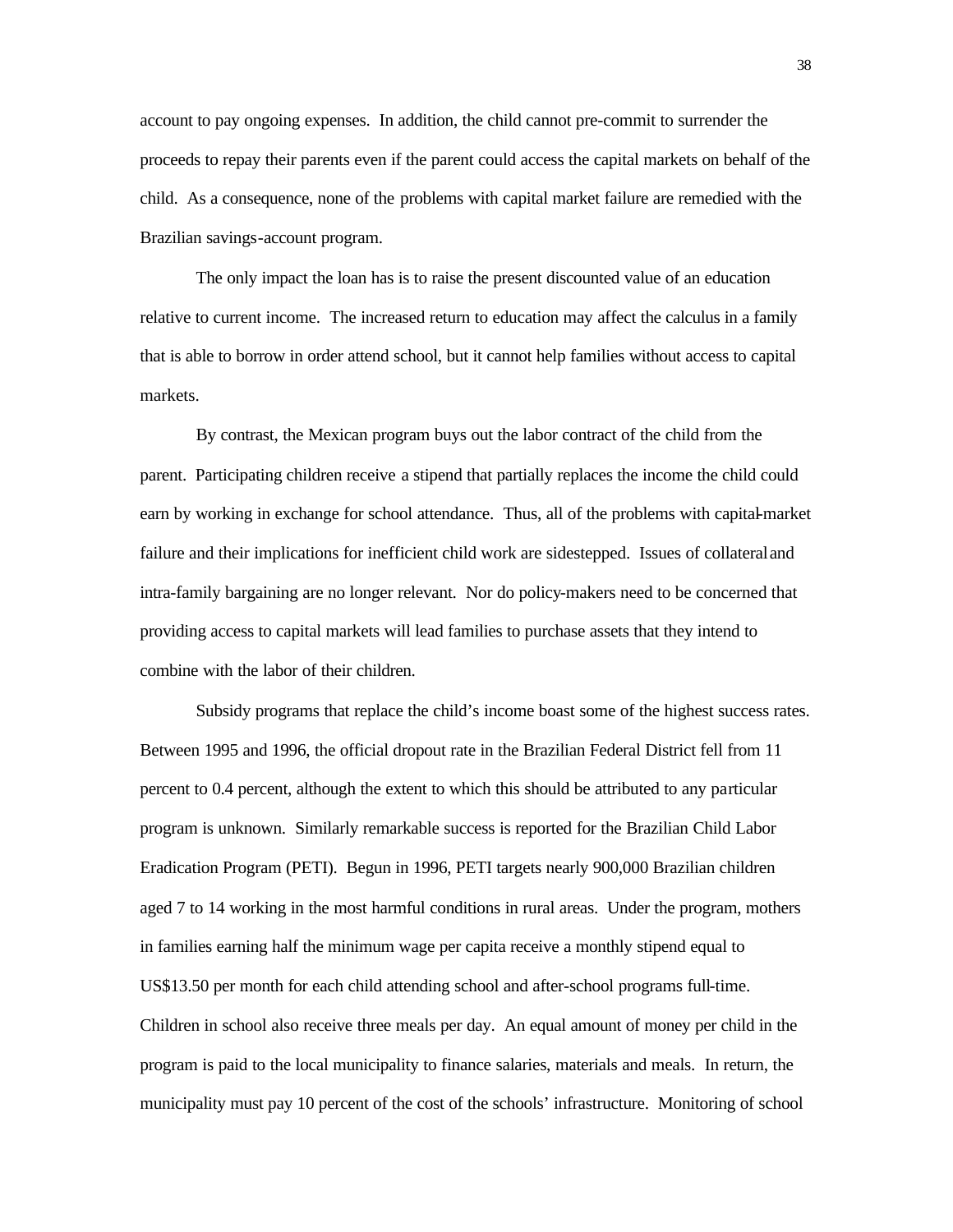account to pay ongoing expenses. In addition, the child cannot pre-commit to surrender the proceeds to repay their parents even if the parent could access the capital markets on behalf of the child. As a consequence, none of the problems with capital market failure are remedied with the Brazilian savings-account program.

The only impact the loan has is to raise the present discounted value of an education relative to current income. The increased return to education may affect the calculus in a family that is able to borrow in order attend school, but it cannot help families without access to capital markets.

By contrast, the Mexican program buys out the labor contract of the child from the parent. Participating children receive a stipend that partially replaces the income the child could earn by working in exchange for school attendance. Thus, all of the problems with capital-market failure and their implications for inefficient child work are sidestepped. Issues of collateral and intra-family bargaining are no longer relevant. Nor do policy-makers need to be concerned that providing access to capital markets will lead families to purchase assets that they intend to combine with the labor of their children.

Subsidy programs that replace the child's income boast some of the highest success rates. Between 1995 and 1996, the official dropout rate in the Brazilian Federal District fell from 11 percent to 0.4 percent, although the extent to which this should be attributed to any particular program is unknown. Similarly remarkable success is reported for the Brazilian Child Labor Eradication Program (PETI). Begun in 1996, PETI targets nearly 900,000 Brazilian children aged 7 to 14 working in the most harmful conditions in rural areas. Under the program, mothers in families earning half the minimum wage per capita receive a monthly stipend equal to US\$13.50 per month for each child attending school and after-school programs full-time. Children in school also receive three meals per day. An equal amount of money per child in the program is paid to the local municipality to finance salaries, materials and meals. In return, the municipality must pay 10 percent of the cost of the schools' infrastructure. Monitoring of school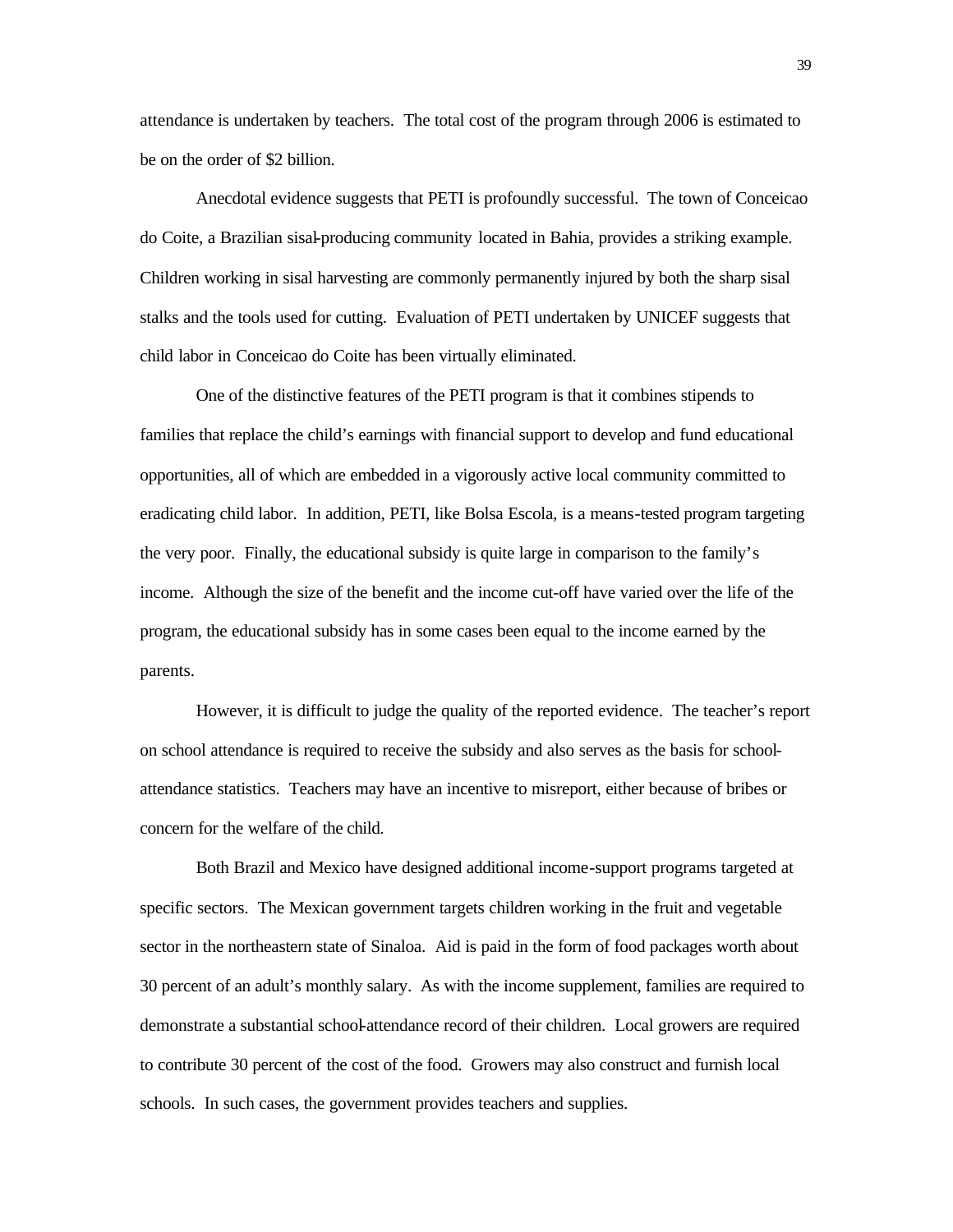attendance is undertaken by teachers. The total cost of the program through 2006 is estimated to be on the order of \$2 billion.

Anecdotal evidence suggests that PETI is profoundly successful. The town of Conceicao do Coite, a Brazilian sisal-producing community located in Bahia, provides a striking example. Children working in sisal harvesting are commonly permanently injured by both the sharp sisal stalks and the tools used for cutting. Evaluation of PETI undertaken by UNICEF suggests that child labor in Conceicao do Coite has been virtually eliminated.

One of the distinctive features of the PETI program is that it combines stipends to families that replace the child's earnings with financial support to develop and fund educational opportunities, all of which are embedded in a vigorously active local community committed to eradicating child labor. In addition, PETI, like Bolsa Escola, is a means-tested program targeting the very poor. Finally, the educational subsidy is quite large in comparison to the family's income. Although the size of the benefit and the income cut-off have varied over the life of the program, the educational subsidy has in some cases been equal to the income earned by the parents.

However, it is difficult to judge the quality of the reported evidence. The teacher's report on school attendance is required to receive the subsidy and also serves as the basis for schoolattendance statistics. Teachers may have an incentive to misreport, either because of bribes or concern for the welfare of the child.

Both Brazil and Mexico have designed additional income-support programs targeted at specific sectors. The Mexican government targets children working in the fruit and vegetable sector in the northeastern state of Sinaloa. Aid is paid in the form of food packages worth about 30 percent of an adult's monthly salary. As with the income supplement, families are required to demonstrate a substantial school-attendance record of their children. Local growers are required to contribute 30 percent of the cost of the food. Growers may also construct and furnish local schools. In such cases, the government provides teachers and supplies.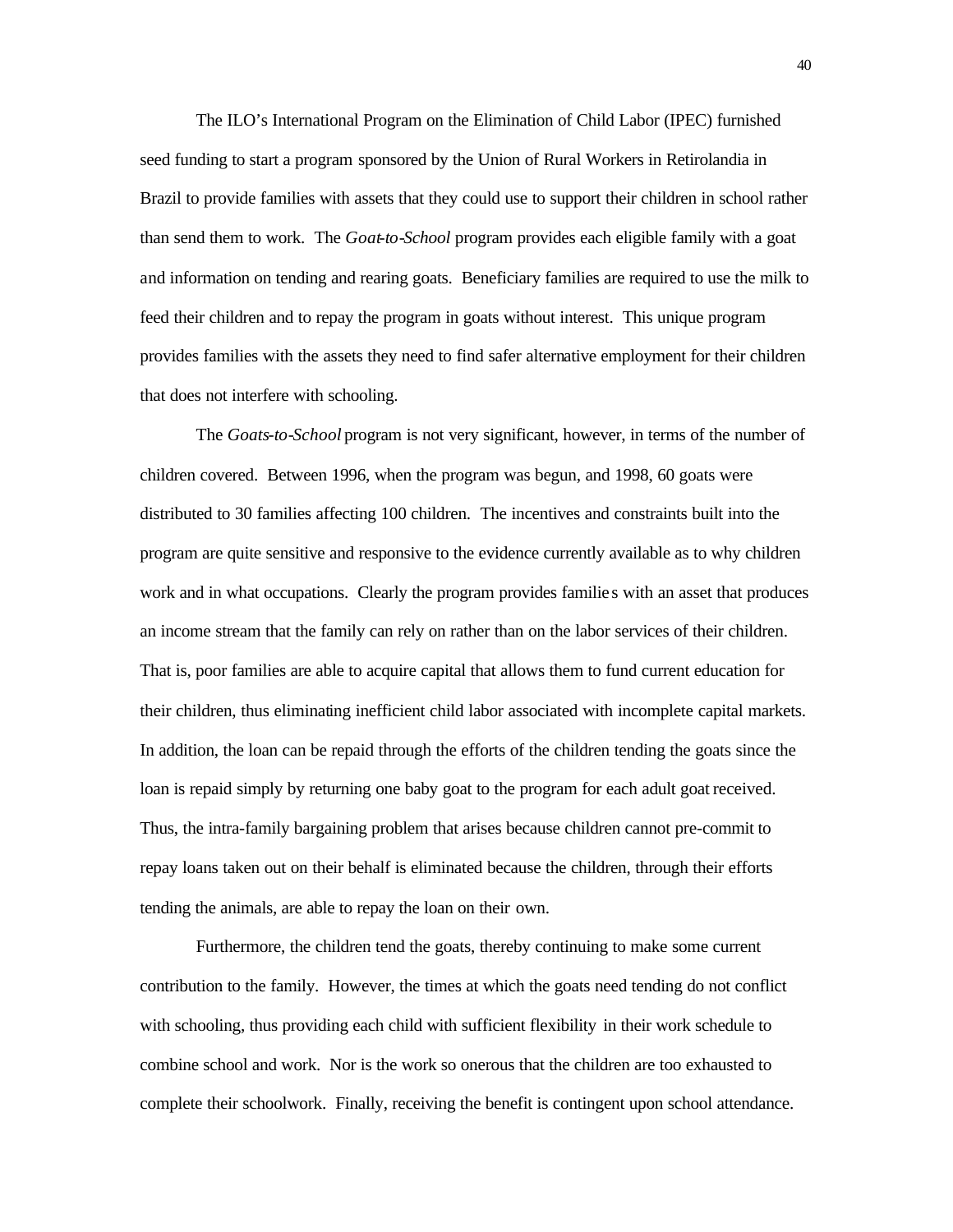The ILO's International Program on the Elimination of Child Labor (IPEC) furnished seed funding to start a program sponsored by the Union of Rural Workers in Retirolandia in Brazil to provide families with assets that they could use to support their children in school rather than send them to work. The *Goat-to-School* program provides each eligible family with a goat and information on tending and rearing goats. Beneficiary families are required to use the milk to feed their children and to repay the program in goats without interest. This unique program provides families with the assets they need to find safer alternative employment for their children that does not interfere with schooling.

The *Goats-to-School* program is not very significant, however, in terms of the number of children covered. Between 1996, when the program was begun, and 1998, 60 goats were distributed to 30 families affecting 100 children. The incentives and constraints built into the program are quite sensitive and responsive to the evidence currently available as to why children work and in what occupations. Clearly the program provides familie s with an asset that produces an income stream that the family can rely on rather than on the labor services of their children. That is, poor families are able to acquire capital that allows them to fund current education for their children, thus eliminating inefficient child labor associated with incomplete capital markets. In addition, the loan can be repaid through the efforts of the children tending the goats since the loan is repaid simply by returning one baby goat to the program for each adult goat received. Thus, the intra-family bargaining problem that arises because children cannot pre-commit to repay loans taken out on their behalf is eliminated because the children, through their efforts tending the animals, are able to repay the loan on their own.

Furthermore, the children tend the goats, thereby continuing to make some current contribution to the family. However, the times at which the goats need tending do not conflict with schooling, thus providing each child with sufficient flexibility in their work schedule to combine school and work. Nor is the work so onerous that the children are too exhausted to complete their schoolwork. Finally, receiving the benefit is contingent upon school attendance.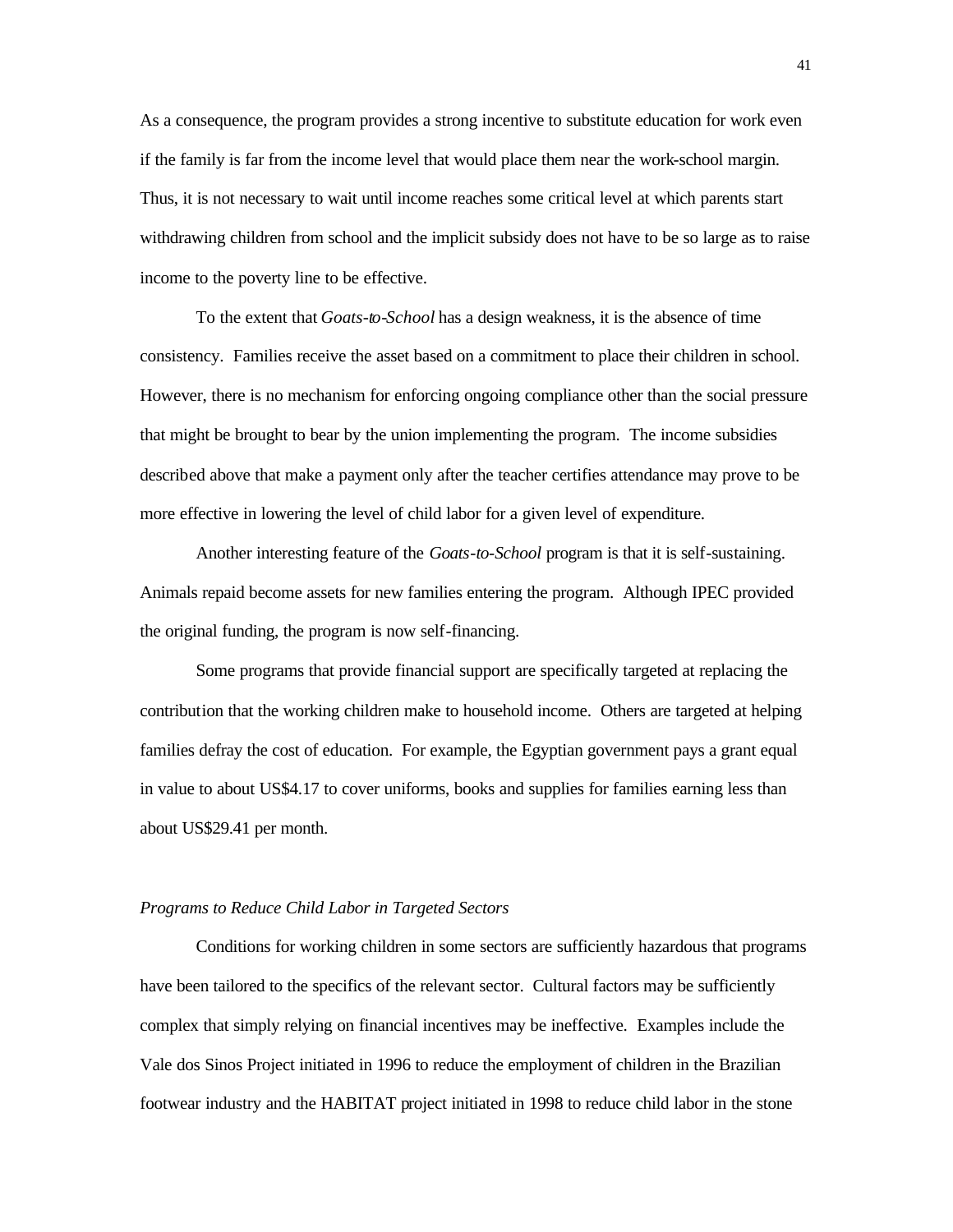As a consequence, the program provides a strong incentive to substitute education for work even if the family is far from the income level that would place them near the work-school margin. Thus, it is not necessary to wait until income reaches some critical level at which parents start withdrawing children from school and the implicit subsidy does not have to be so large as to raise income to the poverty line to be effective.

To the extent that *Goats-to-School* has a design weakness, it is the absence of time consistency. Families receive the asset based on a commitment to place their children in school. However, there is no mechanism for enforcing ongoing compliance other than the social pressure that might be brought to bear by the union implementing the program. The income subsidies described above that make a payment only after the teacher certifies attendance may prove to be more effective in lowering the level of child labor for a given level of expenditure.

Another interesting feature of the *Goats-to-School* program is that it is self-sustaining. Animals repaid become assets for new families entering the program. Although IPEC provided the original funding, the program is now self-financing.

Some programs that provide financial support are specifically targeted at replacing the contribution that the working children make to household income. Others are targeted at helping families defray the cost of education. For example, the Egyptian government pays a grant equal in value to about US\$4.17 to cover uniforms, books and supplies for families earning less than about US\$29.41 per month.

### *Programs to Reduce Child Labor in Targeted Sectors*

Conditions for working children in some sectors are sufficiently hazardous that programs have been tailored to the specifics of the relevant sector. Cultural factors may be sufficiently complex that simply relying on financial incentives may be ineffective. Examples include the Vale dos Sinos Project initiated in 1996 to reduce the employment of children in the Brazilian footwear industry and the HABITAT project initiated in 1998 to reduce child labor in the stone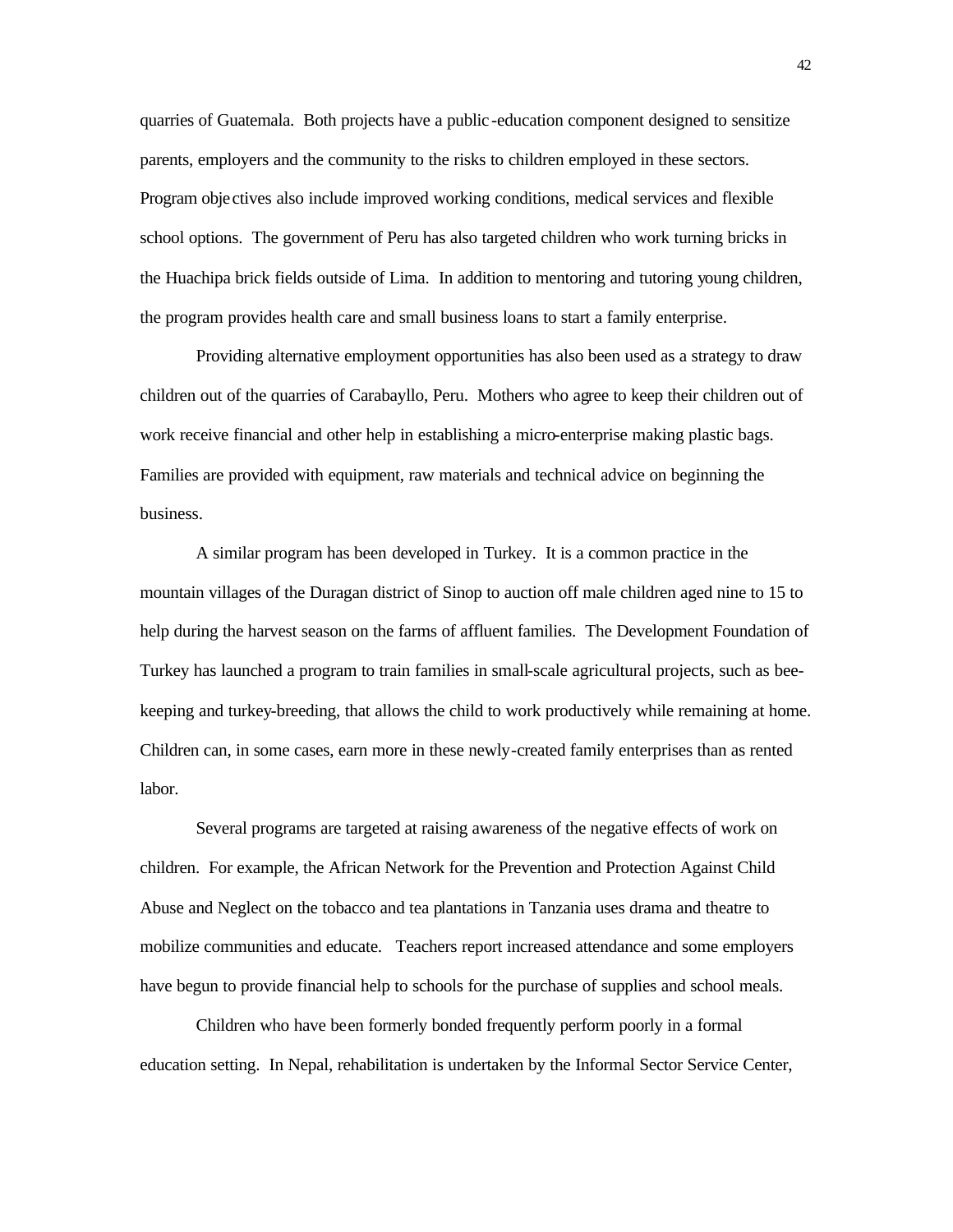quarries of Guatemala. Both projects have a public -education component designed to sensitize parents, employers and the community to the risks to children employed in these sectors. Program objectives also include improved working conditions, medical services and flexible school options. The government of Peru has also targeted children who work turning bricks in the Huachipa brick fields outside of Lima. In addition to mentoring and tutoring young children, the program provides health care and small business loans to start a family enterprise.

Providing alternative employment opportunities has also been used as a strategy to draw children out of the quarries of Carabayllo, Peru. Mothers who agree to keep their children out of work receive financial and other help in establishing a micro-enterprise making plastic bags. Families are provided with equipment, raw materials and technical advice on beginning the business.

A similar program has been developed in Turkey. It is a common practice in the mountain villages of the Duragan district of Sinop to auction off male children aged nine to 15 to help during the harvest season on the farms of affluent families. The Development Foundation of Turkey has launched a program to train families in small-scale agricultural projects, such as beekeeping and turkey-breeding, that allows the child to work productively while remaining at home. Children can, in some cases, earn more in these newly-created family enterprises than as rented labor.

Several programs are targeted at raising awareness of the negative effects of work on children. For example, the African Network for the Prevention and Protection Against Child Abuse and Neglect on the tobacco and tea plantations in Tanzania uses drama and theatre to mobilize communities and educate. Teachers report increased attendance and some employers have begun to provide financial help to schools for the purchase of supplies and school meals.

Children who have been formerly bonded frequently perform poorly in a formal education setting. In Nepal, rehabilitation is undertaken by the Informal Sector Service Center,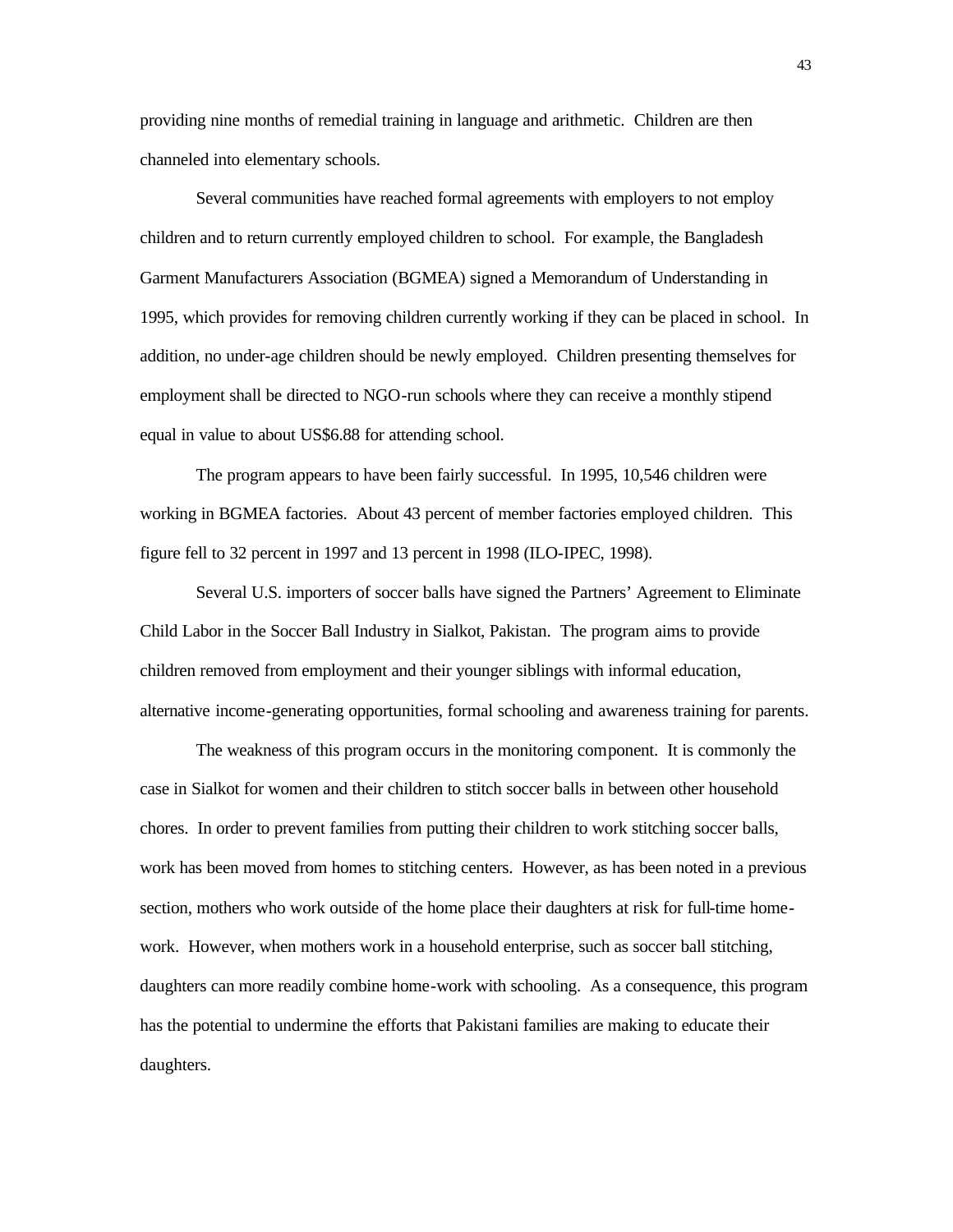providing nine months of remedial training in language and arithmetic. Children are then channeled into elementary schools.

Several communities have reached formal agreements with employers to not employ children and to return currently employed children to school. For example, the Bangladesh Garment Manufacturers Association (BGMEA) signed a Memorandum of Understanding in 1995, which provides for removing children currently working if they can be placed in school. In addition, no under-age children should be newly employed. Children presenting themselves for employment shall be directed to NGO-run schools where they can receive a monthly stipend equal in value to about US\$6.88 for attending school.

The program appears to have been fairly successful. In 1995, 10,546 children were working in BGMEA factories. About 43 percent of member factories employed children. This figure fell to 32 percent in 1997 and 13 percent in 1998 (ILO-IPEC, 1998).

Several U.S. importers of soccer balls have signed the Partners' Agreement to Eliminate Child Labor in the Soccer Ball Industry in Sialkot, Pakistan. The program aims to provide children removed from employment and their younger siblings with informal education, alternative income-generating opportunities, formal schooling and awareness training for parents.

The weakness of this program occurs in the monitoring component. It is commonly the case in Sialkot for women and their children to stitch soccer balls in between other household chores. In order to prevent families from putting their children to work stitching soccer balls, work has been moved from homes to stitching centers. However, as has been noted in a previous section, mothers who work outside of the home place their daughters at risk for full-time homework. However, when mothers work in a household enterprise, such as soccer ball stitching, daughters can more readily combine home-work with schooling. As a consequence, this program has the potential to undermine the efforts that Pakistani families are making to educate their daughters.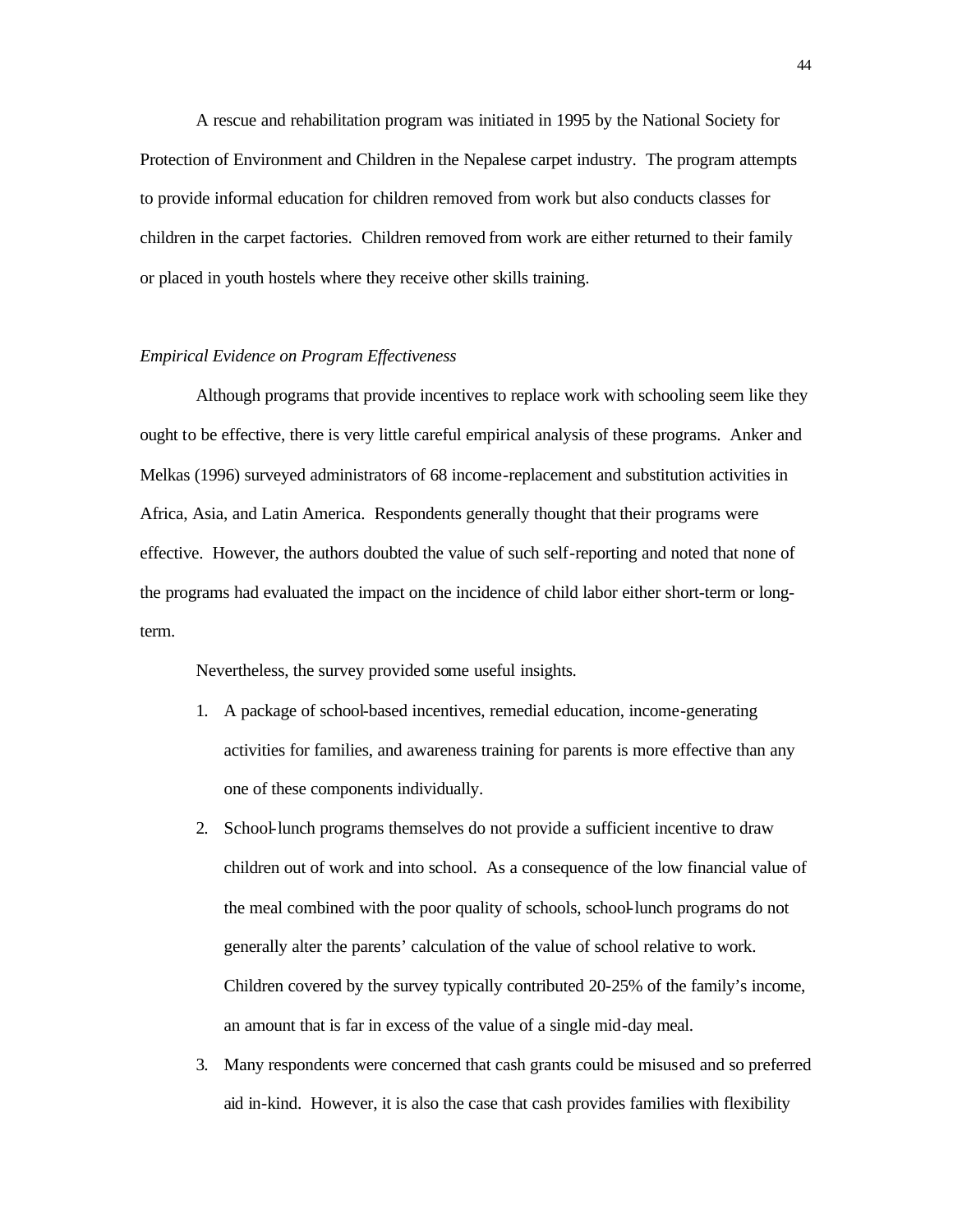A rescue and rehabilitation program was initiated in 1995 by the National Society for Protection of Environment and Children in the Nepalese carpet industry. The program attempts to provide informal education for children removed from work but also conducts classes for children in the carpet factories. Children removed from work are either returned to their family or placed in youth hostels where they receive other skills training.

#### *Empirical Evidence on Program Effectiveness*

Although programs that provide incentives to replace work with schooling seem like they ought to be effective, there is very little careful empirical analysis of these programs. Anker and Melkas (1996) surveyed administrators of 68 income-replacement and substitution activities in Africa, Asia, and Latin America. Respondents generally thought that their programs were effective. However, the authors doubted the value of such self-reporting and noted that none of the programs had evaluated the impact on the incidence of child labor either short-term or longterm.

Nevertheless, the survey provided some useful insights.

- 1. A package of school-based incentives, remedial education, income-generating activities for families, and awareness training for parents is more effective than any one of these components individually.
- 2. School-lunch programs themselves do not provide a sufficient incentive to draw children out of work and into school. As a consequence of the low financial value of the meal combined with the poor quality of schools, school-lunch programs do not generally alter the parents' calculation of the value of school relative to work. Children covered by the survey typically contributed 20-25% of the family's income, an amount that is far in excess of the value of a single mid-day meal.
- 3. Many respondents were concerned that cash grants could be misused and so preferred aid in-kind. However, it is also the case that cash provides families with flexibility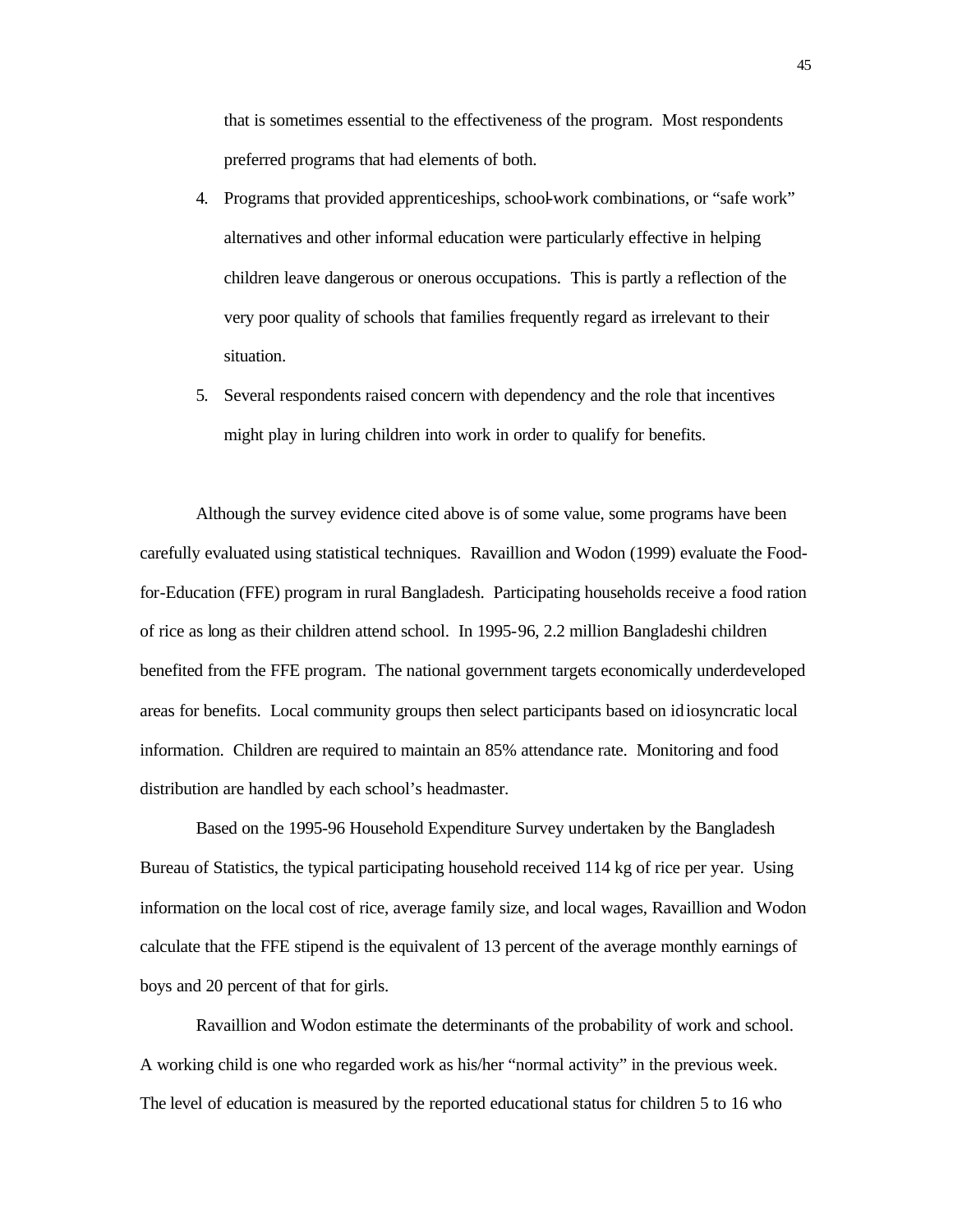that is sometimes essential to the effectiveness of the program. Most respondents preferred programs that had elements of both.

- 4. Programs that provided apprenticeships, school-work combinations, or "safe work" alternatives and other informal education were particularly effective in helping children leave dangerous or onerous occupations. This is partly a reflection of the very poor quality of schools that families frequently regard as irrelevant to their situation.
- 5. Several respondents raised concern with dependency and the role that incentives might play in luring children into work in order to qualify for benefits.

Although the survey evidence cited above is of some value, some programs have been carefully evaluated using statistical techniques. Ravaillion and Wodon (1999) evaluate the Foodfor-Education (FFE) program in rural Bangladesh. Participating households receive a food ration of rice as long as their children attend school. In 1995-96, 2.2 million Bangladeshi children benefited from the FFE program. The national government targets economically underdeveloped areas for benefits. Local community groups then select participants based on idiosyncratic local information. Children are required to maintain an 85% attendance rate. Monitoring and food distribution are handled by each school's headmaster.

Based on the 1995-96 Household Expenditure Survey undertaken by the Bangladesh Bureau of Statistics, the typical participating household received 114 kg of rice per year. Using information on the local cost of rice, average family size, and local wages, Ravaillion and Wodon calculate that the FFE stipend is the equivalent of 13 percent of the average monthly earnings of boys and 20 percent of that for girls.

Ravaillion and Wodon estimate the determinants of the probability of work and school. A working child is one who regarded work as his/her "normal activity" in the previous week. The level of education is measured by the reported educational status for children 5 to 16 who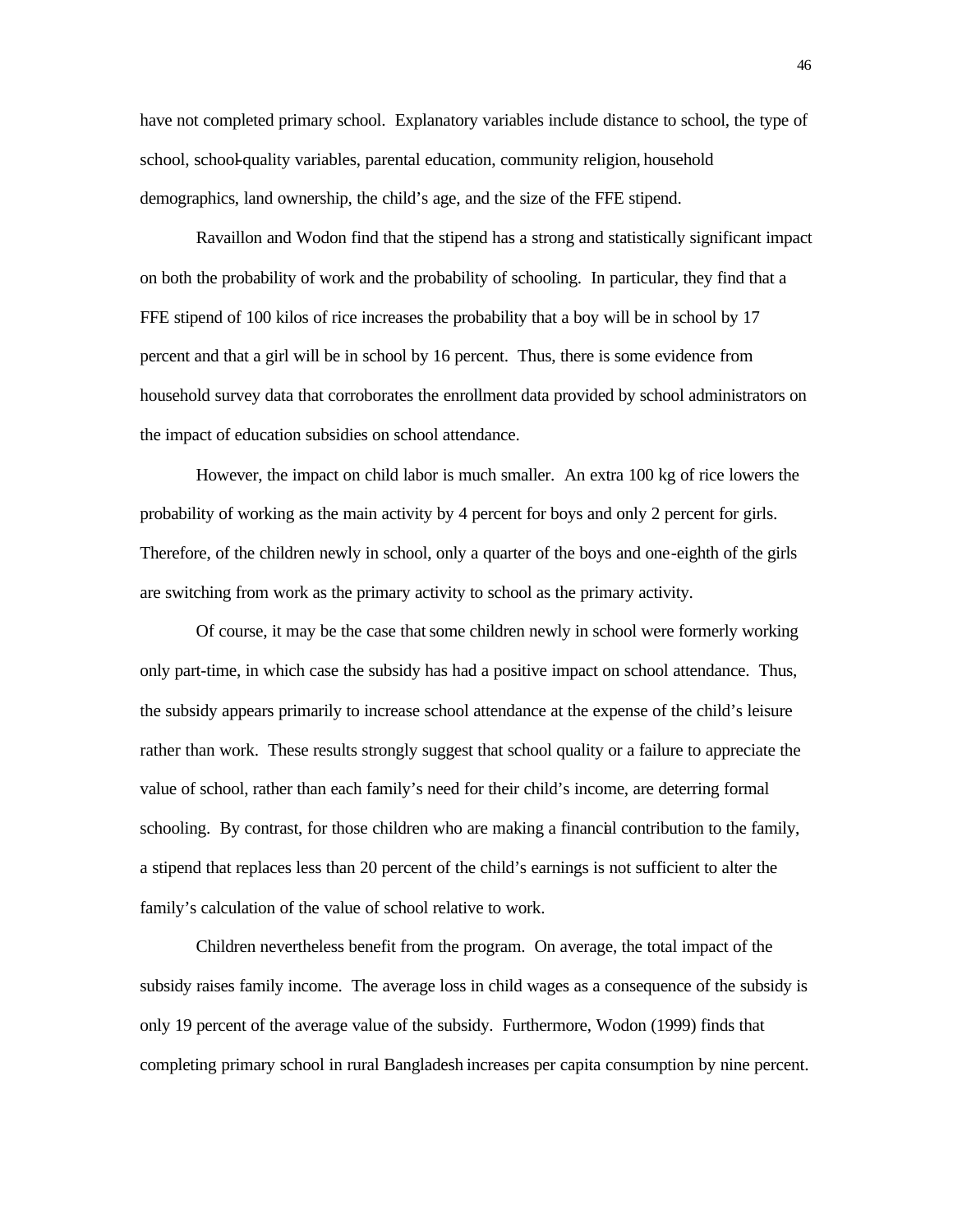have not completed primary school. Explanatory variables include distance to school, the type of school, school-quality variables, parental education, community religion, household demographics, land ownership, the child's age, and the size of the FFE stipend.

Ravaillon and Wodon find that the stipend has a strong and statistically significant impact on both the probability of work and the probability of schooling. In particular, they find that a FFE stipend of 100 kilos of rice increases the probability that a boy will be in school by 17 percent and that a girl will be in school by 16 percent. Thus, there is some evidence from household survey data that corroborates the enrollment data provided by school administrators on the impact of education subsidies on school attendance.

However, the impact on child labor is much smaller. An extra 100 kg of rice lowers the probability of working as the main activity by 4 percent for boys and only 2 percent for girls. Therefore, of the children newly in school, only a quarter of the boys and one-eighth of the girls are switching from work as the primary activity to school as the primary activity.

Of course, it may be the case that some children newly in school were formerly working only part-time, in which case the subsidy has had a positive impact on school attendance. Thus, the subsidy appears primarily to increase school attendance at the expense of the child's leisure rather than work. These results strongly suggest that school quality or a failure to appreciate the value of school, rather than each family's need for their child's income, are deterring formal schooling. By contrast, for those children who are making a financial contribution to the family, a stipend that replaces less than 20 percent of the child's earnings is not sufficient to alter the family's calculation of the value of school relative to work.

Children nevertheless benefit from the program. On average, the total impact of the subsidy raises family income. The average loss in child wages as a consequence of the subsidy is only 19 percent of the average value of the subsidy. Furthermore, Wodon (1999) finds that completing primary school in rural Bangladesh increases per capita consumption by nine percent.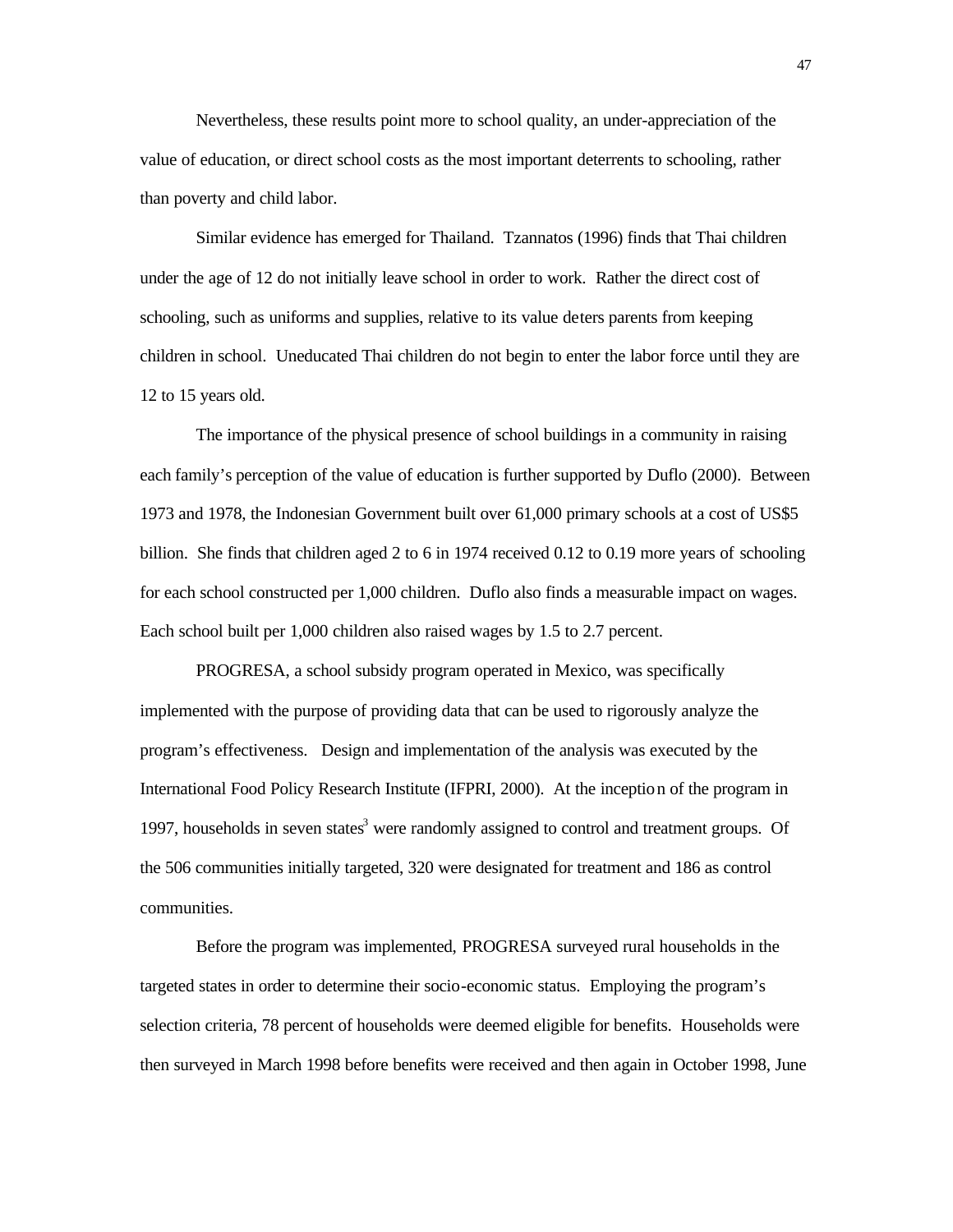Nevertheless, these results point more to school quality, an under-appreciation of the value of education, or direct school costs as the most important deterrents to schooling, rather than poverty and child labor.

Similar evidence has emerged for Thailand. Tzannatos (1996) finds that Thai children under the age of 12 do not initially leave school in order to work. Rather the direct cost of schooling, such as uniforms and supplies, relative to its value deters parents from keeping children in school. Uneducated Thai children do not begin to enter the labor force until they are 12 to 15 years old.

The importance of the physical presence of school buildings in a community in raising each family's perception of the value of education is further supported by Duflo (2000). Between 1973 and 1978, the Indonesian Government built over 61,000 primary schools at a cost of US\$5 billion. She finds that children aged 2 to 6 in 1974 received 0.12 to 0.19 more years of schooling for each school constructed per 1,000 children. Duflo also finds a measurable impact on wages. Each school built per 1,000 children also raised wages by 1.5 to 2.7 percent.

PROGRESA, a school subsidy program operated in Mexico, was specifically implemented with the purpose of providing data that can be used to rigorously analyze the program's effectiveness. Design and implementation of the analysis was executed by the International Food Policy Research Institute (IFPRI, 2000). At the inception of the program in 1997, households in seven states<sup>3</sup> were randomly assigned to control and treatment groups. Of the 506 communities initially targeted, 320 were designated for treatment and 186 as control communities.

Before the program was implemented, PROGRESA surveyed rural households in the targeted states in order to determine their socio-economic status. Employing the program's selection criteria, 78 percent of households were deemed eligible for benefits. Households were then surveyed in March 1998 before benefits were received and then again in October 1998, June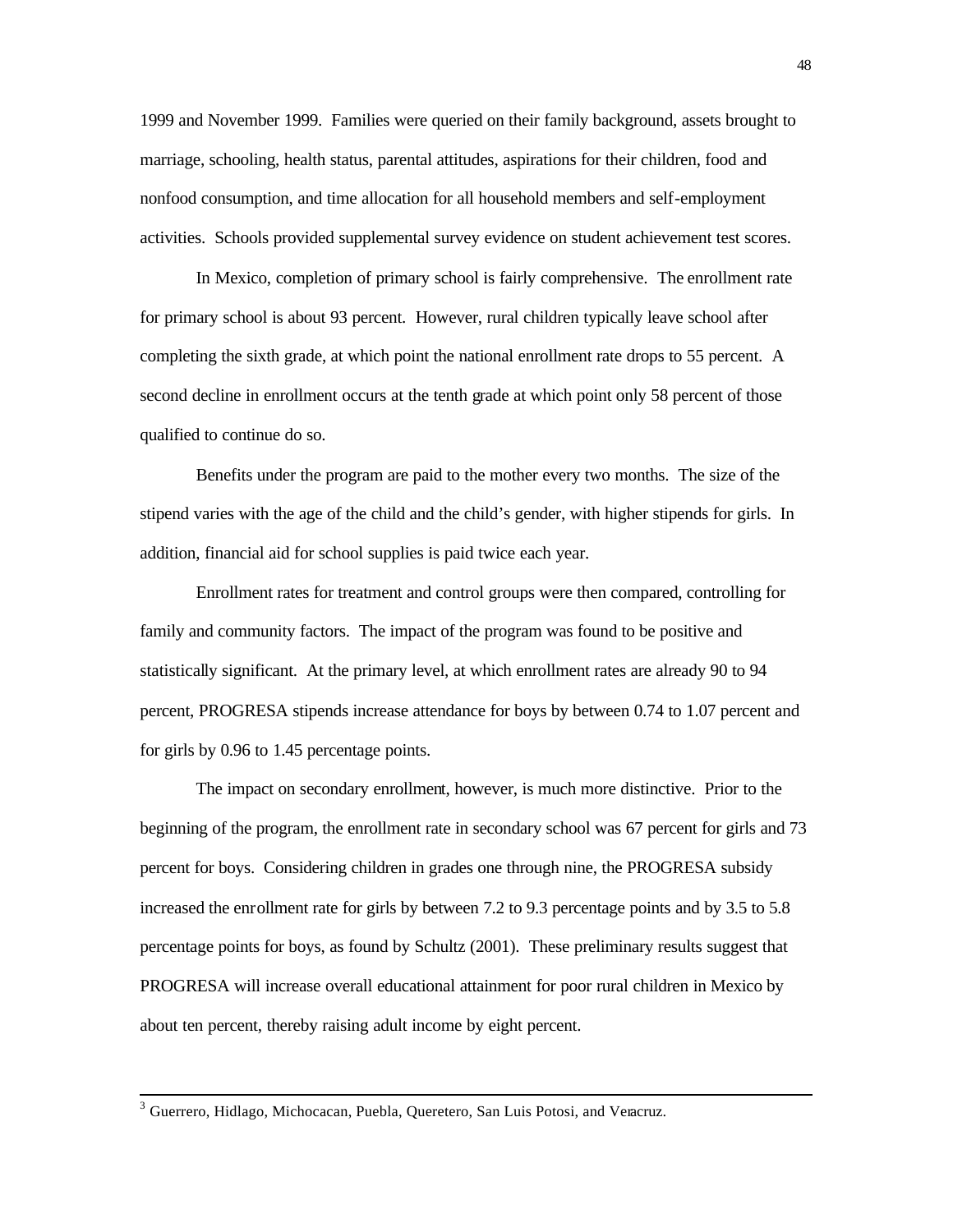1999 and November 1999. Families were queried on their family background, assets brought to marriage, schooling, health status, parental attitudes, aspirations for their children, food and nonfood consumption, and time allocation for all household members and self-employment activities. Schools provided supplemental survey evidence on student achievement test scores.

In Mexico, completion of primary school is fairly comprehensive. The enrollment rate for primary school is about 93 percent. However, rural children typically leave school after completing the sixth grade, at which point the national enrollment rate drops to 55 percent. A second decline in enrollment occurs at the tenth grade at which point only 58 percent of those qualified to continue do so.

Benefits under the program are paid to the mother every two months. The size of the stipend varies with the age of the child and the child's gender, with higher stipends for girls. In addition, financial aid for school supplies is paid twice each year.

Enrollment rates for treatment and control groups were then compared, controlling for family and community factors. The impact of the program was found to be positive and statistically significant. At the primary level, at which enrollment rates are already 90 to 94 percent, PROGRESA stipends increase attendance for boys by between 0.74 to 1.07 percent and for girls by 0.96 to 1.45 percentage points.

The impact on secondary enrollment, however, is much more distinctive. Prior to the beginning of the program, the enrollment rate in secondary school was 67 percent for girls and 73 percent for boys. Considering children in grades one through nine, the PROGRESA subsidy increased the enrollment rate for girls by between 7.2 to 9.3 percentage points and by 3.5 to 5.8 percentage points for boys, as found by Schultz (2001). These preliminary results suggest that PROGRESA will increase overall educational attainment for poor rural children in Mexico by about ten percent, thereby raising adult income by eight percent.

l

<sup>&</sup>lt;sup>3</sup> Guerrero, Hidlago, Michocacan, Puebla, Queretero, San Luis Potosi, and Veracruz.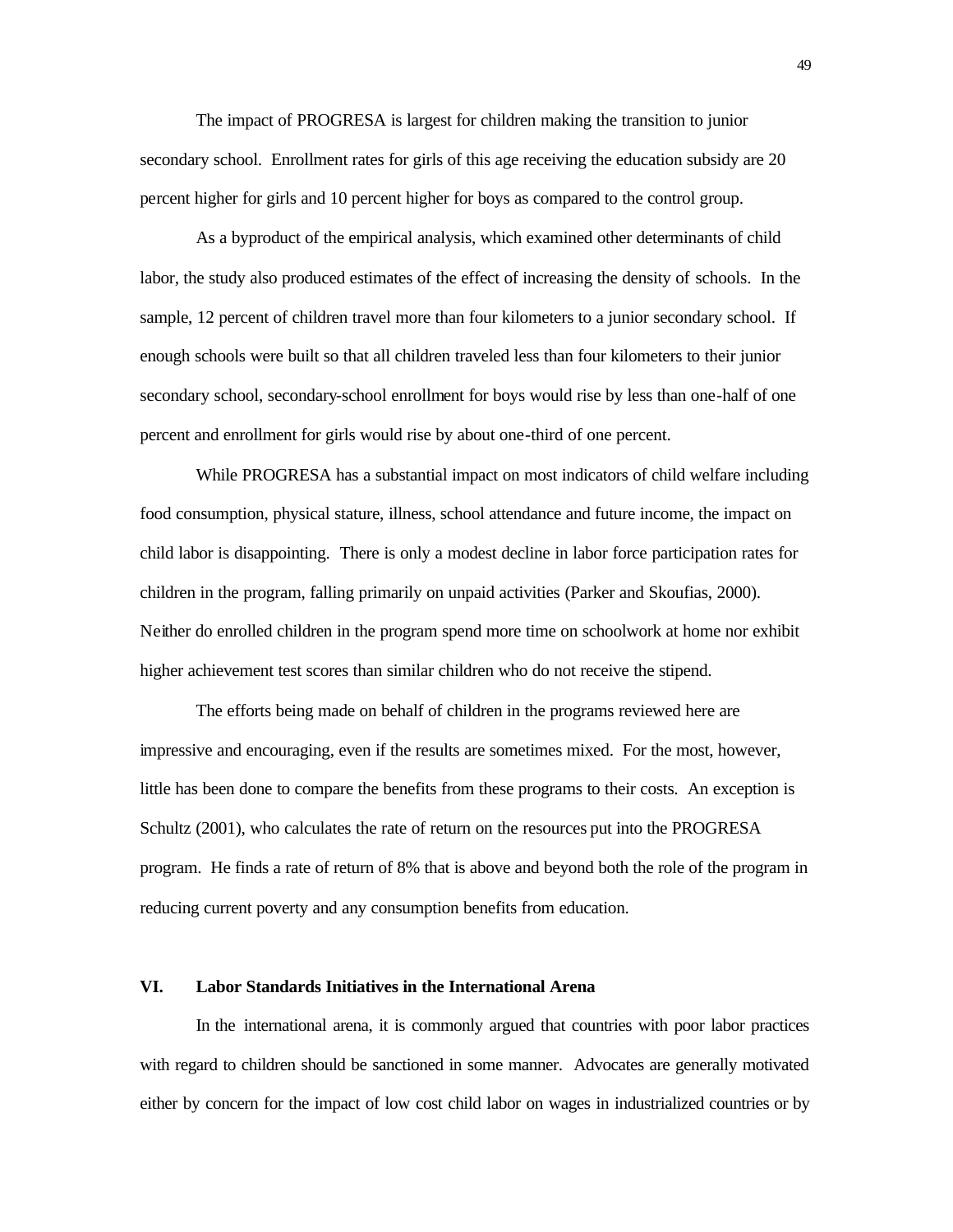The impact of PROGRESA is largest for children making the transition to junior secondary school. Enrollment rates for girls of this age receiving the education subsidy are 20 percent higher for girls and 10 percent higher for boys as compared to the control group.

As a byproduct of the empirical analysis, which examined other determinants of child labor, the study also produced estimates of the effect of increasing the density of schools. In the sample, 12 percent of children travel more than four kilometers to a junior secondary school. If enough schools were built so that all children traveled less than four kilometers to their junior secondary school, secondary-school enrollment for boys would rise by less than one-half of one percent and enrollment for girls would rise by about one-third of one percent.

While PROGRESA has a substantial impact on most indicators of child welfare including food consumption, physical stature, illness, school attendance and future income, the impact on child labor is disappointing. There is only a modest decline in labor force participation rates for children in the program, falling primarily on unpaid activities (Parker and Skoufias, 2000). Neither do enrolled children in the program spend more time on schoolwork at home nor exhibit higher achievement test scores than similar children who do not receive the stipend.

The efforts being made on behalf of children in the programs reviewed here are impressive and encouraging, even if the results are sometimes mixed. For the most, however, little has been done to compare the benefits from these programs to their costs. An exception is Schultz (2001), who calculates the rate of return on the resources put into the PROGRESA program. He finds a rate of return of 8% that is above and beyond both the role of the program in reducing current poverty and any consumption benefits from education.

# **VI. Labor Standards Initiatives in the International Arena**

In the international arena, it is commonly argued that countries with poor labor practices with regard to children should be sanctioned in some manner. Advocates are generally motivated either by concern for the impact of low cost child labor on wages in industrialized countries or by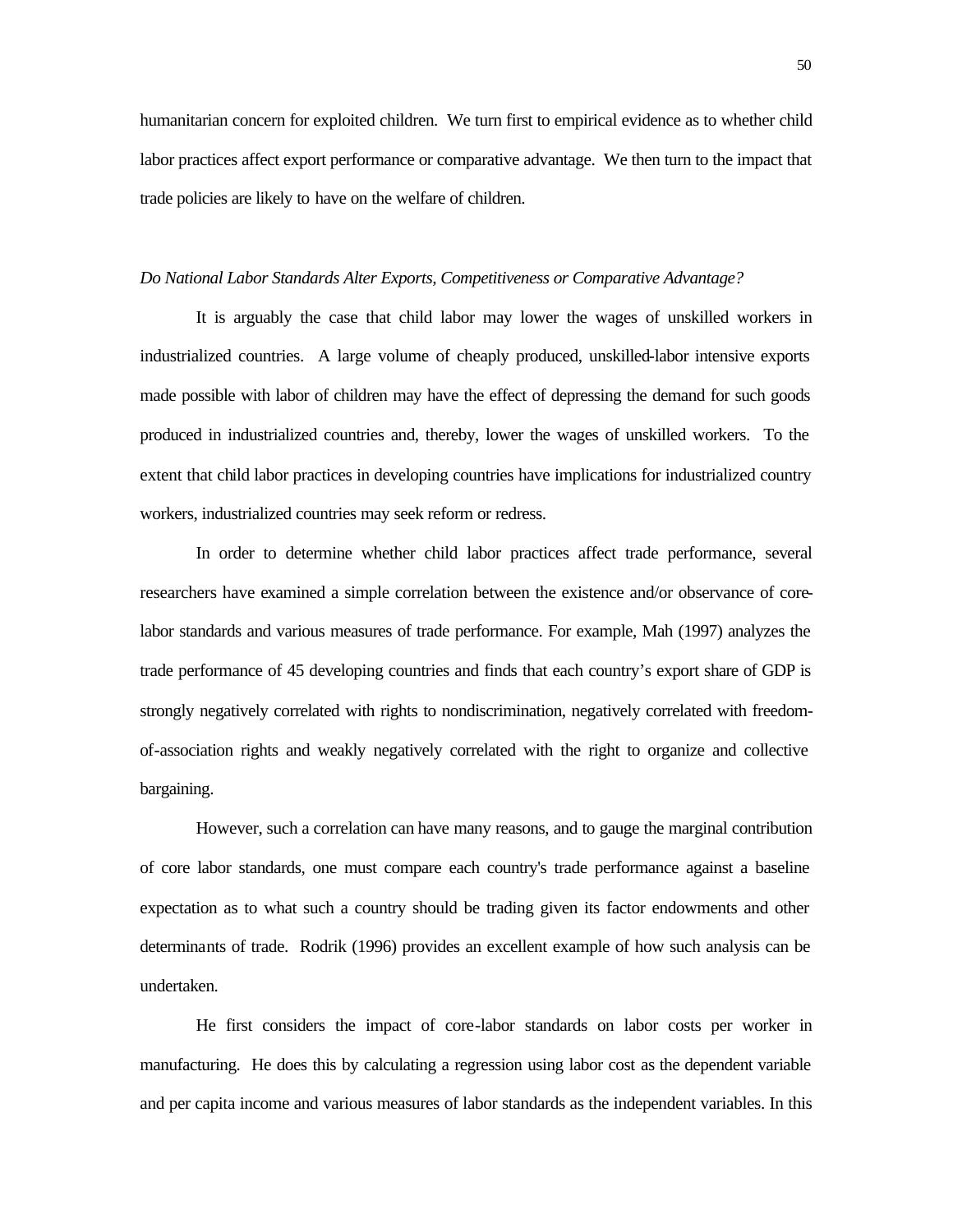humanitarian concern for exploited children. We turn first to empirical evidence as to whether child labor practices affect export performance or comparative advantage. We then turn to the impact that trade policies are likely to have on the welfare of children.

### *Do National Labor Standards Alter Exports, Competitiveness or Comparative Advantage?*

It is arguably the case that child labor may lower the wages of unskilled workers in industrialized countries. A large volume of cheaply produced, unskilled-labor intensive exports made possible with labor of children may have the effect of depressing the demand for such goods produced in industrialized countries and, thereby, lower the wages of unskilled workers. To the extent that child labor practices in developing countries have implications for industrialized country workers, industrialized countries may seek reform or redress.

In order to determine whether child labor practices affect trade performance, several researchers have examined a simple correlation between the existence and/or observance of corelabor standards and various measures of trade performance. For example, Mah (1997) analyzes the trade performance of 45 developing countries and finds that each country's export share of GDP is strongly negatively correlated with rights to nondiscrimination, negatively correlated with freedomof-association rights and weakly negatively correlated with the right to organize and collective bargaining.

However, such a correlation can have many reasons, and to gauge the marginal contribution of core labor standards, one must compare each country's trade performance against a baseline expectation as to what such a country should be trading given its factor endowments and other determinants of trade. Rodrik (1996) provides an excellent example of how such analysis can be undertaken.

He first considers the impact of core-labor standards on labor costs per worker in manufacturing. He does this by calculating a regression using labor cost as the dependent variable and per capita income and various measures of labor standards as the independent variables. In this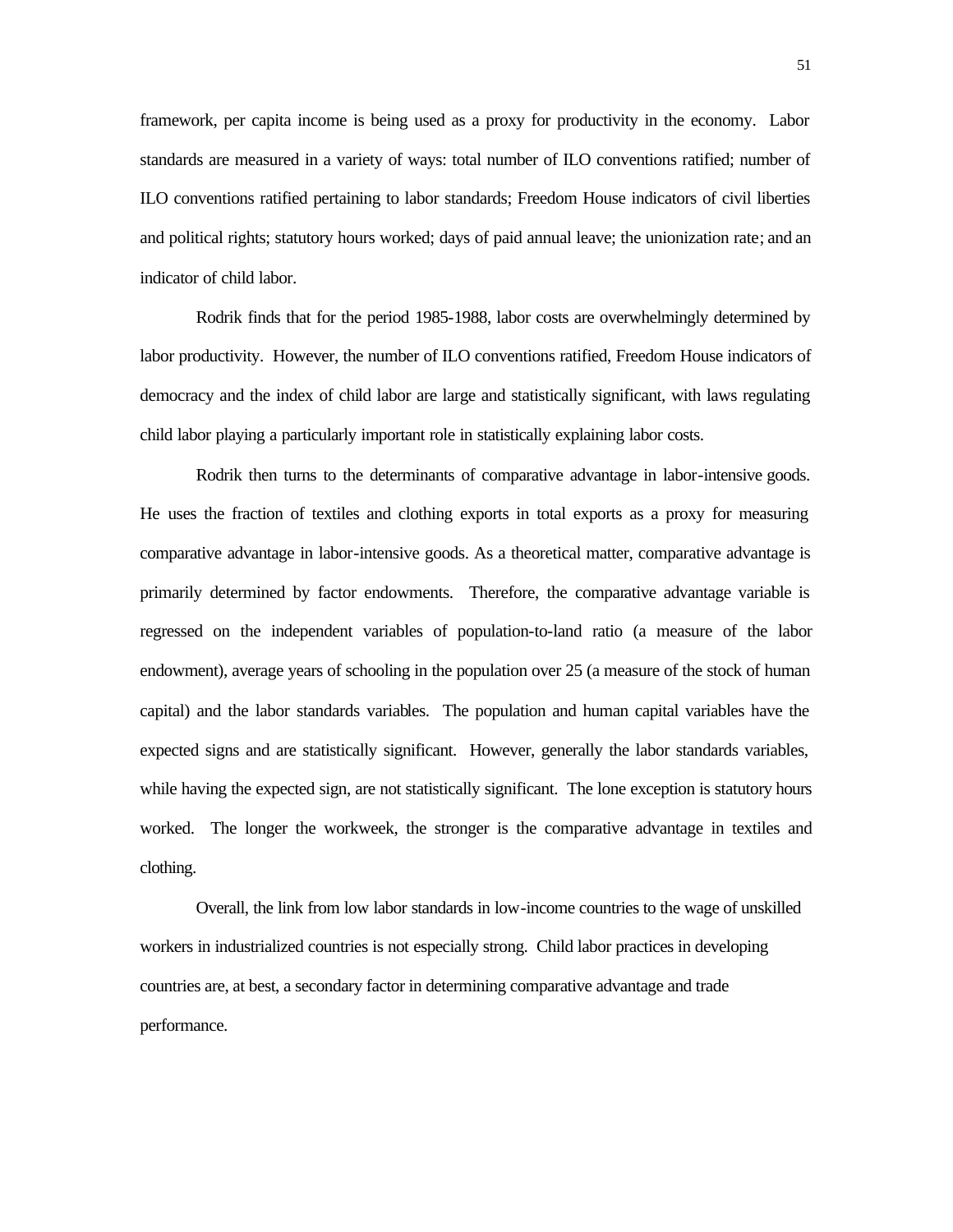framework, per capita income is being used as a proxy for productivity in the economy. Labor standards are measured in a variety of ways: total number of ILO conventions ratified; number of ILO conventions ratified pertaining to labor standards; Freedom House indicators of civil liberties and political rights; statutory hours worked; days of paid annual leave; the unionization rate; and an indicator of child labor.

 Rodrik finds that for the period 1985-1988, labor costs are overwhelmingly determined by labor productivity. However, the number of ILO conventions ratified, Freedom House indicators of democracy and the index of child labor are large and statistically significant, with laws regulating child labor playing a particularly important role in statistically explaining labor costs.

Rodrik then turns to the determinants of comparative advantage in labor-intensive goods. He uses the fraction of textiles and clothing exports in total exports as a proxy for measuring comparative advantage in labor-intensive goods. As a theoretical matter, comparative advantage is primarily determined by factor endowments. Therefore, the comparative advantage variable is regressed on the independent variables of population-to-land ratio (a measure of the labor endowment), average years of schooling in the population over 25 (a measure of the stock of human capital) and the labor standards variables. The population and human capital variables have the expected signs and are statistically significant. However, generally the labor standards variables, while having the expected sign, are not statistically significant. The lone exception is statutory hours worked. The longer the workweek, the stronger is the comparative advantage in textiles and clothing.

Overall, the link from low labor standards in low-income countries to the wage of unskilled workers in industrialized countries is not especially strong. Child labor practices in developing countries are, at best, a secondary factor in determining comparative advantage and trade performance.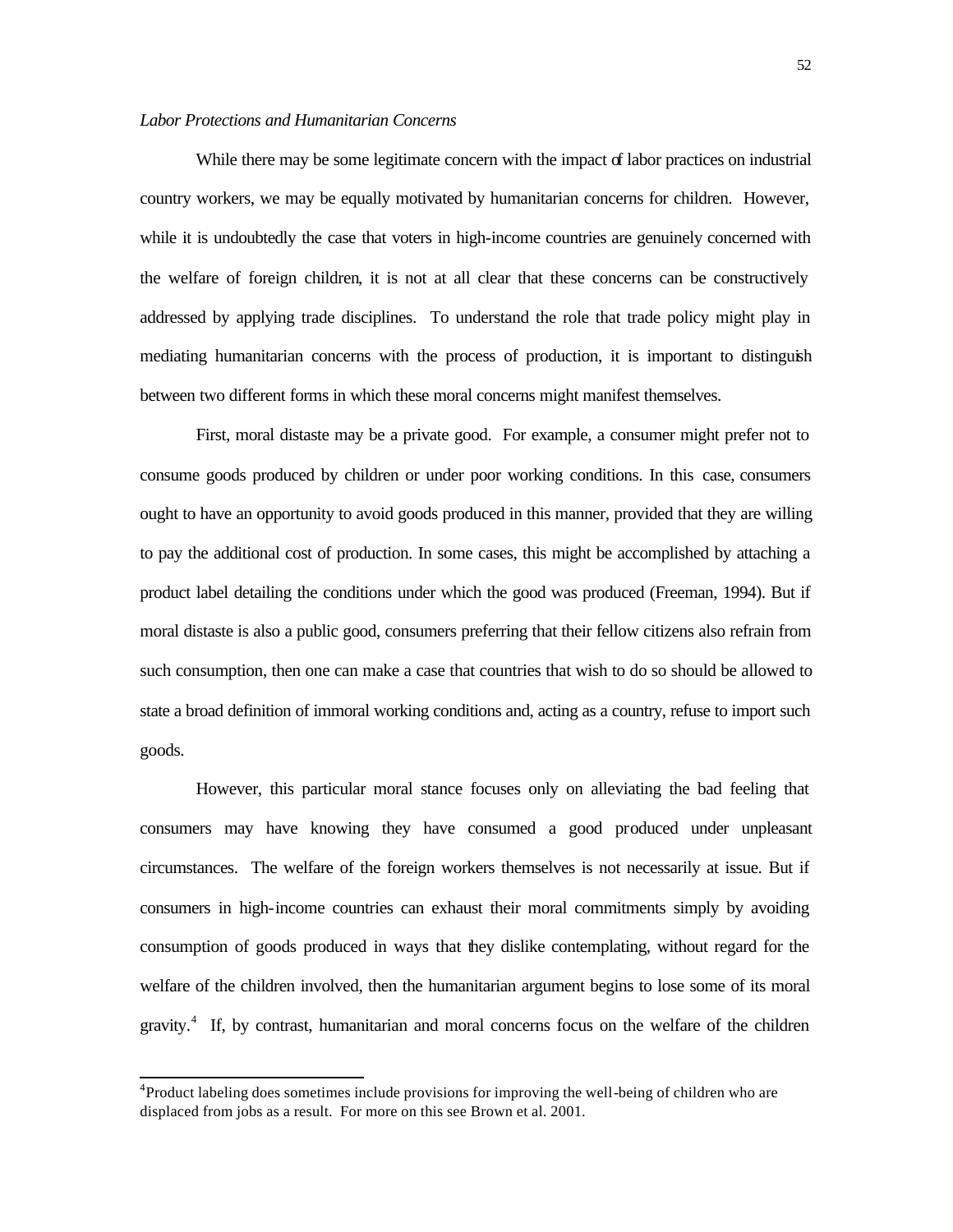# *Labor Protections and Humanitarian Concerns*

While there may be some legitimate concern with the impact of labor practices on industrial country workers, we may be equally motivated by humanitarian concerns for children. However, while it is undoubtedly the case that voters in high-income countries are genuinely concerned with the welfare of foreign children, it is not at all clear that these concerns can be constructively addressed by applying trade disciplines. To understand the role that trade policy might play in mediating humanitarian concerns with the process of production, it is important to distinguish between two different forms in which these moral concerns might manifest themselves.

First, moral distaste may be a private good. For example, a consumer might prefer not to consume goods produced by children or under poor working conditions. In this case, consumers ought to have an opportunity to avoid goods produced in this manner, provided that they are willing to pay the additional cost of production. In some cases, this might be accomplished by attaching a product label detailing the conditions under which the good was produced (Freeman, 1994). But if moral distaste is also a public good, consumers preferring that their fellow citizens also refrain from such consumption, then one can make a case that countries that wish to do so should be allowed to state a broad definition of immoral working conditions and, acting as a country, refuse to import such goods.

However, this particular moral stance focuses only on alleviating the bad feeling that consumers may have knowing they have consumed a good produced under unpleasant circumstances. The welfare of the foreign workers themselves is not necessarily at issue. But if consumers in high-income countries can exhaust their moral commitments simply by avoiding consumption of goods produced in ways that they dislike contemplating, without regard for the welfare of the children involved, then the humanitarian argument begins to lose some of its moral gravity.<sup>4</sup> If, by contrast, humanitarian and moral concerns focus on the welfare of the children

l

<sup>&</sup>lt;sup>4</sup>Product labeling does sometimes include provisions for improving the well-being of children who are displaced from jobs as a result. For more on this see Brown et al. 2001.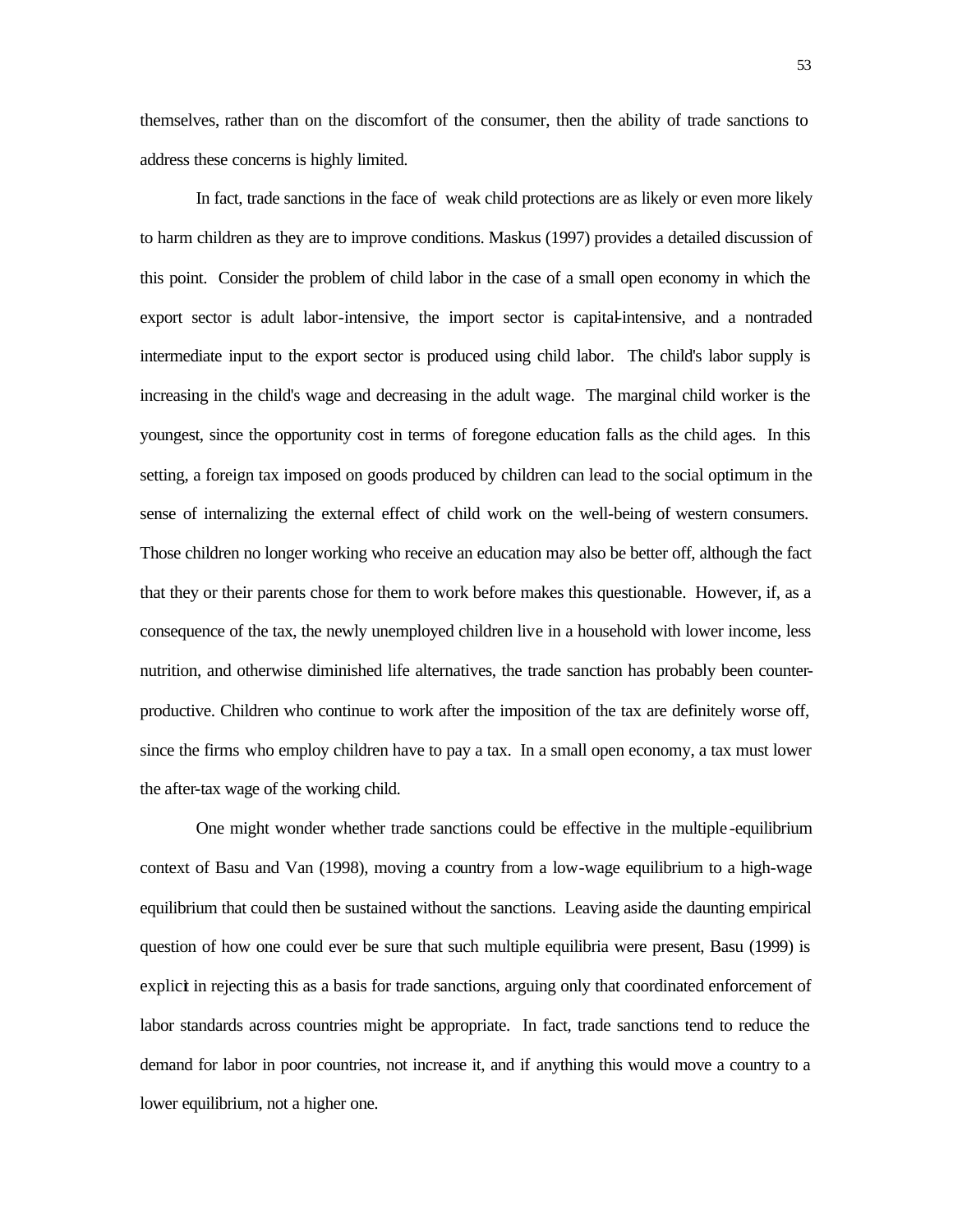themselves, rather than on the discomfort of the consumer, then the ability of trade sanctions to address these concerns is highly limited.

In fact, trade sanctions in the face of weak child protections are as likely or even more likely to harm children as they are to improve conditions. Maskus (1997) provides a detailed discussion of this point. Consider the problem of child labor in the case of a small open economy in which the export sector is adult labor-intensive, the import sector is capital-intensive, and a nontraded intermediate input to the export sector is produced using child labor. The child's labor supply is increasing in the child's wage and decreasing in the adult wage. The marginal child worker is the youngest, since the opportunity cost in terms of foregone education falls as the child ages. In this setting, a foreign tax imposed on goods produced by children can lead to the social optimum in the sense of internalizing the external effect of child work on the well-being of western consumers. Those children no longer working who receive an education may also be better off, although the fact that they or their parents chose for them to work before makes this questionable. However, if, as a consequence of the tax, the newly unemployed children live in a household with lower income, less nutrition, and otherwise diminished life alternatives, the trade sanction has probably been counterproductive. Children who continue to work after the imposition of the tax are definitely worse off, since the firms who employ children have to pay a tax. In a small open economy, a tax must lower the after-tax wage of the working child.

One might wonder whether trade sanctions could be effective in the multiple -equilibrium context of Basu and Van (1998), moving a country from a low-wage equilibrium to a high-wage equilibrium that could then be sustained without the sanctions. Leaving aside the daunting empirical question of how one could ever be sure that such multiple equilibria were present, Basu (1999) is explict in rejecting this as a basis for trade sanctions, arguing only that coordinated enforcement of labor standards across countries might be appropriate. In fact, trade sanctions tend to reduce the demand for labor in poor countries, not increase it, and if anything this would move a country to a lower equilibrium, not a higher one.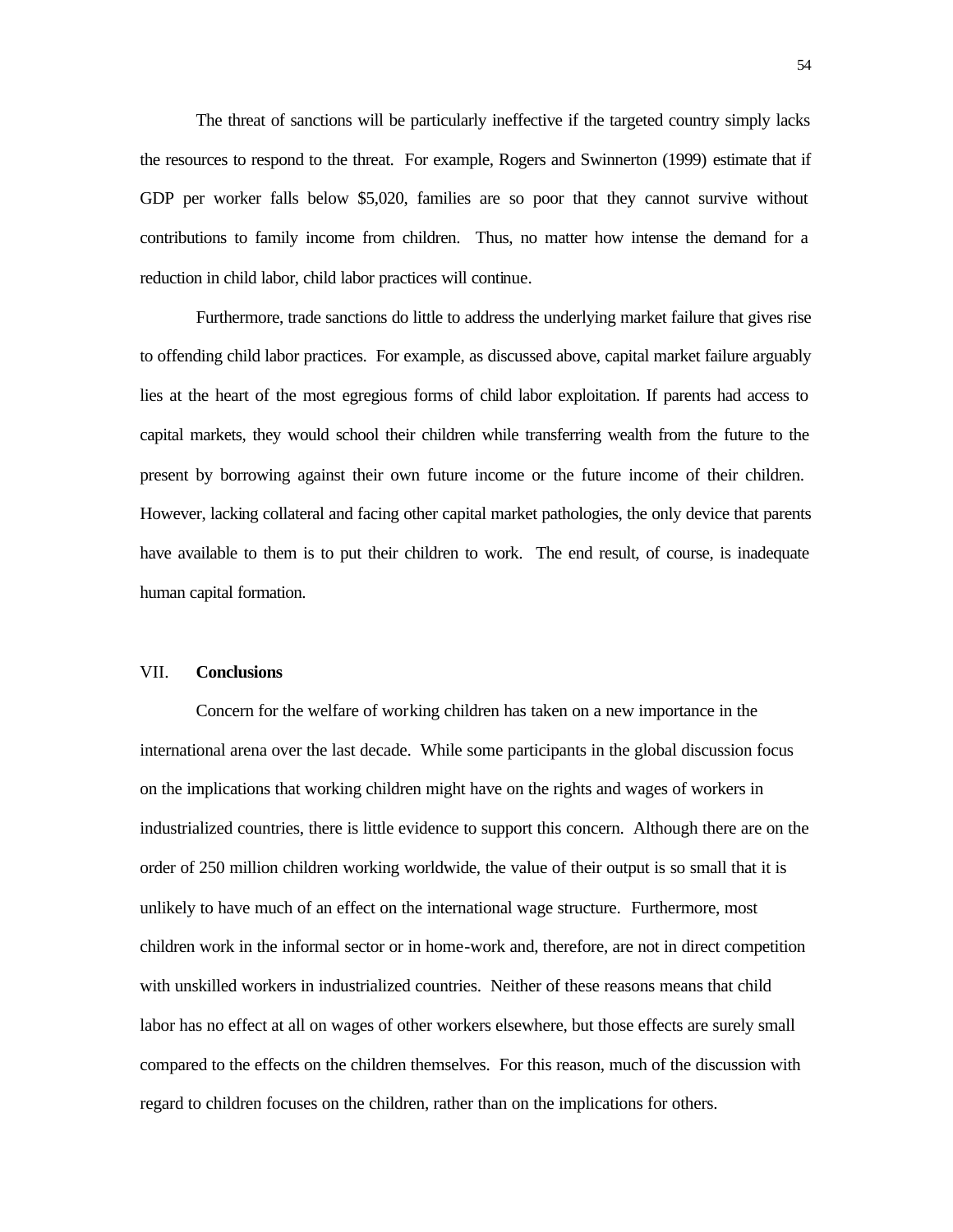The threat of sanctions will be particularly ineffective if the targeted country simply lacks the resources to respond to the threat. For example, Rogers and Swinnerton (1999) estimate that if GDP per worker falls below \$5,020, families are so poor that they cannot survive without contributions to family income from children. Thus, no matter how intense the demand for a reduction in child labor, child labor practices will continue.

Furthermore, trade sanctions do little to address the underlying market failure that gives rise to offending child labor practices. For example, as discussed above, capital market failure arguably lies at the heart of the most egregious forms of child labor exploitation. If parents had access to capital markets, they would school their children while transferring wealth from the future to the present by borrowing against their own future income or the future income of their children. However, lacking collateral and facing other capital market pathologies, the only device that parents have available to them is to put their children to work. The end result, of course, is inadequate human capital formation.

# VII. **Conclusions**

Concern for the welfare of working children has taken on a new importance in the international arena over the last decade. While some participants in the global discussion focus on the implications that working children might have on the rights and wages of workers in industrialized countries, there is little evidence to support this concern. Although there are on the order of 250 million children working worldwide, the value of their output is so small that it is unlikely to have much of an effect on the international wage structure. Furthermore, most children work in the informal sector or in home-work and, therefore, are not in direct competition with unskilled workers in industrialized countries. Neither of these reasons means that child labor has no effect at all on wages of other workers elsewhere, but those effects are surely small compared to the effects on the children themselves. For this reason, much of the discussion with regard to children focuses on the children, rather than on the implications for others.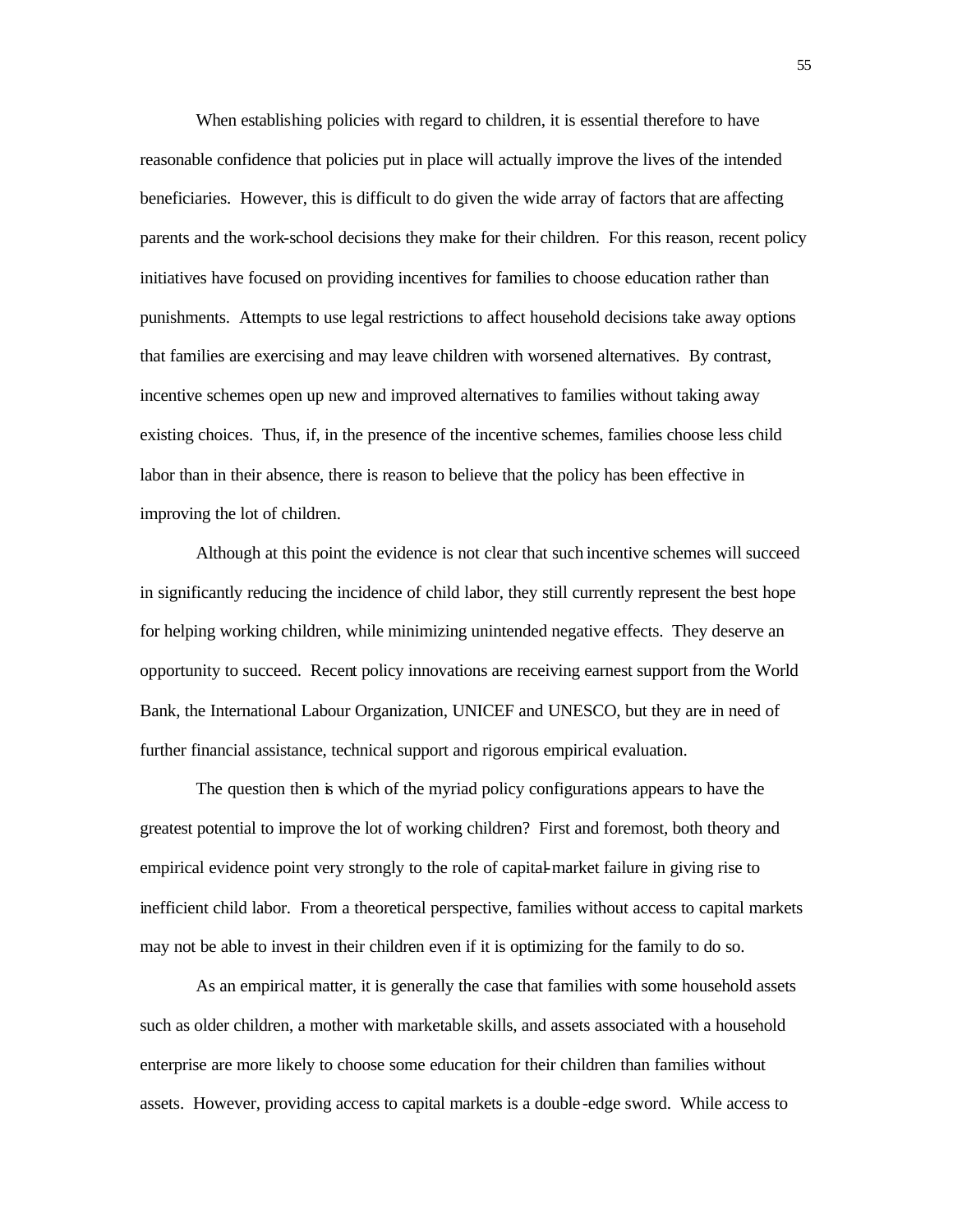When establishing policies with regard to children, it is essential therefore to have reasonable confidence that policies put in place will actually improve the lives of the intended beneficiaries. However, this is difficult to do given the wide array of factors that are affecting parents and the work-school decisions they make for their children. For this reason, recent policy initiatives have focused on providing incentives for families to choose education rather than punishments. Attempts to use legal restrictions to affect household decisions take away options that families are exercising and may leave children with worsened alternatives. By contrast, incentive schemes open up new and improved alternatives to families without taking away existing choices. Thus, if, in the presence of the incentive schemes, families choose less child labor than in their absence, there is reason to believe that the policy has been effective in improving the lot of children.

Although at this point the evidence is not clear that such incentive schemes will succeed in significantly reducing the incidence of child labor, they still currently represent the best hope for helping working children, while minimizing unintended negative effects. They deserve an opportunity to succeed. Recent policy innovations are receiving earnest support from the World Bank, the International Labour Organization, UNICEF and UNESCO, but they are in need of further financial assistance, technical support and rigorous empirical evaluation.

The question then is which of the myriad policy configurations appears to have the greatest potential to improve the lot of working children? First and foremost, both theory and empirical evidence point very strongly to the role of capital-market failure in giving rise to inefficient child labor. From a theoretical perspective, families without access to capital markets may not be able to invest in their children even if it is optimizing for the family to do so.

As an empirical matter, it is generally the case that families with some household assets such as older children, a mother with marketable skills, and assets associated with a household enterprise are more likely to choose some education for their children than families without assets. However, providing access to capital markets is a double -edge sword. While access to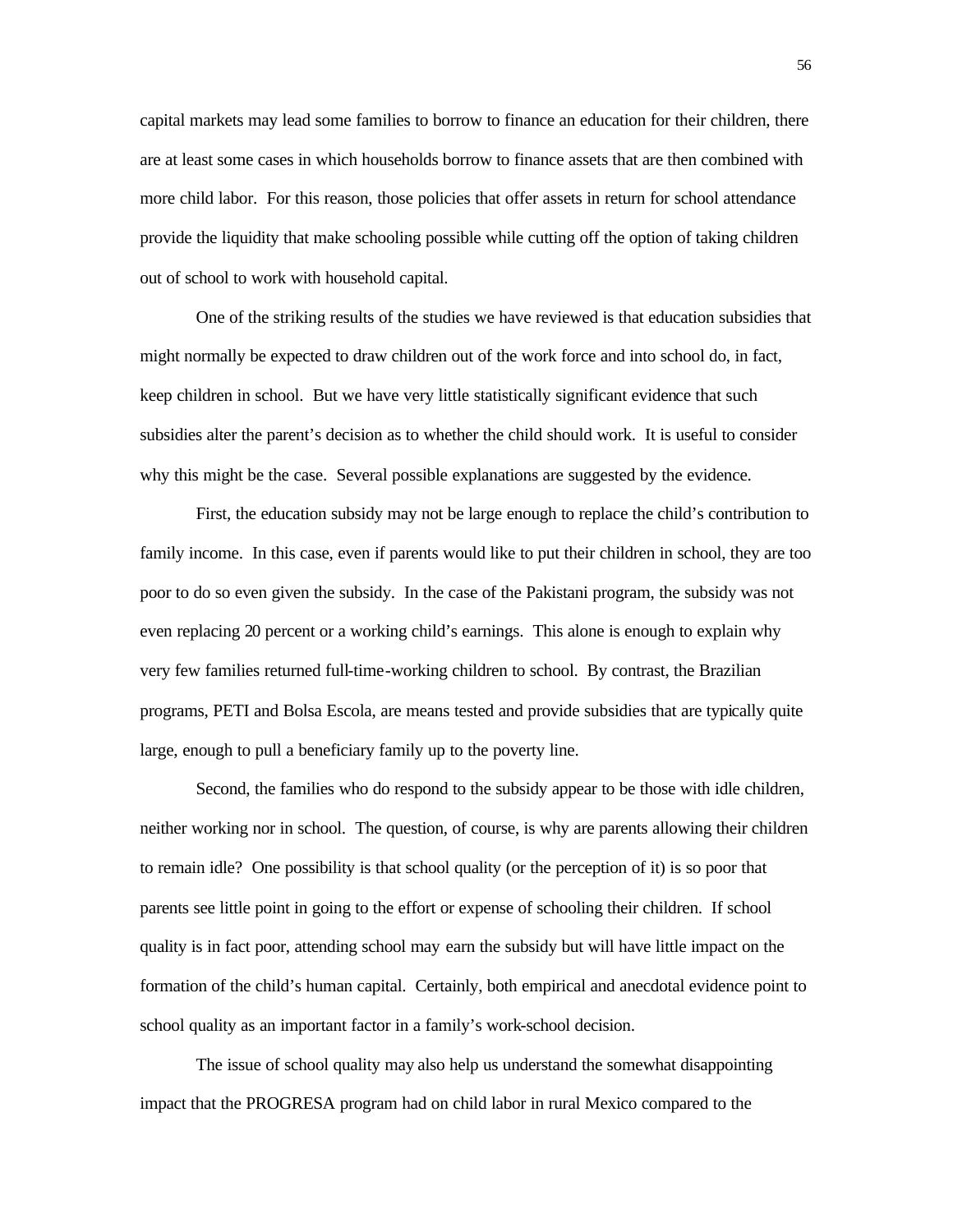capital markets may lead some families to borrow to finance an education for their children, there are at least some cases in which households borrow to finance assets that are then combined with more child labor. For this reason, those policies that offer assets in return for school attendance provide the liquidity that make schooling possible while cutting off the option of taking children out of school to work with household capital.

One of the striking results of the studies we have reviewed is that education subsidies that might normally be expected to draw children out of the work force and into school do, in fact, keep children in school. But we have very little statistically significant evidence that such subsidies alter the parent's decision as to whether the child should work. It is useful to consider why this might be the case. Several possible explanations are suggested by the evidence.

First, the education subsidy may not be large enough to replace the child's contribution to family income. In this case, even if parents would like to put their children in school, they are too poor to do so even given the subsidy. In the case of the Pakistani program, the subsidy was not even replacing 20 percent or a working child's earnings. This alone is enough to explain why very few families returned full-time-working children to school. By contrast, the Brazilian programs, PETI and Bolsa Escola, are means tested and provide subsidies that are typically quite large, enough to pull a beneficiary family up to the poverty line.

Second, the families who do respond to the subsidy appear to be those with idle children, neither working nor in school. The question, of course, is why are parents allowing their children to remain idle? One possibility is that school quality (or the perception of it) is so poor that parents see little point in going to the effort or expense of schooling their children. If school quality is in fact poor, attending school may earn the subsidy but will have little impact on the formation of the child's human capital. Certainly, both empirical and anecdotal evidence point to school quality as an important factor in a family's work-school decision.

The issue of school quality may also help us understand the somewhat disappointing impact that the PROGRESA program had on child labor in rural Mexico compared to the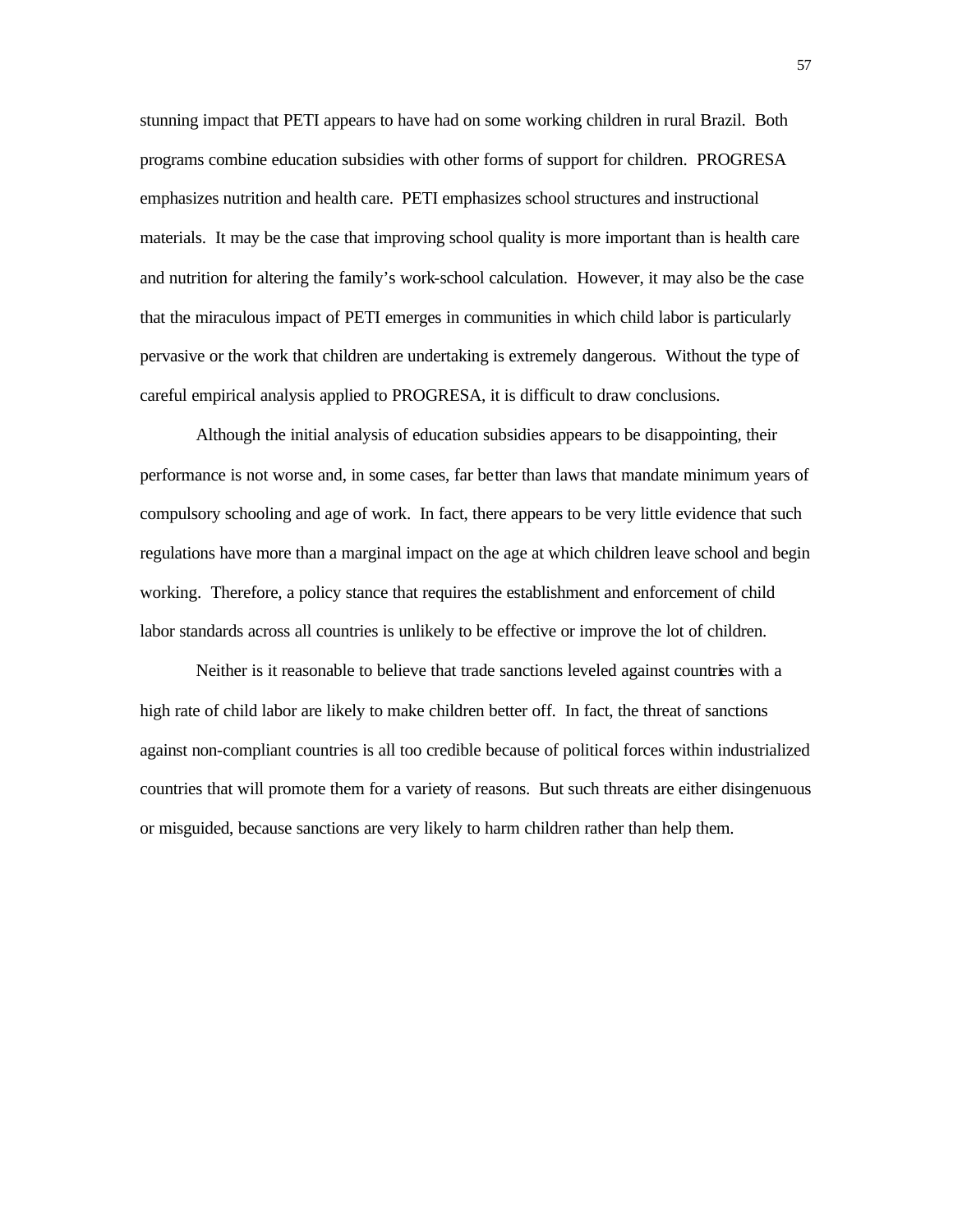stunning impact that PETI appears to have had on some working children in rural Brazil. Both programs combine education subsidies with other forms of support for children. PROGRESA emphasizes nutrition and health care. PETI emphasizes school structures and instructional materials. It may be the case that improving school quality is more important than is health care and nutrition for altering the family's work-school calculation. However, it may also be the case that the miraculous impact of PETI emerges in communities in which child labor is particularly pervasive or the work that children are undertaking is extremely dangerous. Without the type of careful empirical analysis applied to PROGRESA, it is difficult to draw conclusions.

Although the initial analysis of education subsidies appears to be disappointing, their performance is not worse and, in some cases, far better than laws that mandate minimum years of compulsory schooling and age of work. In fact, there appears to be very little evidence that such regulations have more than a marginal impact on the age at which children leave school and begin working. Therefore, a policy stance that requires the establishment and enforcement of child labor standards across all countries is unlikely to be effective or improve the lot of children.

Neither is it reasonable to believe that trade sanctions leveled against countries with a high rate of child labor are likely to make children better off. In fact, the threat of sanctions against non-compliant countries is all too credible because of political forces within industrialized countries that will promote them for a variety of reasons. But such threats are either disingenuous or misguided, because sanctions are very likely to harm children rather than help them.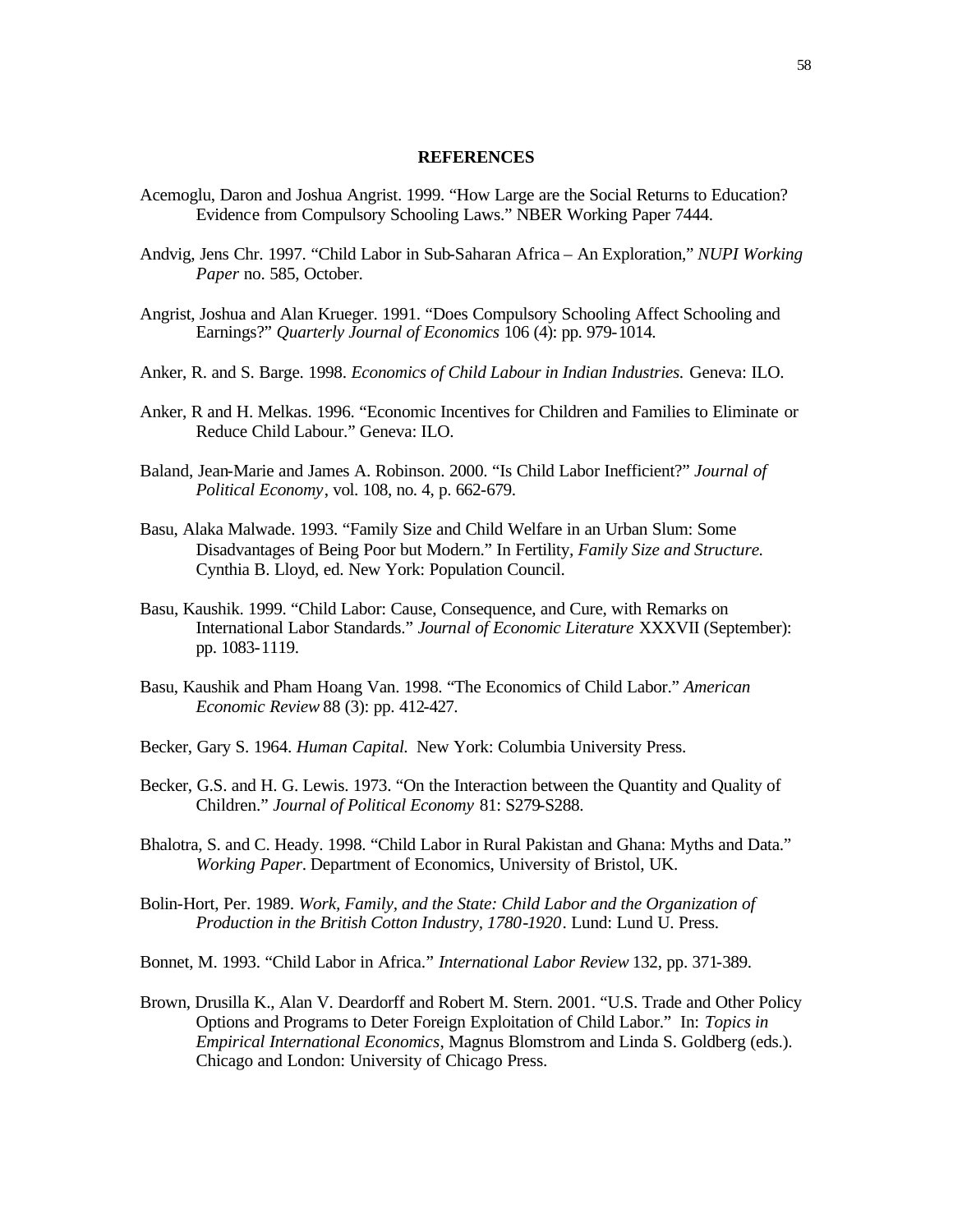#### **REFERENCES**

- Acemoglu, Daron and Joshua Angrist. 1999. "How Large are the Social Returns to Education? Evidence from Compulsory Schooling Laws." NBER Working Paper 7444.
- Andvig, Jens Chr. 1997. "Child Labor in Sub-Saharan Africa An Exploration," *NUPI Working Paper* no. 585, October.
- Angrist, Joshua and Alan Krueger. 1991. "Does Compulsory Schooling Affect Schooling and Earnings?" *Quarterly Journal of Economics* 106 (4): pp. 979-1014.
- Anker, R. and S. Barge. 1998. *Economics of Child Labour in Indian Industries.* Geneva: ILO.
- Anker, R and H. Melkas. 1996. "Economic Incentives for Children and Families to Eliminate or Reduce Child Labour." Geneva: ILO.
- Baland, Jean-Marie and James A. Robinson. 2000. "Is Child Labor Inefficient?" *Journal of Political Economy*, vol. 108, no. 4, p. 662-679.
- Basu, Alaka Malwade. 1993. "Family Size and Child Welfare in an Urban Slum: Some Disadvantages of Being Poor but Modern." In Fertility*, Family Size and Structure.*  Cynthia B. Lloyd, ed. New York: Population Council.
- Basu, Kaushik. 1999. "Child Labor: Cause, Consequence, and Cure, with Remarks on International Labor Standards." *Journal of Economic Literature* XXXVII (September): pp. 1083-1119.
- Basu, Kaushik and Pham Hoang Van. 1998. "The Economics of Child Labor." *American Economic Review* 88 (3): pp. 412-427.
- Becker, Gary S. 1964. *Human Capital.* New York: Columbia University Press.
- Becker, G.S. and H. G. Lewis. 1973. "On the Interaction between the Quantity and Quality of Children." *Journal of Political Economy* 81: S279-S288.
- Bhalotra, S. and C. Heady. 1998. "Child Labor in Rural Pakistan and Ghana: Myths and Data." *Working Paper*. Department of Economics, University of Bristol, UK.
- Bolin-Hort, Per. 1989. *Work, Family, and the State: Child Labor and the Organization of Production in the British Cotton Industry, 1780-1920*. Lund: Lund U. Press.
- Bonnet, M. 1993. "Child Labor in Africa." *International Labor Review* 132, pp. 371-389.
- Brown, Drusilla K., Alan V. Deardorff and Robert M. Stern. 2001. "U.S. Trade and Other Policy Options and Programs to Deter Foreign Exploitation of Child Labor." In: *Topics in Empirical International Economics*, Magnus Blomstrom and Linda S. Goldberg (eds.). Chicago and London: University of Chicago Press.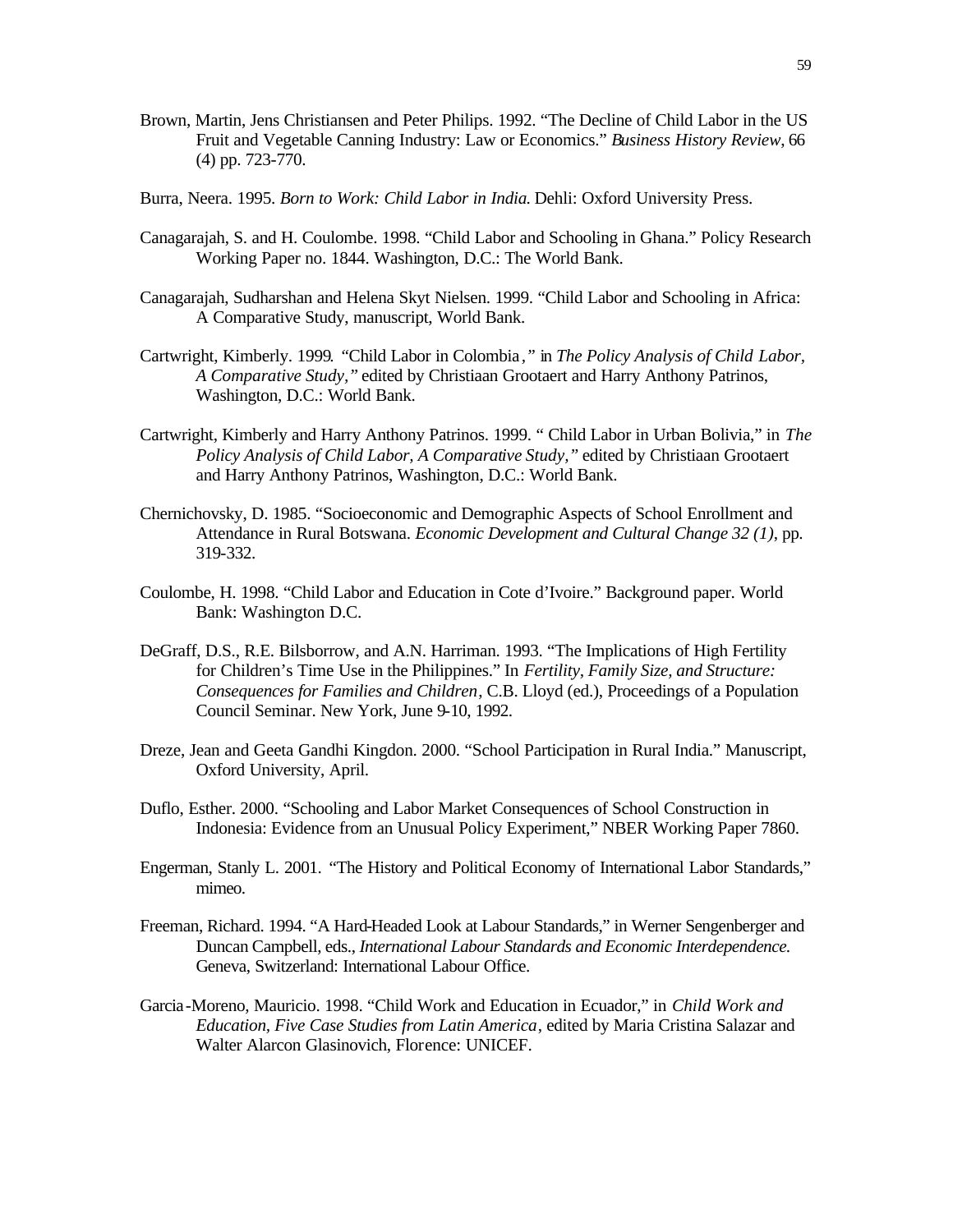- Brown, Martin, Jens Christiansen and Peter Philips. 1992. "The Decline of Child Labor in the US Fruit and Vegetable Canning Industry: Law or Economics." *Business History Review*, 66 (4) pp. 723-770.
- Burra, Neera. 1995. *Born to Work: Child Labor in India.* Dehli: Oxford University Press.
- Canagarajah, S. and H. Coulombe. 1998. "Child Labor and Schooling in Ghana." Policy Research Working Paper no. 1844. Washington, D.C.: The World Bank.
- Canagarajah, Sudharshan and Helena Skyt Nielsen. 1999. "Child Labor and Schooling in Africa: A Comparative Study, manuscript, World Bank.
- Cartwright, Kimberly. 1999*. "*Child Labor in Colombia *,"* in *The Policy Analysis of Child Labor, A Comparative Study,"* edited by Christiaan Grootaert and Harry Anthony Patrinos, Washington, D.C.: World Bank.
- Cartwright, Kimberly and Harry Anthony Patrinos. 1999. " Child Labor in Urban Bolivia," in *The Policy Analysis of Child Labor, A Comparative Study,"* edited by Christiaan Grootaert and Harry Anthony Patrinos, Washington, D.C.: World Bank.
- Chernichovsky, D. 1985. "Socioeconomic and Demographic Aspects of School Enrollment and Attendance in Rural Botswana. *Economic Development and Cultural Change 32 (1)*, pp. 319-332.
- Coulombe, H. 1998. "Child Labor and Education in Cote d'Ivoire." Background paper. World Bank: Washington D.C.
- DeGraff, D.S., R.E. Bilsborrow, and A.N. Harriman. 1993. "The Implications of High Fertility for Children's Time Use in the Philippines." In *Fertility, Family Size, and Structure: Consequences for Families and Children*, C.B. Lloyd (ed.), Proceedings of a Population Council Seminar. New York, June 9-10, 1992.
- Dreze, Jean and Geeta Gandhi Kingdon. 2000. "School Participation in Rural India." Manuscript, Oxford University, April.
- Duflo, Esther. 2000. "Schooling and Labor Market Consequences of School Construction in Indonesia: Evidence from an Unusual Policy Experiment," NBER Working Paper 7860.
- Engerman, Stanly L. 2001. "The History and Political Economy of International Labor Standards," mimeo.
- Freeman, Richard. 1994. "A Hard-Headed Look at Labour Standards," in Werner Sengenberger and Duncan Campbell, eds., *International Labour Standards and Economic Interdependence.*  Geneva, Switzerland: International Labour Office.
- Garcia-Moreno, Mauricio. 1998. "Child Work and Education in Ecuador," in *Child Work and Education, Five Case Studies from Latin America*, edited by Maria Cristina Salazar and Walter Alarcon Glasinovich, Florence: UNICEF.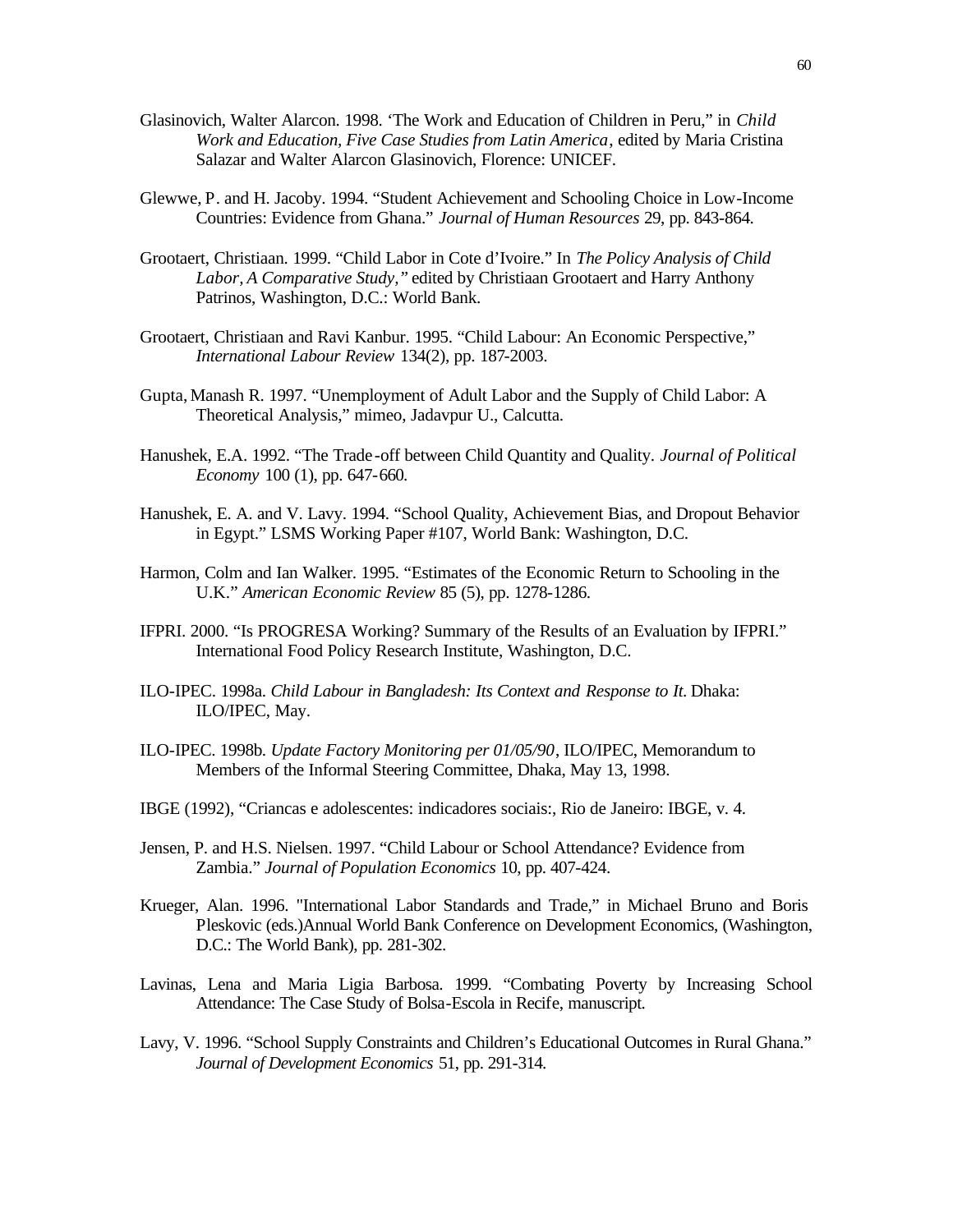- Glasinovich, Walter Alarcon. 1998. 'The Work and Education of Children in Peru," in *Child Work and Education, Five Case Studies from Latin America*, edited by Maria Cristina Salazar and Walter Alarcon Glasinovich, Florence: UNICEF.
- Glewwe, P. and H. Jacoby. 1994. "Student Achievement and Schooling Choice in Low-Income Countries: Evidence from Ghana." *Journal of Human Resources* 29, pp. 843-864.
- Grootaert, Christiaan. 1999. "Child Labor in Cote d'Ivoire." In *The Policy Analysis of Child Labor, A Comparative Study,"* edited by Christiaan Grootaert and Harry Anthony Patrinos, Washington, D.C.: World Bank.
- Grootaert, Christiaan and Ravi Kanbur. 1995. "Child Labour: An Economic Perspective," *International Labour Review* 134(2), pp. 187-2003.
- Gupta, Manash R. 1997. "Unemployment of Adult Labor and the Supply of Child Labor: A Theoretical Analysis," mimeo, Jadavpur U., Calcutta.
- Hanushek, E.A. 1992. "The Trade -off between Child Quantity and Quality. *Journal of Political Economy* 100 (1), pp. 647-660.
- Hanushek, E. A. and V. Lavy. 1994. "School Quality, Achievement Bias, and Dropout Behavior in Egypt." LSMS Working Paper #107, World Bank: Washington, D.C.
- Harmon, Colm and Ian Walker. 1995. "Estimates of the Economic Return to Schooling in the U.K." *American Economic Review* 85 (5), pp. 1278-1286.
- IFPRI. 2000. "Is PROGRESA Working? Summary of the Results of an Evaluation by IFPRI." International Food Policy Research Institute, Washington, D.C.
- ILO-IPEC. 1998a. *Child Labour in Bangladesh: Its Context and Response to It.* Dhaka: ILO/IPEC, May.
- ILO-IPEC. 1998b. *Update Factory Monitoring per 01/05/90*, ILO/IPEC, Memorandum to Members of the Informal Steering Committee, Dhaka, May 13, 1998.
- IBGE (1992), "Criancas e adolescentes: indicadores sociais:, Rio de Janeiro: IBGE, v. 4.
- Jensen, P. and H.S. Nielsen. 1997. "Child Labour or School Attendance? Evidence from Zambia." *Journal of Population Economics* 10, pp. 407-424.
- Krueger, Alan. 1996. "International Labor Standards and Trade," in Michael Bruno and Boris Pleskovic (eds.)Annual World Bank Conference on Development Economics, (Washington, D.C.: The World Bank), pp. 281-302.
- Lavinas, Lena and Maria Ligia Barbosa. 1999. "Combating Poverty by Increasing School Attendance: The Case Study of Bolsa-Escola in Recife, manuscript.
- Lavy, V. 1996. "School Supply Constraints and Children's Educational Outcomes in Rural Ghana." *Journal of Development Economics* 51, pp. 291-314.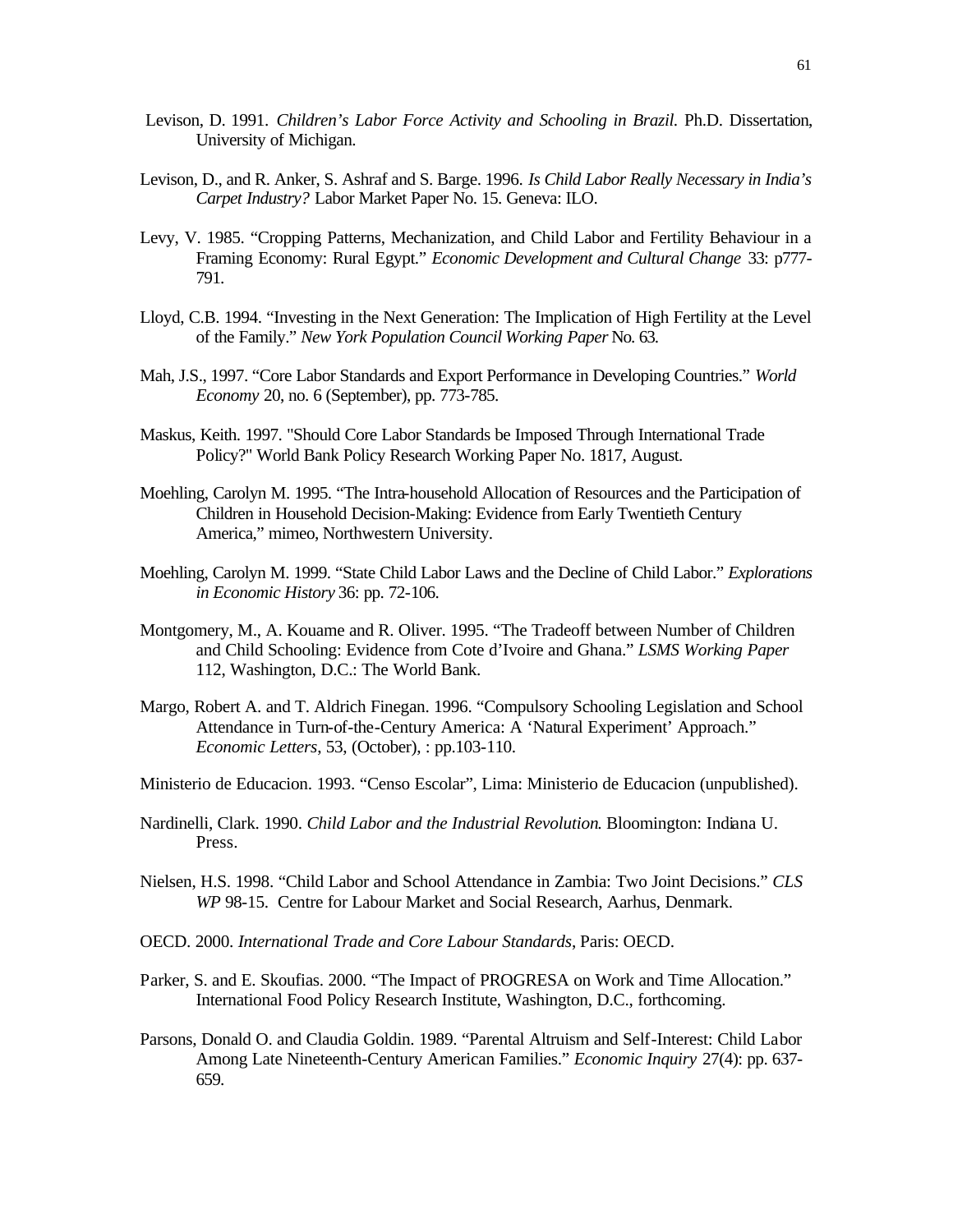- Levison, D. 1991. *Children's Labor Force Activity and Schooling in Brazil.* Ph.D. Dissertation, University of Michigan.
- Levison, D., and R. Anker, S. Ashraf and S. Barge. 1996. *Is Child Labor Really Necessary in India's Carpet Industry?* Labor Market Paper No. 15. Geneva: ILO.
- Levy, V. 1985. "Cropping Patterns, Mechanization, and Child Labor and Fertility Behaviour in a Framing Economy: Rural Egypt." *Economic Development and Cultural Change* 33: p777- 791.
- Lloyd, C.B. 1994. "Investing in the Next Generation: The Implication of High Fertility at the Level of the Family." *New York Population Council Working Paper* No. 63.
- Mah, J.S., 1997. "Core Labor Standards and Export Performance in Developing Countries." *World Economy* 20, no. 6 (September), pp. 773-785.
- Maskus, Keith. 1997. "Should Core Labor Standards be Imposed Through International Trade Policy?" World Bank Policy Research Working Paper No. 1817, August.
- Moehling, Carolyn M. 1995. "The Intra-household Allocation of Resources and the Participation of Children in Household Decision-Making: Evidence from Early Twentieth Century America," mimeo, Northwestern University.
- Moehling, Carolyn M. 1999. "State Child Labor Laws and the Decline of Child Labor." *Explorations in Economic History* 36: pp. 72-106.
- Montgomery, M., A. Kouame and R. Oliver. 1995. "The Tradeoff between Number of Children and Child Schooling: Evidence from Cote d'Ivoire and Ghana." *LSMS Working Paper* 112, Washington, D.C.: The World Bank.
- Margo, Robert A. and T. Aldrich Finegan. 1996. "Compulsory Schooling Legislation and School Attendance in Turn-of-the-Century America: A 'Natural Experiment' Approach." *Economic Letters*, 53, (October), : pp.103-110.
- Ministerio de Educacion. 1993. "Censo Escolar", Lima: Ministerio de Educacion (unpublished).
- Nardinelli, Clark. 1990. *Child Labor and the Industrial Revolution*. Bloomington: Indiana U. Press.
- Nielsen, H.S. 1998. "Child Labor and School Attendance in Zambia: Two Joint Decisions." *CLS WP* 98-15. Centre for Labour Market and Social Research, Aarhus, Denmark.
- OECD. 2000. *International Trade and Core Labour Standards*, Paris: OECD.
- Parker, S. and E. Skoufias. 2000. "The Impact of PROGRESA on Work and Time Allocation." International Food Policy Research Institute, Washington, D.C., forthcoming.
- Parsons, Donald O. and Claudia Goldin. 1989. "Parental Altruism and Self-Interest: Child Labor Among Late Nineteenth-Century American Families." *Economic Inquiry* 27(4): pp. 637- 659.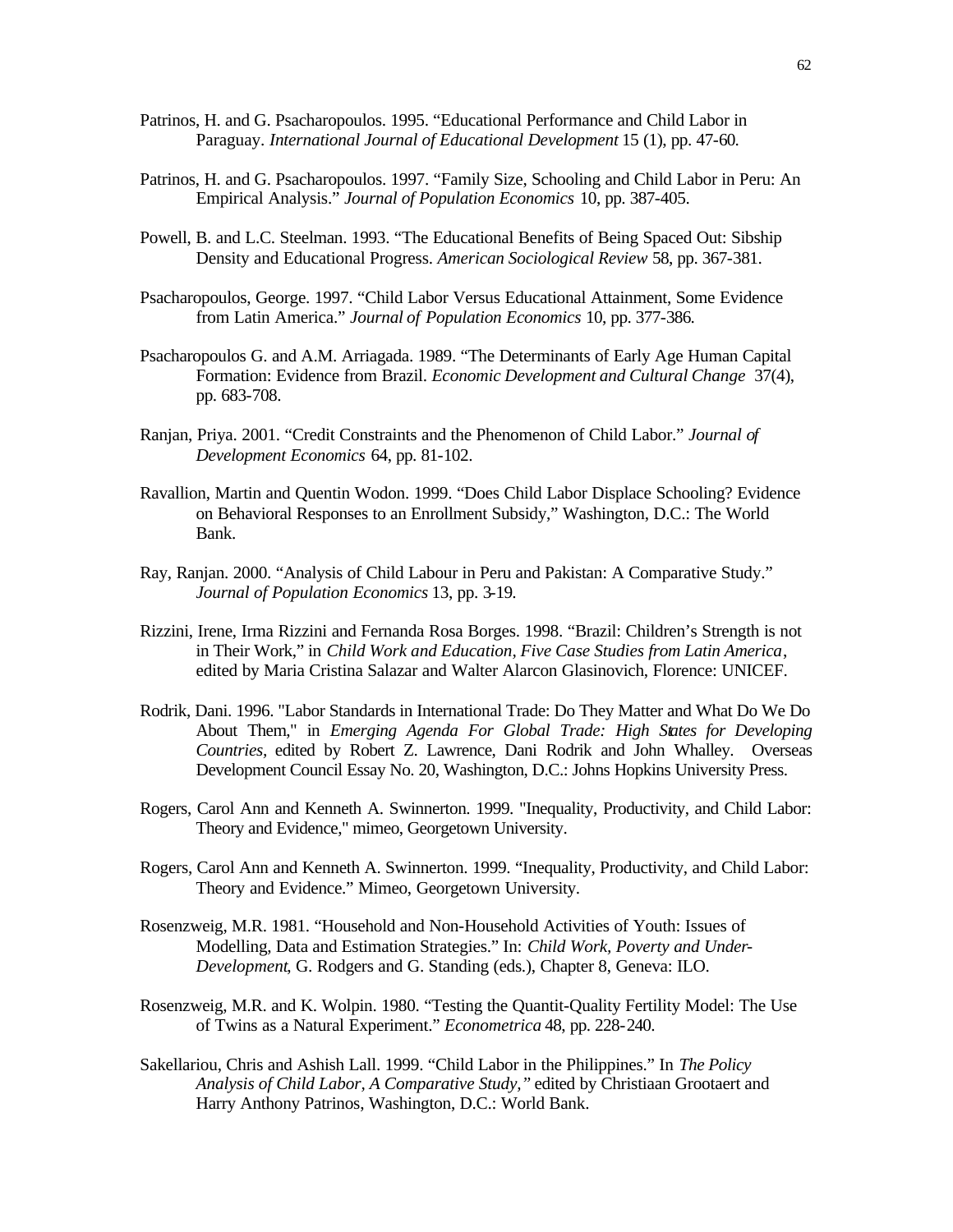- Patrinos, H. and G. Psacharopoulos. 1995. "Educational Performance and Child Labor in Paraguay. *International Journal of Educational Development* 15 (1), pp. 47-60.
- Patrinos, H. and G. Psacharopoulos. 1997. "Family Size, Schooling and Child Labor in Peru: An Empirical Analysis." *Journal of Population Economics* 10, pp. 387-405.
- Powell, B. and L.C. Steelman. 1993. "The Educational Benefits of Being Spaced Out: Sibship Density and Educational Progress. *American Sociological Review* 58, pp. 367-381.
- Psacharopoulos, George. 1997. "Child Labor Versus Educational Attainment, Some Evidence from Latin America." *Journal of Population Economics* 10, pp. 377-386.
- Psacharopoulos G. and A.M. Arriagada. 1989. "The Determinants of Early Age Human Capital Formation: Evidence from Brazil. *Economic Development and Cultural Change* 37(4), pp. 683-708.
- Ranjan, Priya. 2001. "Credit Constraints and the Phenomenon of Child Labor." *Journal of Development Economics* 64, pp. 81-102.
- Ravallion, Martin and Quentin Wodon. 1999. "Does Child Labor Displace Schooling? Evidence on Behavioral Responses to an Enrollment Subsidy," Washington, D.C.: The World Bank.
- Ray, Ranjan. 2000. "Analysis of Child Labour in Peru and Pakistan: A Comparative Study." *Journal of Population Economics* 13, pp. 3-19.
- Rizzini, Irene, Irma Rizzini and Fernanda Rosa Borges. 1998. "Brazil: Children's Strength is not in Their Work," in *Child Work and Education, Five Case Studies from Latin America*, edited by Maria Cristina Salazar and Walter Alarcon Glasinovich, Florence: UNICEF.
- Rodrik, Dani. 1996. "Labor Standards in International Trade: Do They Matter and What Do We Do About Them," in *Emerging Agenda For Global Trade: High States for Developing Countries,* edited by Robert Z. Lawrence, Dani Rodrik and John Whalley. Overseas Development Council Essay No. 20, Washington, D.C.: Johns Hopkins University Press.
- Rogers, Carol Ann and Kenneth A. Swinnerton. 1999. "Inequality, Productivity, and Child Labor: Theory and Evidence," mimeo, Georgetown University.
- Rogers, Carol Ann and Kenneth A. Swinnerton. 1999. "Inequality, Productivity, and Child Labor: Theory and Evidence." Mimeo, Georgetown University.
- Rosenzweig, M.R. 1981. "Household and Non-Household Activities of Youth: Issues of Modelling, Data and Estimation Strategies." In: *Child Work, Poverty and Under-Development*, G. Rodgers and G. Standing (eds.), Chapter 8, Geneva: ILO.
- Rosenzweig, M.R. and K. Wolpin. 1980. "Testing the Quantit-Quality Fertility Model: The Use of Twins as a Natural Experiment." *Econometrica* 48, pp. 228-240.
- Sakellariou, Chris and Ashish Lall. 1999. "Child Labor in the Philippines." In *The Policy Analysis of Child Labor, A Comparative Study,"* edited by Christiaan Grootaert and Harry Anthony Patrinos, Washington, D.C.: World Bank.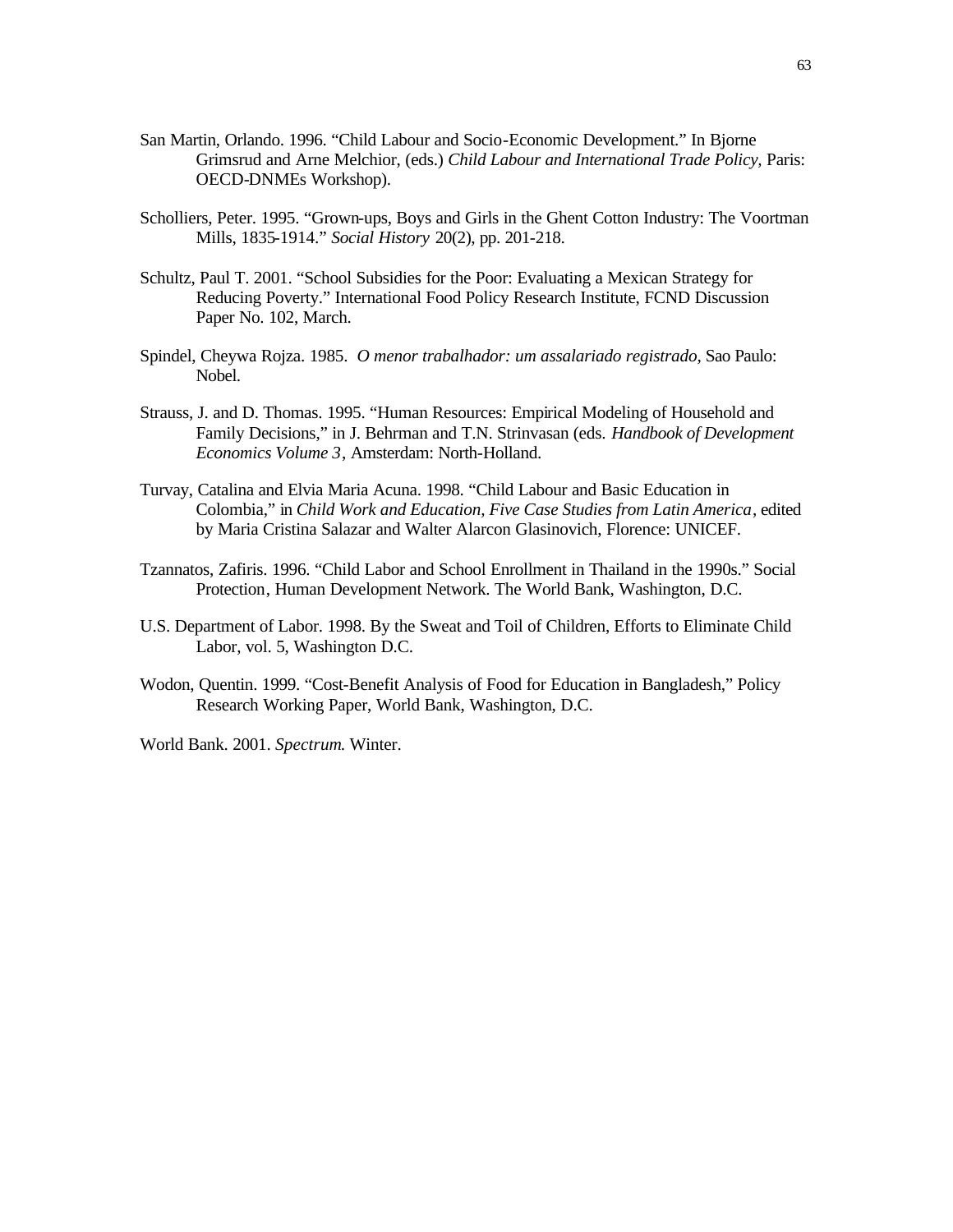- San Martin, Orlando. 1996. "Child Labour and Socio-Economic Development." In Bjorne Grimsrud and Arne Melchior, (eds.) *Child Labour and International Trade Policy,* Paris: OECD-DNMEs Workshop).
- Scholliers, Peter. 1995. "Grown-ups, Boys and Girls in the Ghent Cotton Industry: The Voortman Mills, 1835-1914." *Social History* 20(2), pp. 201-218.
- Schultz, Paul T. 2001. "School Subsidies for the Poor: Evaluating a Mexican Strategy for Reducing Poverty." International Food Policy Research Institute, FCND Discussion Paper No. 102, March.
- Spindel, Cheywa Rojza. 1985. *O menor trabalhador: um assalariado registrado,* Sao Paulo: Nobel.
- Strauss, J. and D. Thomas. 1995. "Human Resources: Empirical Modeling of Household and Family Decisions," in J. Behrman and T.N. Strinvasan (eds. *Handbook of Development Economics Volume 3*, Amsterdam: North-Holland.
- Turvay, Catalina and Elvia Maria Acuna. 1998. "Child Labour and Basic Education in Colombia," in *Child Work and Education, Five Case Studies from Latin America*, edited by Maria Cristina Salazar and Walter Alarcon Glasinovich, Florence: UNICEF.
- Tzannatos, Zafiris. 1996. "Child Labor and School Enrollment in Thailand in the 1990s." Social Protection, Human Development Network. The World Bank, Washington, D.C.
- U.S. Department of Labor. 1998. By the Sweat and Toil of Children, Efforts to Eliminate Child Labor, vol. 5, Washington D.C.
- Wodon, Quentin. 1999. "Cost-Benefit Analysis of Food for Education in Bangladesh," Policy Research Working Paper, World Bank, Washington, D.C.

World Bank. 2001. *Spectrum*. Winter.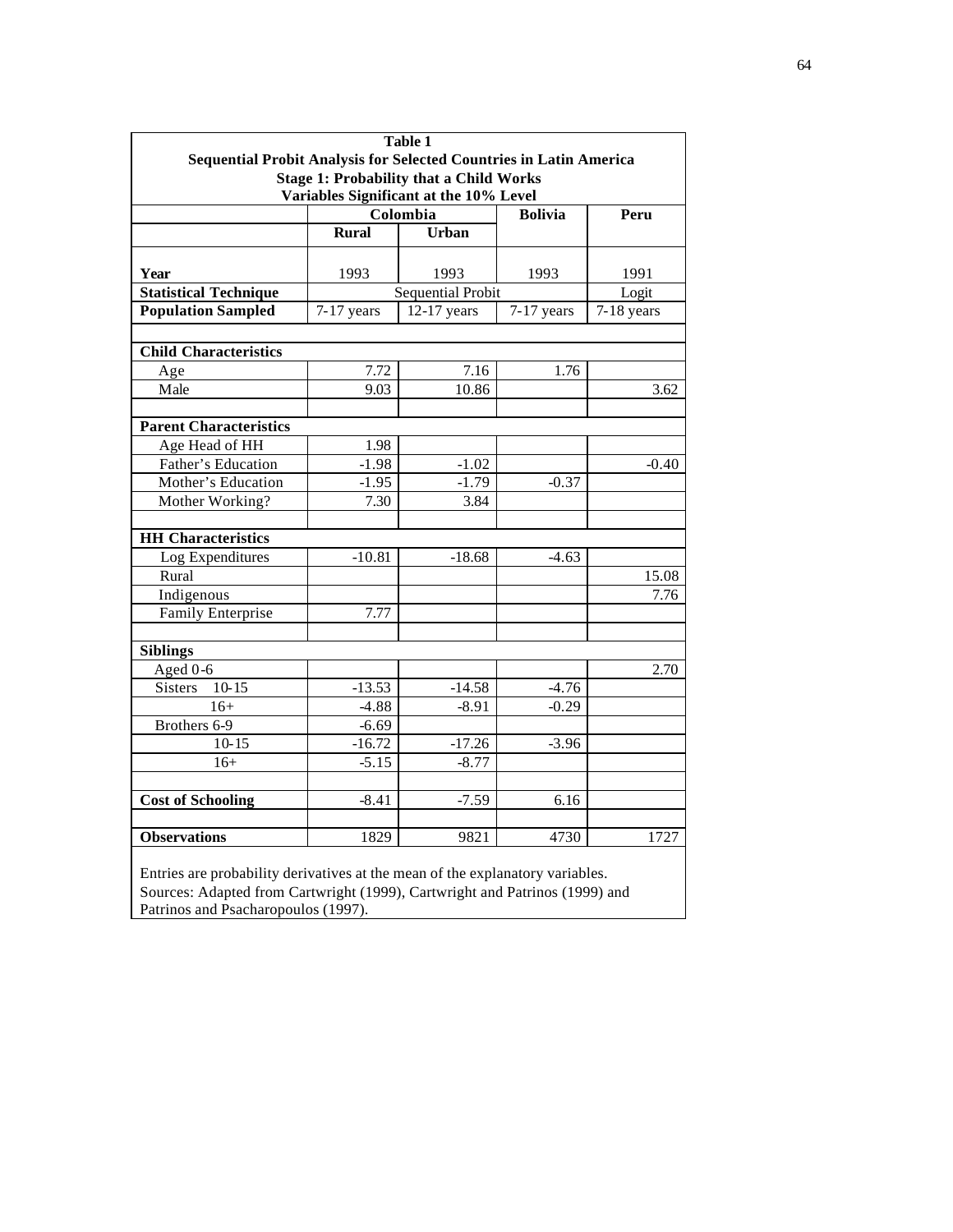|                                                                           |                                                    | <b>Table 1</b>             |                |            |  |  |  |  |  |
|---------------------------------------------------------------------------|----------------------------------------------------|----------------------------|----------------|------------|--|--|--|--|--|
| <b>Sequential Probit Analysis for Selected Countries in Latin America</b> |                                                    |                            |                |            |  |  |  |  |  |
|                                                                           | <b>Stage 1: Probability that a Child Works</b>     |                            |                |            |  |  |  |  |  |
|                                                                           | Variables Significant at the 10% Level<br>Colombia | Peru                       |                |            |  |  |  |  |  |
|                                                                           | <b>Rural</b>                                       | <b>Urban</b>               | <b>Bolivia</b> |            |  |  |  |  |  |
|                                                                           |                                                    |                            |                |            |  |  |  |  |  |
| Year                                                                      | 1993                                               | 1993                       | 1993           | 1991       |  |  |  |  |  |
| <b>Statistical Technique</b>                                              |                                                    | Sequential Probit<br>Logit |                |            |  |  |  |  |  |
| <b>Population Sampled</b>                                                 | $7-17$ years                                       | $12-17$ years              | $7-17$ years   | 7-18 years |  |  |  |  |  |
|                                                                           |                                                    |                            |                |            |  |  |  |  |  |
| <b>Child Characteristics</b>                                              |                                                    |                            |                |            |  |  |  |  |  |
| Age                                                                       | 7.72                                               | 7.16                       | 1.76           |            |  |  |  |  |  |
| Male                                                                      | 9.03                                               | 10.86                      |                | 3.62       |  |  |  |  |  |
|                                                                           |                                                    |                            |                |            |  |  |  |  |  |
| <b>Parent Characteristics</b>                                             |                                                    |                            |                |            |  |  |  |  |  |
| Age Head of HH                                                            | 1.98                                               |                            |                |            |  |  |  |  |  |
| Father's Education                                                        | $-1.98$                                            | $-1.02$                    |                | $-0.40$    |  |  |  |  |  |
| Mother's Education                                                        | $-1.95$                                            | $-1.79$                    | $-0.37$        |            |  |  |  |  |  |
| Mother Working?                                                           | 7.30                                               | 3.84                       |                |            |  |  |  |  |  |
| <b>HH Characteristics</b>                                                 |                                                    |                            |                |            |  |  |  |  |  |
| Log Expenditures                                                          | $-10.81$                                           | $-18.68$                   | $-4.63$        |            |  |  |  |  |  |
| Rural                                                                     |                                                    |                            |                | 15.08      |  |  |  |  |  |
| Indigenous                                                                |                                                    |                            |                | 7.76       |  |  |  |  |  |
| <b>Family Enterprise</b>                                                  | 7.77                                               |                            |                |            |  |  |  |  |  |
|                                                                           |                                                    |                            |                |            |  |  |  |  |  |
| <b>Siblings</b>                                                           |                                                    |                            |                |            |  |  |  |  |  |
| Aged 0-6                                                                  |                                                    |                            |                | 2.70       |  |  |  |  |  |
| <b>Sisters</b><br>$10 - 15$                                               | $-13.53$                                           | $-14.58$                   | $-4.76$        |            |  |  |  |  |  |
| $16+$                                                                     | $-4.88$                                            | $-8.91$                    | $-0.29$        |            |  |  |  |  |  |
| Brothers 6-9                                                              | $-6.69$                                            |                            |                |            |  |  |  |  |  |
| $10 - 15$                                                                 | $-16.72$                                           | $-17.26$                   | $-3.96$        |            |  |  |  |  |  |
| $16+$                                                                     | $-5.15$                                            | $-8.77$                    |                |            |  |  |  |  |  |
|                                                                           |                                                    |                            |                |            |  |  |  |  |  |
| <b>Cost of Schooling</b>                                                  | $-8.41$                                            | $-7.59$                    | 6.16           |            |  |  |  |  |  |
|                                                                           |                                                    |                            |                |            |  |  |  |  |  |
| <b>Observations</b>                                                       | 1829                                               | 9821                       | 4730           | 1727       |  |  |  |  |  |

Patrinos and Psacharopoulos (1997).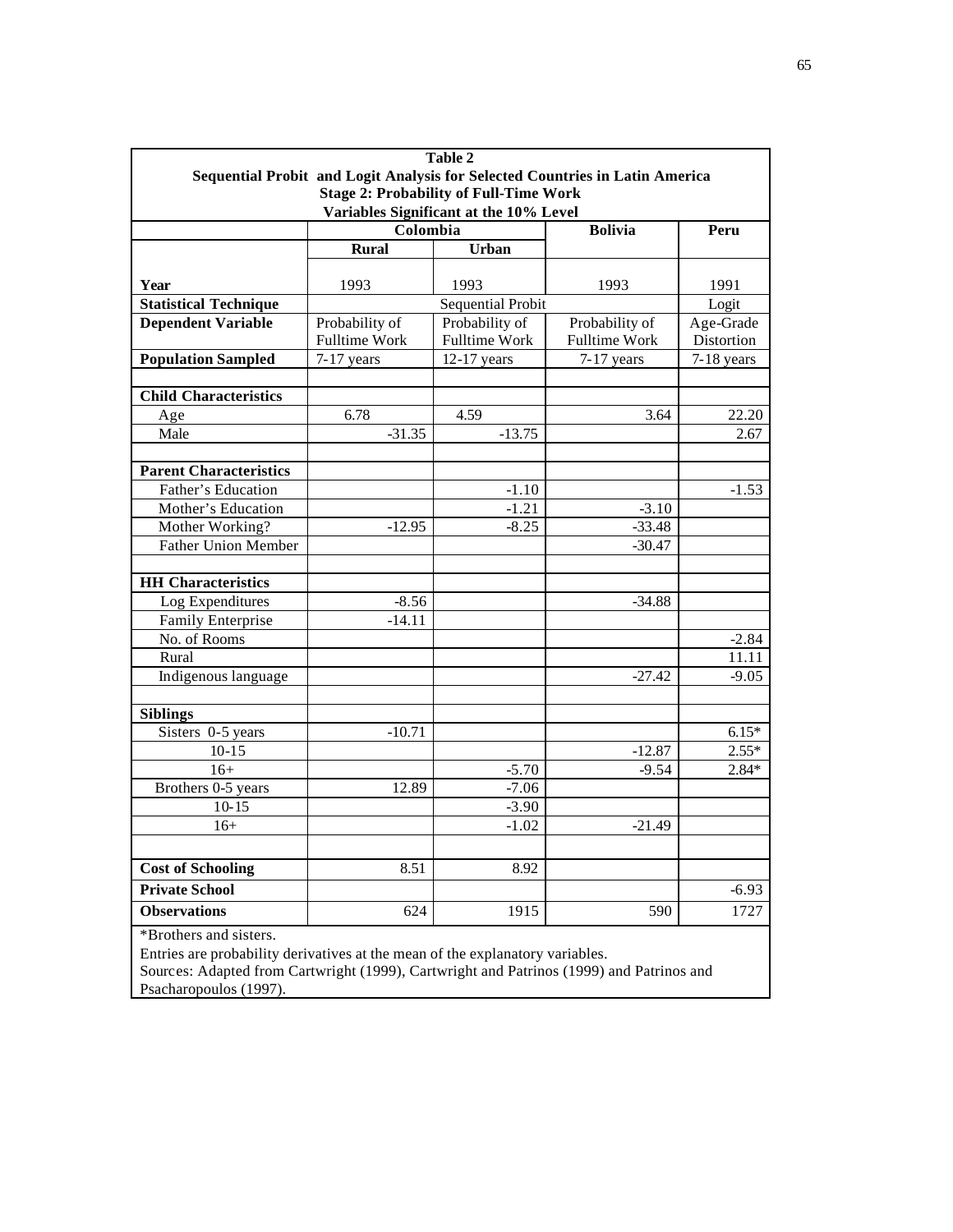|                                                                                                                               |                                                                      | <b>Table 2</b>           |                             |              |  |  |  |
|-------------------------------------------------------------------------------------------------------------------------------|----------------------------------------------------------------------|--------------------------|-----------------------------|--------------|--|--|--|
| Sequential Probit and Logit Analysis for Selected Countries in Latin America<br><b>Stage 2: Probability of Full-Time Work</b> |                                                                      |                          |                             |              |  |  |  |
|                                                                                                                               |                                                                      |                          |                             |              |  |  |  |
|                                                                                                                               | Variables Significant at the 10% Level<br>Colombia<br><b>Bolivia</b> |                          |                             |              |  |  |  |
|                                                                                                                               | <b>Rural</b>                                                         | <b>Urban</b>             |                             | Peru         |  |  |  |
|                                                                                                                               |                                                                      |                          |                             |              |  |  |  |
| Year                                                                                                                          | 1993                                                                 | 1993                     | 1993                        | 1991         |  |  |  |
| <b>Statistical Technique</b>                                                                                                  |                                                                      | <b>Sequential Probit</b> |                             | Logit        |  |  |  |
| <b>Dependent Variable</b>                                                                                                     | Probability of                                                       | Probability of           | Age-Grade<br>Probability of |              |  |  |  |
|                                                                                                                               | Fulltime Work                                                        | Fulltime Work            | Fulltime Work               | Distortion   |  |  |  |
| <b>Population Sampled</b>                                                                                                     | $7-17$ years                                                         | $12-17$ years            | $7-17$ years                | $7-18$ years |  |  |  |
|                                                                                                                               |                                                                      |                          |                             |              |  |  |  |
| <b>Child Characteristics</b>                                                                                                  |                                                                      |                          |                             |              |  |  |  |
| Age                                                                                                                           | 6.78                                                                 | 4.59                     | 3.64                        | 22.20        |  |  |  |
| Male                                                                                                                          | $-31.35$                                                             | $-13.75$                 |                             | 2.67         |  |  |  |
|                                                                                                                               |                                                                      |                          |                             |              |  |  |  |
| <b>Parent Characteristics</b>                                                                                                 |                                                                      |                          |                             |              |  |  |  |
| Father's Education                                                                                                            |                                                                      | $-1.10$                  |                             | $-1.53$      |  |  |  |
| Mother's Education                                                                                                            |                                                                      | $-1.21$                  | $-3.10$                     |              |  |  |  |
| Mother Working?                                                                                                               | $-12.95$                                                             | $-8.25$                  | $-33.48$                    |              |  |  |  |
| <b>Father Union Member</b>                                                                                                    |                                                                      |                          | $-30.47$                    |              |  |  |  |
|                                                                                                                               |                                                                      |                          |                             |              |  |  |  |
| <b>HH Characteristics</b>                                                                                                     |                                                                      |                          |                             |              |  |  |  |
| Log Expenditures                                                                                                              | $-8.56$                                                              |                          | $-34.88$                    |              |  |  |  |
| Family Enterprise                                                                                                             | $-14.11$                                                             |                          |                             |              |  |  |  |
| No. of Rooms                                                                                                                  |                                                                      |                          |                             | $-2.84$      |  |  |  |
| Rural                                                                                                                         |                                                                      |                          |                             | 11.11        |  |  |  |
| Indigenous language                                                                                                           |                                                                      |                          | $-27.42$                    | $-9.05$      |  |  |  |
| <b>Siblings</b>                                                                                                               |                                                                      |                          |                             |              |  |  |  |
| Sisters 0-5 years                                                                                                             | $-10.71$                                                             |                          |                             | $6.15*$      |  |  |  |
| $10 - 15$                                                                                                                     |                                                                      |                          | $-12.87$                    | $2.55*$      |  |  |  |
| $16+$                                                                                                                         |                                                                      | $-5.70$                  | $-9.54$                     | $2.84*$      |  |  |  |
| Brothers 0-5 years                                                                                                            | 12.89                                                                | $-7.06$                  |                             |              |  |  |  |
| $10 - 15$                                                                                                                     |                                                                      | $-3.90$                  |                             |              |  |  |  |
| $16+$                                                                                                                         |                                                                      | $-1.02$                  | $-21.49$                    |              |  |  |  |
|                                                                                                                               |                                                                      |                          |                             |              |  |  |  |
| <b>Cost of Schooling</b>                                                                                                      | 8.51                                                                 | 8.92                     |                             |              |  |  |  |
| <b>Private School</b>                                                                                                         |                                                                      |                          |                             | $-6.93$      |  |  |  |
| <b>Observations</b>                                                                                                           | 624                                                                  | 1915                     | 590                         | 1727         |  |  |  |
| *Brothers and sisters.<br>Entries are probability derivatives at the mean of the explanatory variables.                       |                                                                      |                          |                             |              |  |  |  |

Sources: Adapted from Cartwright (1999), Cartwright and Patrinos (1999) and Patrinos and Psacharopoulos (1997).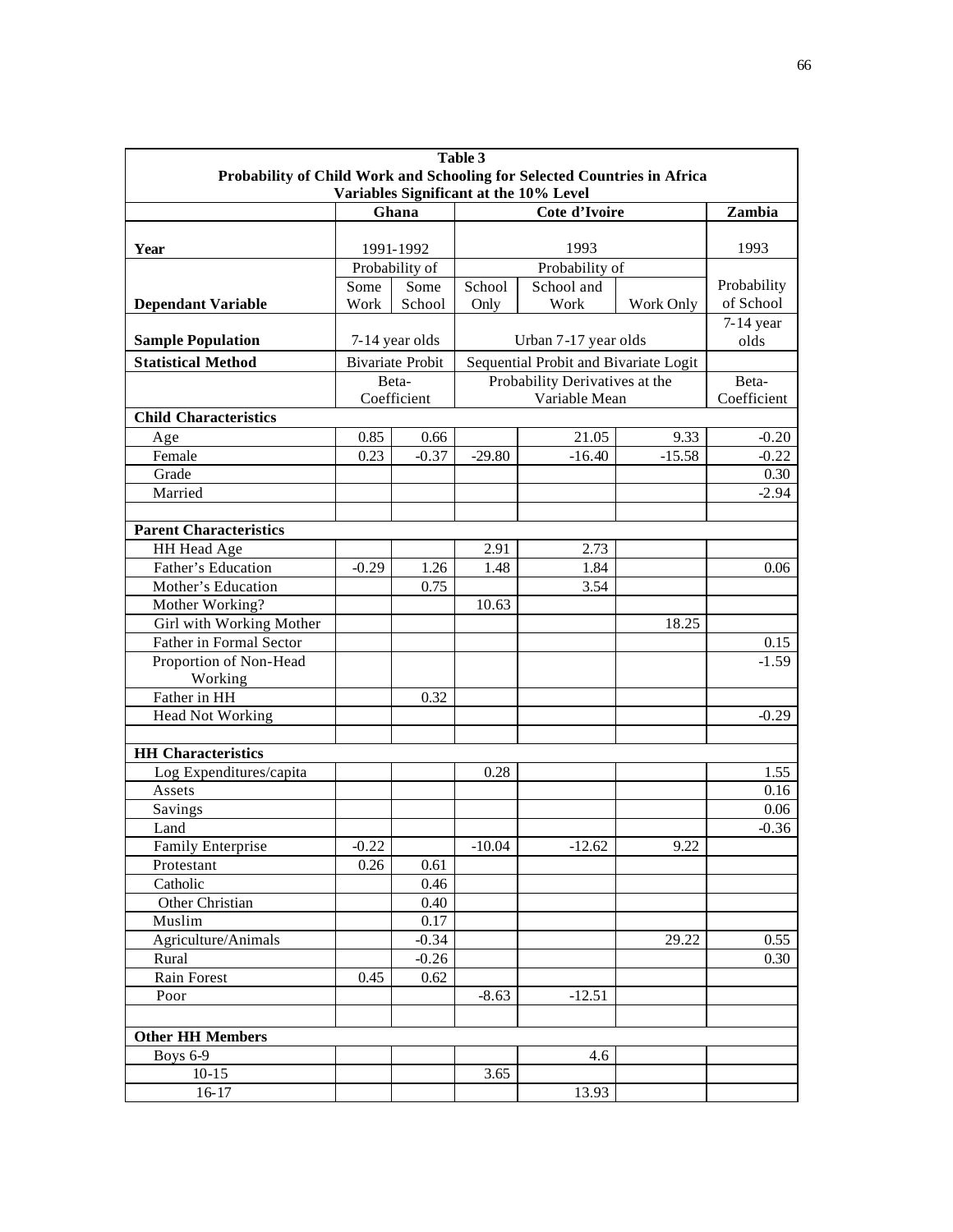| Table 3                                                                                                            |                 |                         |               |                                       |           |                   |  |
|--------------------------------------------------------------------------------------------------------------------|-----------------|-------------------------|---------------|---------------------------------------|-----------|-------------------|--|
| Probability of Child Work and Schooling for Selected Countries in Africa<br>Variables Significant at the 10% Level |                 |                         |               |                                       |           |                   |  |
|                                                                                                                    |                 | Ghana                   | Cote d'Ivoire |                                       | Zambia    |                   |  |
|                                                                                                                    |                 |                         |               |                                       |           |                   |  |
| Year                                                                                                               |                 | 1991-1992               | 1993          |                                       | 1993      |                   |  |
|                                                                                                                    |                 | Probability of          |               | Probability of                        |           |                   |  |
|                                                                                                                    | Some            | Some                    | School        | School and                            |           | Probability       |  |
| <b>Dependant Variable</b>                                                                                          | Work            | School                  | Only          | Work                                  | Work Only | of School         |  |
| <b>Sample Population</b>                                                                                           |                 | 7-14 year olds          |               | Urban 7-17 year olds                  |           | 7-14 year<br>olds |  |
| <b>Statistical Method</b>                                                                                          |                 | <b>Bivariate Probit</b> |               | Sequential Probit and Bivariate Logit |           |                   |  |
|                                                                                                                    |                 | Beta-                   |               | Probability Derivatives at the        |           | Beta-             |  |
|                                                                                                                    |                 | Coefficient             |               | Variable Mean                         |           | Coefficient       |  |
| <b>Child Characteristics</b>                                                                                       |                 |                         |               |                                       |           |                   |  |
| Age                                                                                                                | 0.85            | 0.66                    |               | 21.05                                 | 9.33      | $-0.20$           |  |
| Female                                                                                                             | 0.23            | $-0.37$                 | $-29.80$      | $-16.40$                              | $-15.58$  | $-0.22$           |  |
| Grade                                                                                                              |                 |                         |               |                                       |           | 0.30              |  |
| Married                                                                                                            |                 |                         |               |                                       |           | $-2.94$           |  |
| <b>Parent Characteristics</b>                                                                                      |                 |                         |               |                                       |           |                   |  |
| HH Head Age                                                                                                        |                 |                         | 2.91          | 2.73                                  |           |                   |  |
| Father's Education                                                                                                 | $-0.29$         | 1.26                    | 1.48          | 1.84                                  |           | 0.06              |  |
| Mother's Education                                                                                                 |                 | 0.75                    |               | 3.54                                  |           |                   |  |
| Mother Working?                                                                                                    |                 |                         | 10.63         |                                       |           |                   |  |
| Girl with Working Mother                                                                                           |                 |                         |               |                                       | 18.25     |                   |  |
| Father in Formal Sector                                                                                            |                 |                         |               |                                       |           | 0.15              |  |
| Proportion of Non-Head                                                                                             |                 |                         |               |                                       |           | $-1.59$           |  |
| Working                                                                                                            |                 |                         |               |                                       |           |                   |  |
| Father in HH                                                                                                       |                 | 0.32                    |               |                                       |           |                   |  |
| <b>Head Not Working</b>                                                                                            |                 |                         |               |                                       |           | $-0.29$           |  |
|                                                                                                                    |                 |                         |               |                                       |           |                   |  |
| <b>HH Characteristics</b>                                                                                          |                 |                         |               |                                       |           |                   |  |
| Log Expenditures/capita                                                                                            |                 |                         | 0.28          |                                       |           | 1.55              |  |
| Assets                                                                                                             |                 |                         |               |                                       |           | 0.16              |  |
| Savings                                                                                                            |                 |                         |               |                                       |           | 0.06              |  |
| Land<br><b>Family Enterprise</b>                                                                                   |                 |                         |               |                                       |           | $-0.36$           |  |
|                                                                                                                    | $-0.22$<br>0.26 | 0.61                    | $-10.04$      | -12.62                                | 9.22      |                   |  |
| Protestant<br>Catholic                                                                                             |                 | 0.46                    |               |                                       |           |                   |  |
| Other Christian                                                                                                    |                 | 0.40                    |               |                                       |           |                   |  |
| Muslim                                                                                                             |                 | 0.17                    |               |                                       |           |                   |  |
| Agriculture/Animals                                                                                                |                 | $-0.34$                 |               |                                       | 29.22     | 0.55              |  |
| Rural                                                                                                              |                 | $-0.26$                 |               |                                       |           | 0.30              |  |
| Rain Forest                                                                                                        | 0.45            | 0.62                    |               |                                       |           |                   |  |
| Poor                                                                                                               |                 |                         | $-8.63$       | $-12.51$                              |           |                   |  |
|                                                                                                                    |                 |                         |               |                                       |           |                   |  |
| <b>Other HH Members</b>                                                                                            |                 |                         |               |                                       |           |                   |  |
| Boys 6-9                                                                                                           |                 |                         |               | 4.6                                   |           |                   |  |
| $10-15$                                                                                                            |                 |                         | 3.65          |                                       |           |                   |  |
| $16 - 17$                                                                                                          |                 |                         |               | 13.93                                 |           |                   |  |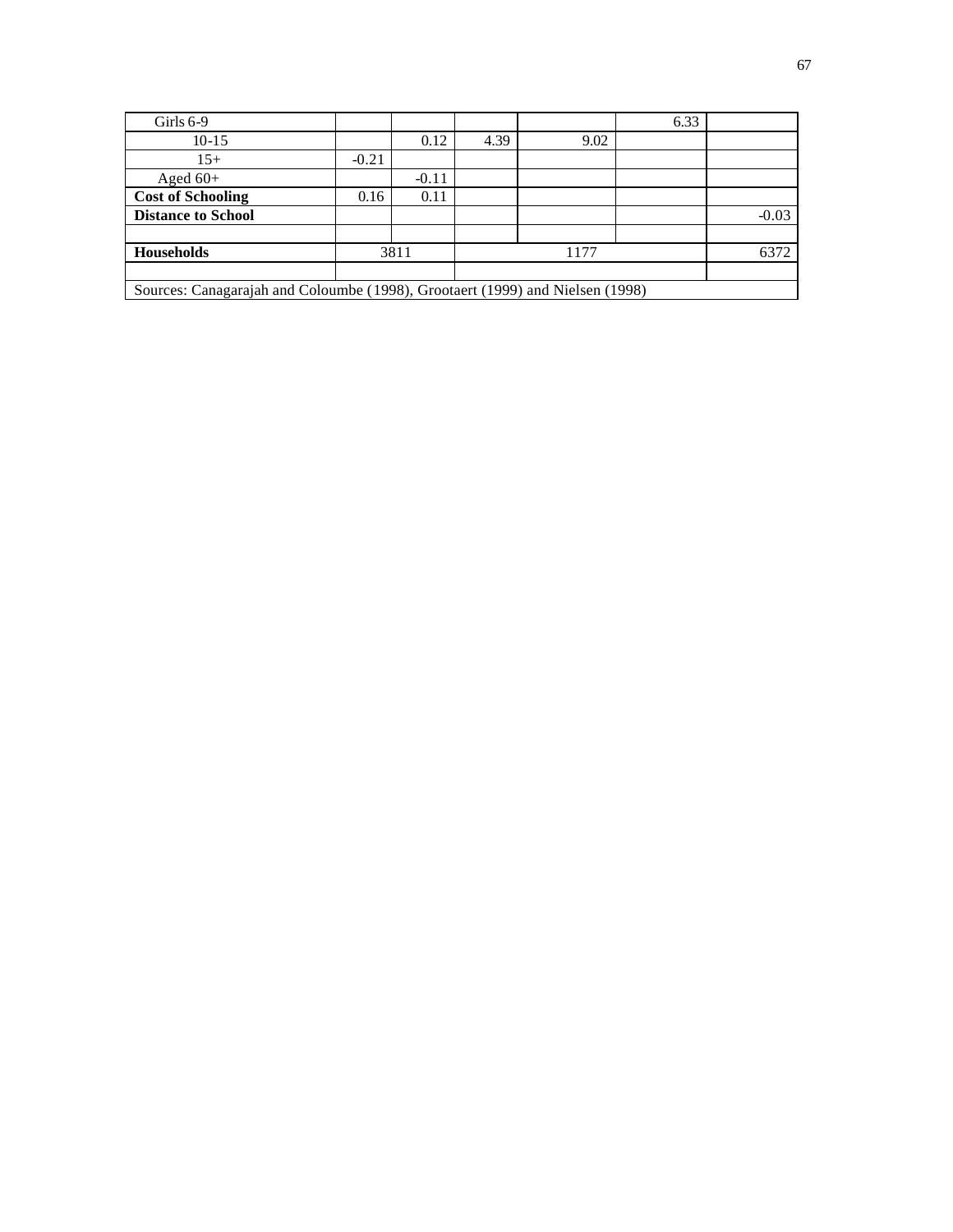| Girls $6-9$                                                                   |         |         |      |      | 6.33 |         |
|-------------------------------------------------------------------------------|---------|---------|------|------|------|---------|
| $10-15$                                                                       |         | 0.12    | 4.39 | 9.02 |      |         |
| $15+$                                                                         | $-0.21$ |         |      |      |      |         |
| Aged $60+$                                                                    |         | $-0.11$ |      |      |      |         |
| <b>Cost of Schooling</b>                                                      | 0.16    | 0.11    |      |      |      |         |
| <b>Distance to School</b>                                                     |         |         |      |      |      | $-0.03$ |
|                                                                               |         |         |      |      |      |         |
| <b>Households</b>                                                             |         | 3811    | 1177 |      |      | 6372    |
|                                                                               |         |         |      |      |      |         |
| Sources: Canagarajah and Coloumbe (1998), Grootaert (1999) and Nielsen (1998) |         |         |      |      |      |         |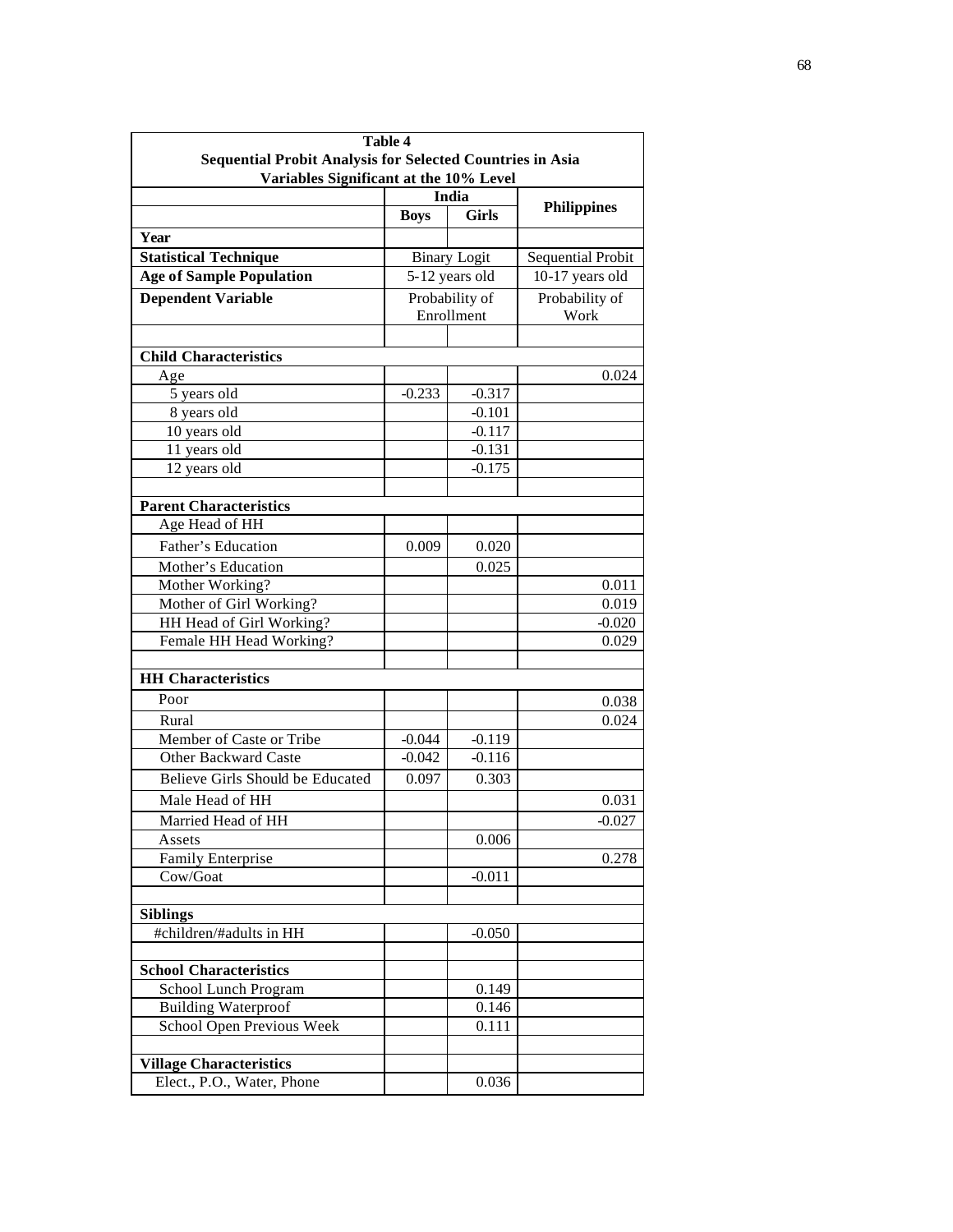|                                                                                                            | Table 4                     |                     |                    |  |  |
|------------------------------------------------------------------------------------------------------------|-----------------------------|---------------------|--------------------|--|--|
| <b>Sequential Probit Analysis for Selected Countries in Asia</b><br>Variables Significant at the 10% Level |                             |                     |                    |  |  |
|                                                                                                            | <b>India</b>                |                     |                    |  |  |
|                                                                                                            | <b>Boys</b><br><b>Girls</b> |                     | <b>Philippines</b> |  |  |
| Year                                                                                                       |                             |                     |                    |  |  |
| <b>Statistical Technique</b>                                                                               |                             | <b>Binary Logit</b> | Sequential Probit  |  |  |
| <b>Age of Sample Population</b>                                                                            |                             | 5-12 years old      | $10-17$ years old  |  |  |
| <b>Dependent Variable</b>                                                                                  |                             | Probability of      | Probability of     |  |  |
|                                                                                                            |                             | Enrollment          | Work               |  |  |
|                                                                                                            |                             |                     |                    |  |  |
| <b>Child Characteristics</b>                                                                               |                             |                     |                    |  |  |
| Age                                                                                                        |                             |                     | 0.024              |  |  |
| 5 years old                                                                                                | $-0.233$                    | $-0.317$            |                    |  |  |
| 8 years old                                                                                                |                             | $-0.101$            |                    |  |  |
| 10 years old                                                                                               |                             | $-0.117$            |                    |  |  |
| 11 years old                                                                                               |                             | $-0.131$            |                    |  |  |
| 12 years old                                                                                               |                             | $-0.175$            |                    |  |  |
|                                                                                                            |                             |                     |                    |  |  |
| <b>Parent Characteristics</b>                                                                              |                             |                     |                    |  |  |
| Age Head of HH                                                                                             |                             |                     |                    |  |  |
| Father's Education                                                                                         | 0.009                       | 0.020               |                    |  |  |
| Mother's Education                                                                                         |                             | 0.025               |                    |  |  |
| Mother Working?                                                                                            |                             |                     | 0.011              |  |  |
| Mother of Girl Working?                                                                                    |                             |                     | 0.019              |  |  |
| HH Head of Girl Working?                                                                                   |                             |                     | $-0.020$           |  |  |
| Female HH Head Working?                                                                                    |                             |                     | 0.029              |  |  |
| <b>HH Characteristics</b>                                                                                  |                             |                     |                    |  |  |
| Poor                                                                                                       |                             |                     | 0.038              |  |  |
| Rural                                                                                                      |                             |                     | 0.024              |  |  |
| Member of Caste or Tribe                                                                                   | $-0.044$                    | $-0.119$            |                    |  |  |
| <b>Other Backward Caste</b>                                                                                | $-0.042$                    | $-0.116$            |                    |  |  |
| Believe Girls Should be Educated                                                                           | 0.097                       | 0.303               |                    |  |  |
| Male Head of HH                                                                                            |                             |                     | 0.031              |  |  |
| Married Head of HH                                                                                         |                             |                     | $-0.027$           |  |  |
| Assets                                                                                                     |                             | 0.006               |                    |  |  |
| <b>Family Enterprise</b>                                                                                   |                             |                     | 0.278              |  |  |
| Cow/Goat                                                                                                   |                             | $-0.011$            |                    |  |  |
|                                                                                                            |                             |                     |                    |  |  |
| <b>Siblings</b>                                                                                            |                             |                     |                    |  |  |
| #children/#adults in HH                                                                                    |                             | $-0.050$            |                    |  |  |
|                                                                                                            |                             |                     |                    |  |  |
| <b>School Characteristics</b>                                                                              |                             |                     |                    |  |  |
| School Lunch Program                                                                                       |                             | 0.149               |                    |  |  |
| <b>Building Waterproof</b>                                                                                 |                             | 0.146               |                    |  |  |
| School Open Previous Week                                                                                  |                             | 0.111               |                    |  |  |
|                                                                                                            |                             |                     |                    |  |  |
| <b>Village Characteristics</b>                                                                             |                             |                     |                    |  |  |
| Elect., P.O., Water, Phone                                                                                 |                             | 0.036               |                    |  |  |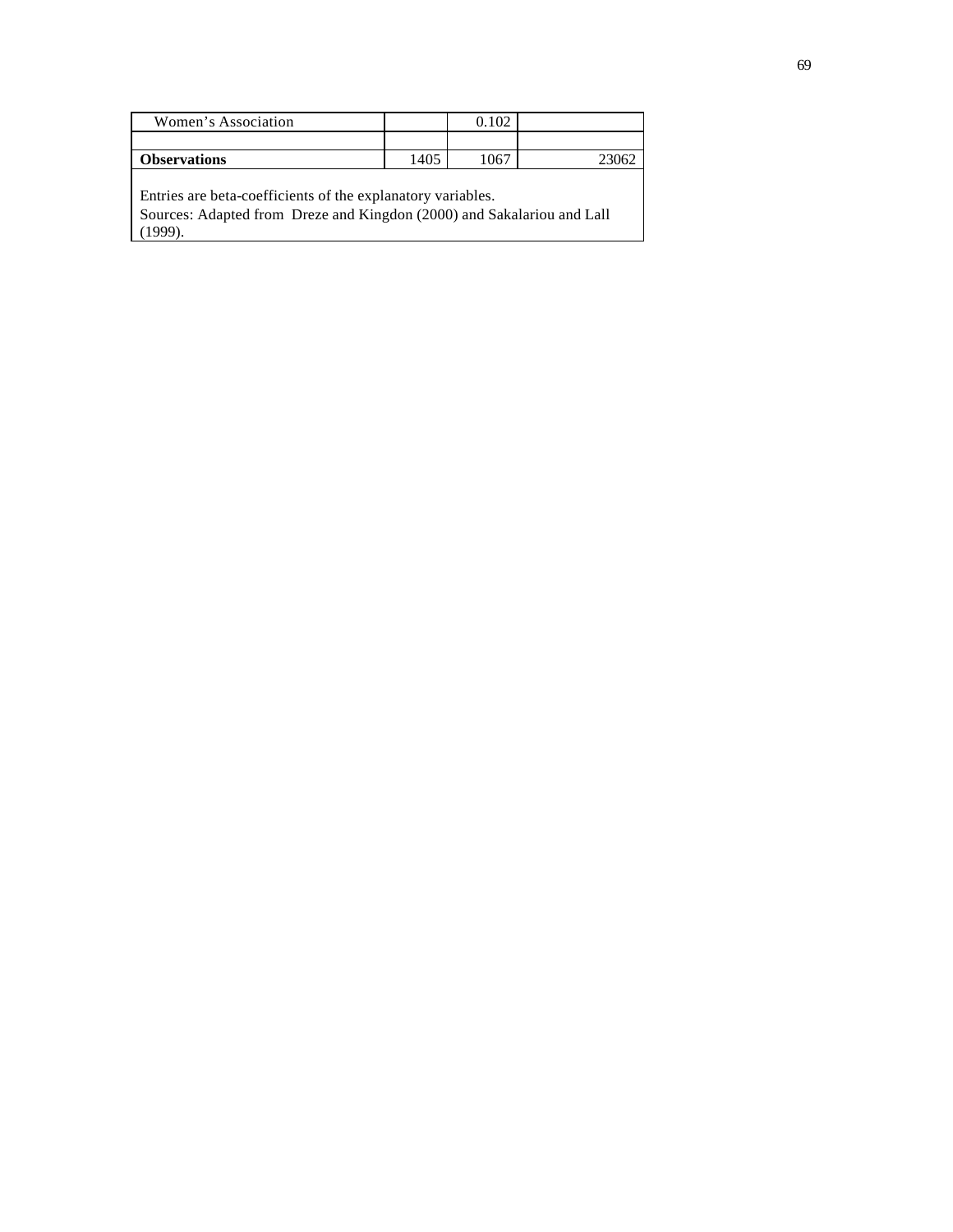| Women's Association |      | 102  |  |
|---------------------|------|------|--|
|                     |      |      |  |
| <b>Observations</b> | .405 | 1067 |  |
|                     |      |      |  |

Entries are beta-coefficients of the explanatory variables.

Sources: Adapted from Dreze and Kingdon (2000) and Sakalariou and Lall (1999).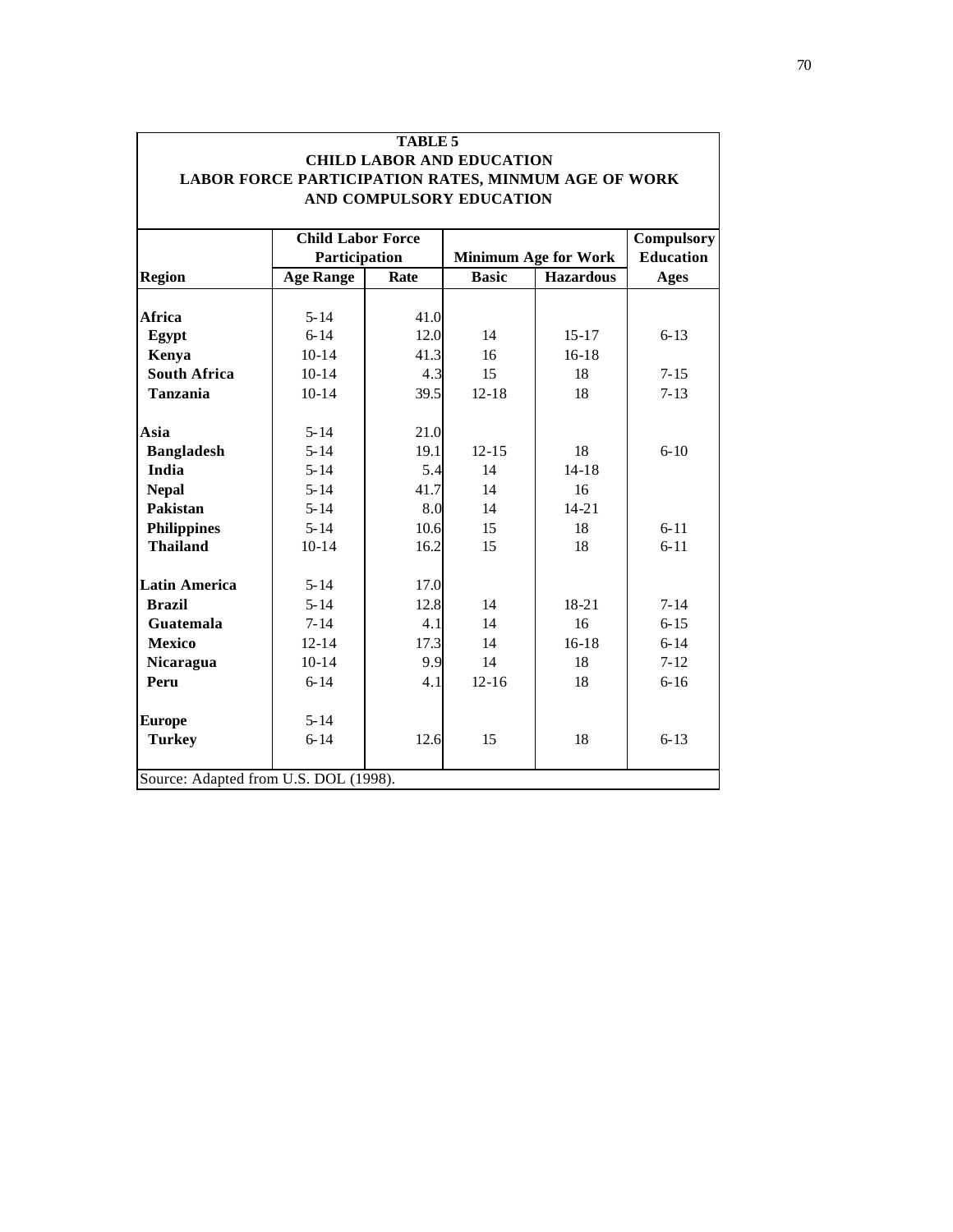| <b>Region</b>        | <b>Child Labor Force</b><br>Participation |      | <b>Minimum Age for Work</b> | Compulsory<br><b>Education</b> |             |
|----------------------|-------------------------------------------|------|-----------------------------|--------------------------------|-------------|
|                      | <b>Age Range</b>                          | Rate | <b>Basic</b>                | <b>Hazardous</b>               | <b>Ages</b> |
| <b>Africa</b>        | $5 - 14$                                  | 41.0 |                             |                                |             |
| <b>Egypt</b>         | $6 - 14$                                  | 12.0 | 14                          | $15 - 17$                      | $6 - 13$    |
| Kenya                | $10 - 14$                                 | 41.3 | 16                          | $16 - 18$                      |             |
| <b>South Africa</b>  | $10 - 14$                                 | 4.3  | 15                          | 18                             | $7 - 15$    |
| Tanzania             | $10 - 14$                                 | 39.5 | $12 - 18$                   | 18                             | $7 - 13$    |
| Asia                 | $5 - 14$                                  | 21.0 |                             |                                |             |
| <b>Bangladesh</b>    | $5 - 14$                                  | 19.1 | $12 - 15$                   | 18                             | $6 - 10$    |
| India                | $5 - 14$                                  | 5.4  | 14                          | $14 - 18$                      |             |
| <b>Nepal</b>         | $5 - 14$                                  | 41.7 | 14                          | 16                             |             |
| Pakistan             | $5 - 14$                                  | 8.0  | 14                          | $14 - 21$                      |             |
| <b>Philippines</b>   | $5 - 14$                                  | 10.6 | 15                          | 18                             | $6 - 11$    |
| <b>Thailand</b>      | $10 - 14$                                 | 16.2 | 15                          | 18                             | $6 - 11$    |
| <b>Latin America</b> | $5 - 14$                                  | 17.0 |                             |                                |             |
| <b>Brazil</b>        | $5 - 14$                                  | 12.8 | 14                          | $18 - 21$                      | $7 - 14$    |
| Guatemala            | $7 - 14$                                  | 4.1  | 14                          | 16                             | $6 - 15$    |
| <b>Mexico</b>        | $12 - 14$                                 | 17.3 | 14                          | $16-18$                        | $6 - 14$    |
| Nicaragua            | $10 - 14$                                 | 9.9  | 14                          | 18                             | $7 - 12$    |
| Peru                 | $6 - 14$                                  | 4.1  | $12 - 16$                   | 18                             | $6 - 16$    |
| <b>Europe</b>        | $5 - 14$                                  |      |                             |                                |             |
| <b>Turkey</b>        | $6 - 14$                                  | 12.6 | 15                          | 18                             | $6 - 13$    |